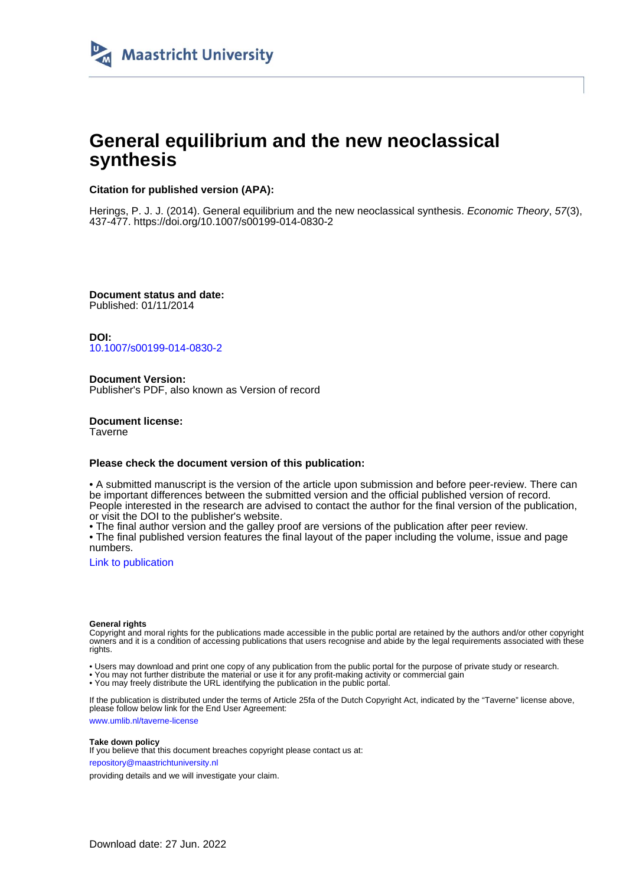

# **General equilibrium and the new neoclassical synthesis**

# **Citation for published version (APA):**

Herings, P. J. J. (2014). General equilibrium and the new neoclassical synthesis. Economic Theory, 57(3), 437-477.<https://doi.org/10.1007/s00199-014-0830-2>

**Document status and date:** Published: 01/11/2014

**DOI:** [10.1007/s00199-014-0830-2](https://doi.org/10.1007/s00199-014-0830-2)

**Document Version:** Publisher's PDF, also known as Version of record

**Document license: Taverne** 

# **Please check the document version of this publication:**

• A submitted manuscript is the version of the article upon submission and before peer-review. There can be important differences between the submitted version and the official published version of record. People interested in the research are advised to contact the author for the final version of the publication, or visit the DOI to the publisher's website.

• The final author version and the galley proof are versions of the publication after peer review.

• The final published version features the final layout of the paper including the volume, issue and page numbers.

[Link to publication](https://cris.maastrichtuniversity.nl/en/publications/3770ba91-1742-481a-8dc9-496b11dc7ed5)

#### **General rights**

Copyright and moral rights for the publications made accessible in the public portal are retained by the authors and/or other copyright owners and it is a condition of accessing publications that users recognise and abide by the legal requirements associated with these rights.

• Users may download and print one copy of any publication from the public portal for the purpose of private study or research.

• You may not further distribute the material or use it for any profit-making activity or commercial gain

• You may freely distribute the URL identifying the publication in the public portal.

If the publication is distributed under the terms of Article 25fa of the Dutch Copyright Act, indicated by the "Taverne" license above, please follow below link for the End User Agreement:

www.umlib.nl/taverne-license

### **Take down policy**

If you believe that this document breaches copyright please contact us at: repository@maastrichtuniversity.nl

providing details and we will investigate your claim.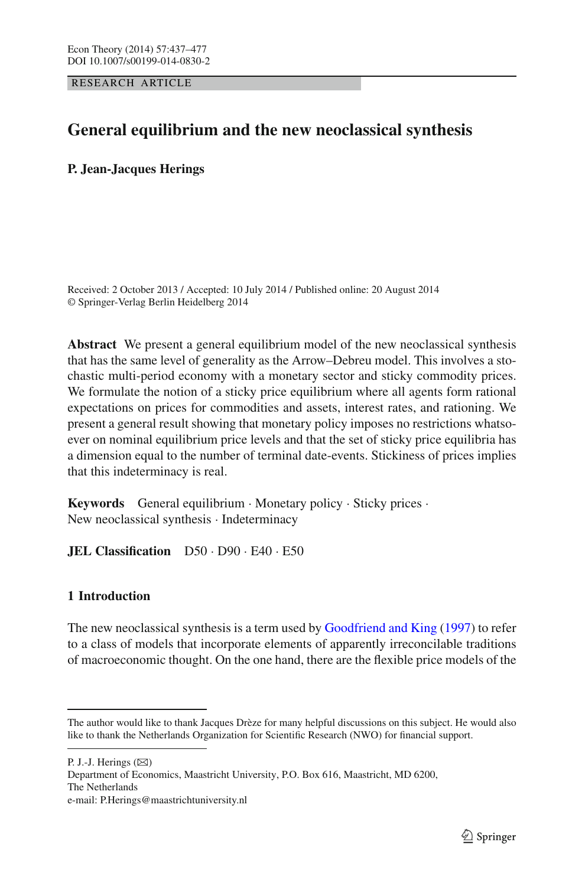#### RESEARCH ARTICLE

# **General equilibrium and the new neoclassical synthesis**

# **P. Jean-Jacques Herings**

Received: 2 October 2013 / Accepted: 10 July 2014 / Published online: 20 August 2014 © Springer-Verlag Berlin Heidelberg 2014

**Abstract** We present a general equilibrium model of the new neoclassical synthesis that has the same level of generality as the Arrow–Debreu model. This involves a stochastic multi-period economy with a monetary sector and sticky commodity prices. We formulate the notion of a sticky price equilibrium where all agents form rational expectations on prices for commodities and assets, interest rates, and rationing. We present a general result showing that monetary policy imposes no restrictions whatsoever on nominal equilibrium price levels and that the set of sticky price equilibria has a dimension equal to the number of terminal date-events. Stickiness of prices implies that this indeterminacy is real.

**Keywords** General equilibrium · Monetary policy · Sticky prices · New neoclassical synthesis · Indeterminacy

**JEL Classification** D50 · D90 · E40 · E50

# **1 Introduction**

The new neoclassical synthesis is a term used by [Goodfriend and King](#page-41-0) [\(1997\)](#page-41-0) to refer to a class of models that incorporate elements of apparently irreconcilable traditions of macroeconomic thought. On the one hand, there are the flexible price models of the

P. J.-J. Herings  $(\boxtimes)$ 

Department of Economics, Maastricht University, P.O. Box 616, Maastricht, MD 6200, The Netherlands

The author would like to thank Jacques Drèze for many helpful discussions on this subject. He would also like to thank the Netherlands Organization for Scientific Research (NWO) for financial support.

e-mail: P.Herings@maastrichtuniversity.nl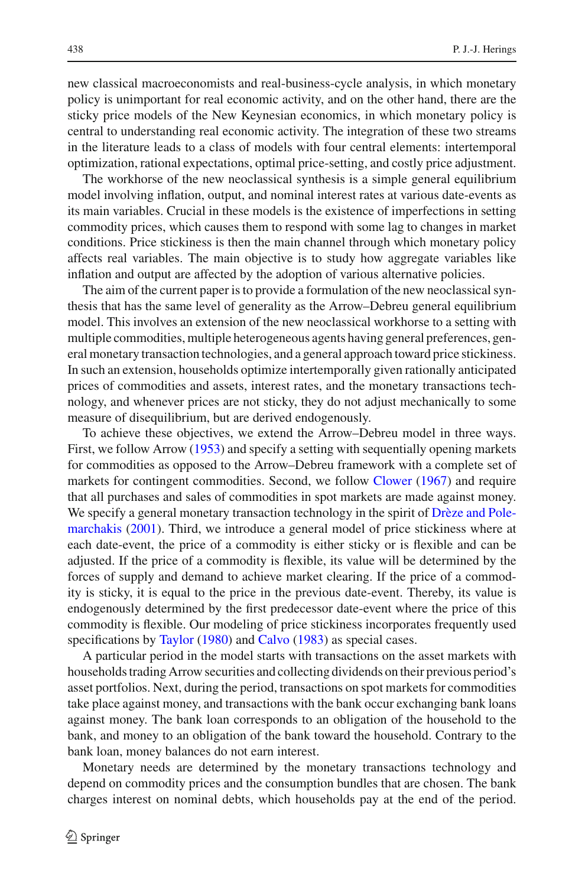new classical macroeconomists and real-business-cycle analysis, in which monetary policy is unimportant for real economic activity, and on the other hand, there are the sticky price models of the New Keynesian economics, in which monetary policy is central to understanding real economic activity. The integration of these two streams in the literature leads to a class of models with four central elements: intertemporal optimization, rational expectations, optimal price-setting, and costly price adjustment.

The workhorse of the new neoclassical synthesis is a simple general equilibrium model involving inflation, output, and nominal interest rates at various date-events as its main variables. Crucial in these models is the existence of imperfections in setting commodity prices, which causes them to respond with some lag to changes in market conditions. Price stickiness is then the main channel through which monetary policy affects real variables. The main objective is to study how aggregate variables like inflation and output are affected by the adoption of various alternative policies.

The aim of the current paper is to provide a formulation of the new neoclassical synthesis that has the same level of generality as the Arrow–Debreu general equilibrium model. This involves an extension of the new neoclassical workhorse to a setting with multiple commodities, multiple heterogeneous agents having general preferences, general monetary transaction technologies, and a general approach toward price stickiness. In such an extension, households optimize intertemporally given rationally anticipated prices of commodities and assets, interest rates, and the monetary transactions technology, and whenever prices are not sticky, they do not adjust mechanically to some measure of disequilibrium, but are derived endogenously.

To achieve these objectives, we extend the Arrow–Debreu model in three ways. First, we follow Arrow [\(1953\)](#page-40-0) and specify a setting with sequentially opening markets for commodities as opposed to the Arrow–Debreu framework with a complete set of markets for contingent commodities. Second, we follow [Clower](#page-40-1) [\(1967\)](#page-40-1) and require that all purchases and sales of commodities in spot markets are made against money. We specif[y](#page-41-1) [a](#page-41-1) [general](#page-41-1) [monetary](#page-41-1) [transaction](#page-41-1) [technology](#page-41-1) [in](#page-41-1) [the](#page-41-1) [spirit](#page-41-1) [of](#page-41-1) Drèze and Polemarchakis [\(2001\)](#page-41-1). Third, we introduce a general model of price stickiness where at each date-event, the price of a commodity is either sticky or is flexible and can be adjusted. If the price of a commodity is flexible, its value will be determined by the forces of supply and demand to achieve market clearing. If the price of a commodity is sticky, it is equal to the price in the previous date-event. Thereby, its value is endogenously determined by the first predecessor date-event where the price of this commodity is flexible. Our modeling of price stickiness incorporates frequently used specifications by [Taylor](#page-41-2) [\(1980](#page-41-2)) and [Calvo](#page-40-2) [\(1983](#page-40-2)) as special cases.

A particular period in the model starts with transactions on the asset markets with households trading Arrow securities and collecting dividends on their previous period's asset portfolios. Next, during the period, transactions on spot markets for commodities take place against money, and transactions with the bank occur exchanging bank loans against money. The bank loan corresponds to an obligation of the household to the bank, and money to an obligation of the bank toward the household. Contrary to the bank loan, money balances do not earn interest.

Monetary needs are determined by the monetary transactions technology and depend on commodity prices and the consumption bundles that are chosen. The bank charges interest on nominal debts, which households pay at the end of the period.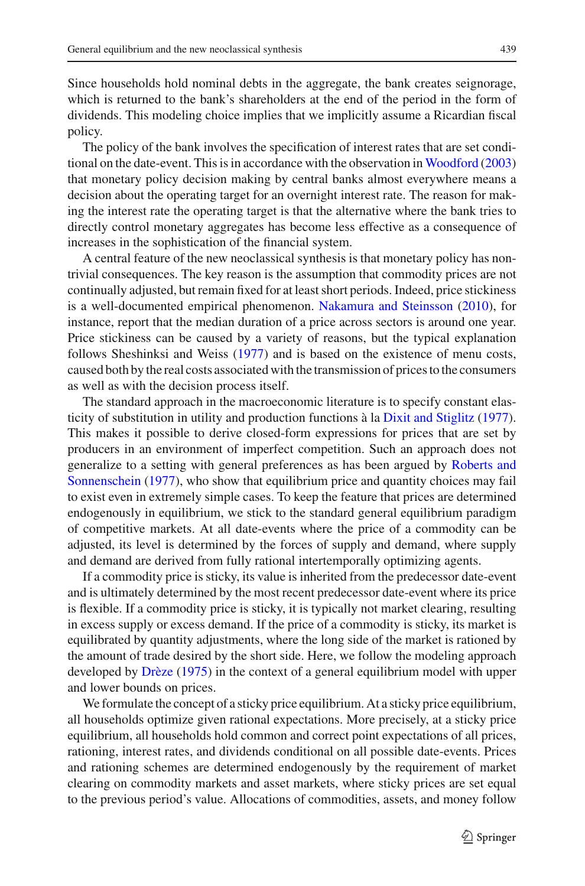Since households hold nominal debts in the aggregate, the bank creates seignorage, which is returned to the bank's shareholders at the end of the period in the form of dividends. This modeling choice implies that we implicitly assume a Ricardian fiscal policy.

The policy of the bank involves the specification of interest rates that are set conditional on the date-event. This is in accordance with the observation in [Woodford](#page-41-3) [\(2003\)](#page-41-3) that monetary policy decision making by central banks almost everywhere means a decision about the operating target for an overnight interest rate. The reason for making the interest rate the operating target is that the alternative where the bank tries to directly control monetary aggregates has become less effective as a consequence of increases in the sophistication of the financial system.

A central feature of the new neoclassical synthesis is that monetary policy has nontrivial consequences. The key reason is the assumption that commodity prices are not continually adjusted, but remain fixed for at least short periods. Indeed, price stickiness is a well-documented empirical phenomenon. [Nakamura and Steinsson](#page-41-4) [\(2010](#page-41-4)), for instance, report that the median duration of a price across sectors is around one year. Price stickiness can be caused by a variety of reasons, but the typical explanation follows Sheshinksi and Weiss [\(1977](#page-41-5)) and is based on the existence of menu costs, caused both by the real costs associated with the transmission of prices to the consumers as well as with the decision process itself.

The standard approach in the macroeconomic literature is to specify constant elasticity of substitution in utility and production functions à la [Dixit and Stiglitz](#page-41-6) [\(1977](#page-41-6)). This makes it possible to derive closed-form expressions for prices that are set by producers in an environment of imperfect competition. Such an approach does not generalize to [a](#page-41-7) [setting](#page-41-7) [with](#page-41-7) [general](#page-41-7) [preferences](#page-41-7) [as](#page-41-7) [has](#page-41-7) [been](#page-41-7) [argued](#page-41-7) [by](#page-41-7) Roberts and Sonnenschein [\(1977\)](#page-41-7), who show that equilibrium price and quantity choices may fail to exist even in extremely simple cases. To keep the feature that prices are determined endogenously in equilibrium, we stick to the standard general equilibrium paradigm of competitive markets. At all date-events where the price of a commodity can be adjusted, its level is determined by the forces of supply and demand, where supply and demand are derived from fully rational intertemporally optimizing agents.

If a commodity price is sticky, its value is inherited from the predecessor date-event and is ultimately determined by the most recent predecessor date-event where its price is flexible. If a commodity price is sticky, it is typically not market clearing, resulting in excess supply or excess demand. If the price of a commodity is sticky, its market is equilibrated by quantity adjustments, where the long side of the market is rationed by the amount of trade desired by the short side. Here, we follow the modeling approach developed by [Drèze](#page-41-8) [\(1975\)](#page-41-8) in the context of a general equilibrium model with upper and lower bounds on prices.

We formulate the concept of a sticky price equilibrium. At a sticky price equilibrium, all households optimize given rational expectations. More precisely, at a sticky price equilibrium, all households hold common and correct point expectations of all prices, rationing, interest rates, and dividends conditional on all possible date-events. Prices and rationing schemes are determined endogenously by the requirement of market clearing on commodity markets and asset markets, where sticky prices are set equal to the previous period's value. Allocations of commodities, assets, and money follow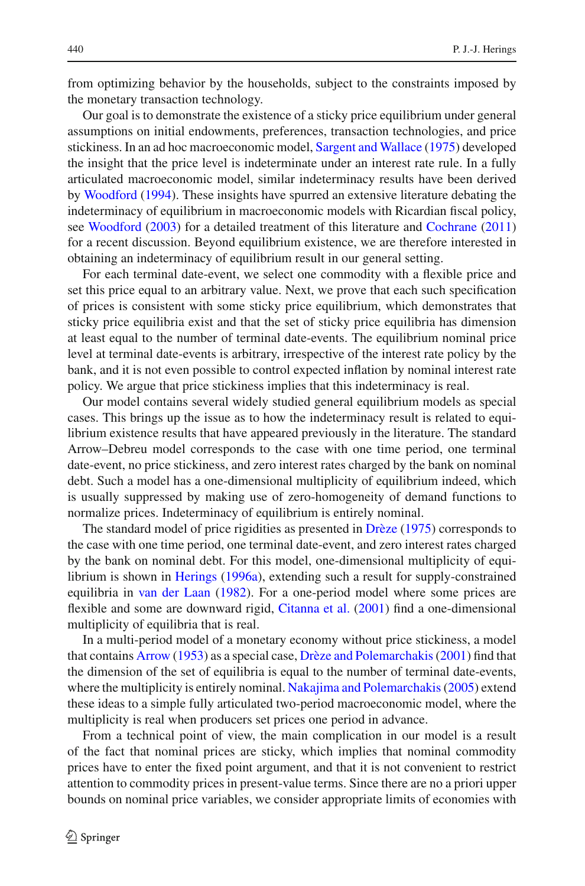from optimizing behavior by the households, subject to the constraints imposed by the monetary transaction technology.

Our goal is to demonstrate the existence of a sticky price equilibrium under general assumptions on initial endowments, preferences, transaction technologies, and price stickiness. In an ad hoc macroeconomic model, [Sargent and Wallace](#page-41-9) [\(1975](#page-41-9)) developed the insight that the price level is indeterminate under an interest rate rule. In a fully articulated macroeconomic model, similar indeterminacy results have been derived by [Woodford](#page-41-10) [\(1994\)](#page-41-10). These insights have spurred an extensive literature debating the indeterminacy of equilibrium in macroeconomic models with Ricardian fiscal policy, see [Woodford](#page-41-3) [\(2003\)](#page-41-3) for a detailed treatment of this literature and [Cochrane](#page-41-11) [\(2011\)](#page-41-11) for a recent discussion. Beyond equilibrium existence, we are therefore interested in obtaining an indeterminacy of equilibrium result in our general setting.

For each terminal date-event, we select one commodity with a flexible price and set this price equal to an arbitrary value. Next, we prove that each such specification of prices is consistent with some sticky price equilibrium, which demonstrates that sticky price equilibria exist and that the set of sticky price equilibria has dimension at least equal to the number of terminal date-events. The equilibrium nominal price level at terminal date-events is arbitrary, irrespective of the interest rate policy by the bank, and it is not even possible to control expected inflation by nominal interest rate policy. We argue that price stickiness implies that this indeterminacy is real.

Our model contains several widely studied general equilibrium models as special cases. This brings up the issue as to how the indeterminacy result is related to equilibrium existence results that have appeared previously in the literature. The standard Arrow–Debreu model corresponds to the case with one time period, one terminal date-event, no price stickiness, and zero interest rates charged by the bank on nominal debt. Such a model has a one-dimensional multiplicity of equilibrium indeed, which is usually suppressed by making use of zero-homogeneity of demand functions to normalize prices. Indeterminacy of equilibrium is entirely nominal.

The standard model of price rigidities as presented in [Drèze](#page-41-8) [\(1975](#page-41-8)) corresponds to the case with one time period, one terminal date-event, and zero interest rates charged by the bank on nominal debt. For this model, one-dimensional multiplicity of equilibrium is shown in [Herings](#page-41-12) [\(1996a\)](#page-41-12), extending such a result for supply-constrained equilibria in [van der Laan](#page-41-13) [\(1982](#page-41-13)). For a one-period model where some prices are flexible and some are downward rigid, [Citanna et al.](#page-40-3) [\(2001](#page-40-3)) find a one-dimensional multiplicity of equilibria that is real.

In a multi-period model of a monetary economy without price stickiness, a model that contains [Arrow](#page-40-0) [\(1953](#page-40-0)) as a special case, [Drèze and Polemarchakis\(2001\)](#page-41-1) find that the dimension of the set of equilibria is equal to the number of terminal date-events, where the multiplicity is entirely nominal. Nakajima and Polemarchakis (2005) extend these ideas to a simple fully articulated two-period macroeconomic model, where the multiplicity is real when producers set prices one period in advance.

From a technical point of view, the main complication in our model is a result of the fact that nominal prices are sticky, which implies that nominal commodity prices have to enter the fixed point argument, and that it is not convenient to restrict attention to commodity prices in present-value terms. Since there are no a priori upper bounds on nominal price variables, we consider appropriate limits of economies with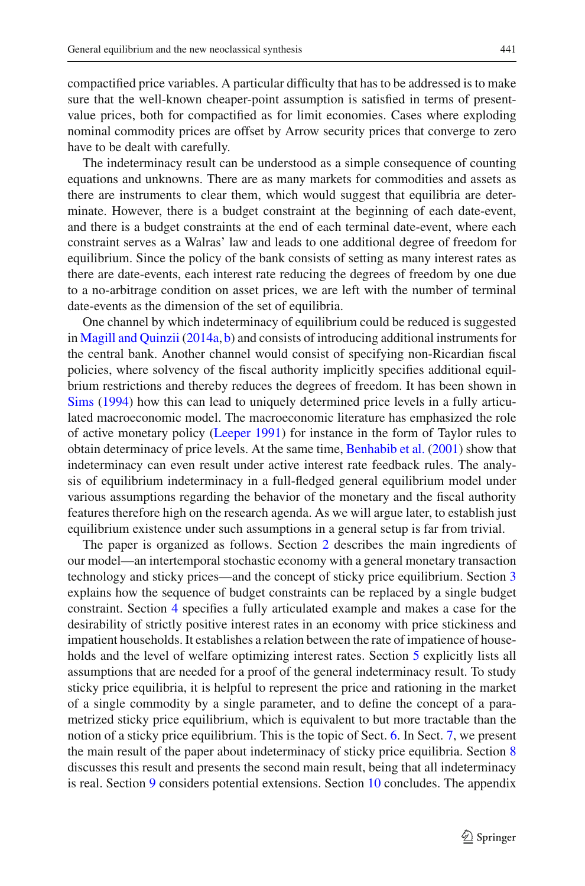compactified price variables. A particular difficulty that has to be addressed is to make sure that the well-known cheaper-point assumption is satisfied in terms of presentvalue prices, both for compactified as for limit economies. Cases where exploding nominal commodity prices are offset by Arrow security prices that converge to zero have to be dealt with carefully.

The indeterminacy result can be understood as a simple consequence of counting equations and unknowns. There are as many markets for commodities and assets as there are instruments to clear them, which would suggest that equilibria are determinate. However, there is a budget constraint at the beginning of each date-event, and there is a budget constraints at the end of each terminal date-event, where each constraint serves as a Walras' law and leads to one additional degree of freedom for equilibrium. Since the policy of the bank consists of setting as many interest rates as there are date-events, each interest rate reducing the degrees of freedom by one due to a no-arbitrage condition on asset prices, we are left with the number of terminal date-events as the dimension of the set of equilibria.

One channel by which indeterminacy of equilibrium could be reduced is suggested in [Magill and Quinzii](#page-41-15) [\(2014a,](#page-41-15) [b](#page-41-16)) and consists of introducing additional instruments for the central bank. Another channel would consist of specifying non-Ricardian fiscal policies, where solvency of the fiscal authority implicitly specifies additional equilbrium restrictions and thereby reduces the degrees of freedom. It has been shown in [Sims](#page-41-17) [\(1994\)](#page-41-17) how this can lead to uniquely determined price levels in a fully articulated macroeconomic model. The macroeconomic literature has emphasized the role of active monetary policy [\(Leeper 1991\)](#page-41-18) for instance in the form of Taylor rules to obtain determinacy of price levels. At the same time, [Benhabib et al.](#page-40-4) [\(2001\)](#page-40-4) show that indeterminacy can even result under active interest rate feedback rules. The analysis of equilibrium indeterminacy in a full-fledged general equilibrium model under various assumptions regarding the behavior of the monetary and the fiscal authority features therefore high on the research agenda. As we will argue later, to establish just equilibrium existence under such assumptions in a general setup is far from trivial.

The paper is organized as follows. Section [2](#page-6-0) describes the main ingredients of our model—an intertemporal stochastic economy with a general monetary transaction technology and sticky prices—and the concept of sticky price equilibrium. Section [3](#page-12-0) explains how the sequence of budget constraints can be replaced by a single budget constraint. Section [4](#page-13-0) specifies a fully articulated example and makes a case for the desirability of strictly positive interest rates in an economy with price stickiness and impatient households. It establishes a relation between the rate of impatience of house-holds and the level of welfare optimizing interest rates. Section [5](#page-17-0) explicitly lists all assumptions that are needed for a proof of the general indeterminacy result. To study sticky price equilibria, it is helpful to represent the price and rationing in the market of a single commodity by a single parameter, and to define the concept of a parametrized sticky price equilibrium, which is equivalent to but more tractable than the notion of a sticky price equilibrium. This is the topic of Sect. [6.](#page-18-0) In Sect. [7,](#page-21-0) we present the main result of the paper about indeterminacy of sticky price equilibria. Section [8](#page-22-0) discusses this result and presents the second main result, being that all indeterminacy is real. Section [9](#page-25-0) considers potential extensions. Section [10](#page-27-0) concludes. The appendix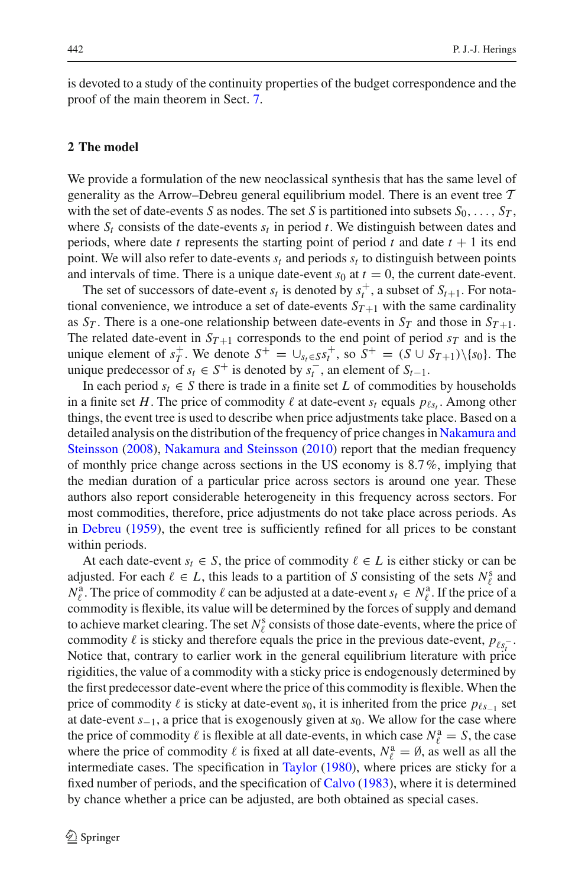is devoted to a study of the continuity properties of the budget correspondence and the proof of the main theorem in Sect. [7.](#page-21-0)

#### <span id="page-6-0"></span>**2 The model**

We provide a formulation of the new neoclassical synthesis that has the same level of generality as the Arrow–Debreu general equilibrium model. There is an event tree *T* with the set of date-events *S* as nodes. The set *S* is partitioned into subsets  $S_0, \ldots, S_T$ , where  $S_t$  consists of the date-events  $s_t$  in period  $t$ . We distinguish between dates and periods, where date *t* represents the starting point of period *t* and date  $t + 1$  its end point. We will also refer to date-events  $s_t$  and periods  $s_t$  to distinguish between points and intervals of time. There is a unique date-event  $s_0$  at  $t = 0$ , the current date-event.

The set of successors of date-event  $s_t$  is denoted by  $s_t^+$ , a subset of  $S_{t+1}$ . For notational convenience, we introduce a set of date-events  $S_{T+1}$  with the same cardinality as  $S_T$ . There is a one-one relationship between date-events in  $S_T$  and those in  $S_{T+1}$ . The related date-event in  $S_{T+1}$  corresponds to the end point of period  $S_T$  and is the unique element of  $s_T^+$ . We denote  $S^+ = \bigcup_{s_t \in S} s_t^+$ , so  $S^+ = (S \cup S_{T+1}) \setminus \{s_0\}$ . The unique predecessor of *s<sub>t</sub>* ∈ *S*<sup>+</sup> is denoted by  $s_t^-$ , an element of *S<sub>t−1</sub>*.

In each period  $s_t \in S$  there is trade in a finite set *L* of commodities by households in a finite set *H*. The price of commodity  $\ell$  at date-event  $s_t$  equals  $p_{\ell s_t}$ . Among other things, the event tree is used to describe when price adjustments take place. Based on a detailed a[nalysis](#page-41-19) [on](#page-41-19) [the](#page-41-19) [distribution](#page-41-19) [of](#page-41-19) [the](#page-41-19) [frequency](#page-41-19) [of](#page-41-19) [price](#page-41-19) [changes](#page-41-19) [in](#page-41-19) Nakamura and Steinsson [\(2008](#page-41-19)), [Nakamura and Steinsson](#page-41-4) [\(2010](#page-41-4)) report that the median frequency of monthly price change across sections in the US economy is  $8.7\%$ , implying that the median duration of a particular price across sectors is around one year. These authors also report considerable heterogeneity in this frequency across sectors. For most commodities, therefore, price adjustments do not take place across periods. As in [Debreu](#page-41-20) [\(1959\)](#page-41-20), the event tree is sufficiently refined for all prices to be constant within periods.

At each date-event  $s_t \in S$ , the price of commodity  $\ell \in L$  is either sticky or can be adjusted. For each  $\ell \in L$ , this leads to a partition of *S* consisting of the sets  $N_{\ell}^{s}$  and *N*<sub> $\ell$ </sub>. The price of commodity  $\ell$  can be adjusted at a date-event  $s_t \in N_{\ell}^{\text{a}}$ . If the price of a commodity is flexible, its value will be determined by the forces of supply and demand to achieve market clearing. The set  $N_{\ell}^{s}$  consists of those date-events, where the price of commodity  $\ell$  is sticky and therefore equals the price in the previous date-event,  $p_{\ell s_{\ell}}$ . Notice that, contrary to earlier work in the general equilibrium literature with price rigidities, the value of a commodity with a sticky price is endogenously determined by the first predecessor date-event where the price of this commodity is flexible. When the price of commodity  $\ell$  is sticky at date-event  $s_0$ , it is inherited from the price  $p_{\ell s_{-1}}$  set at date-event *s*−1, a price that is exogenously given at *s*0. We allow for the case where the price of commodity  $\ell$  is flexible at all date-events, in which case  $N_{\ell}^{\text{a}} = S$ , the case where the price of commodity  $\ell$  is fixed at all date-events,  $N_{\ell}^{\text{a}} = \emptyset$ , as well as all the intermediate cases. The specification in [Taylor](#page-41-2) [\(1980](#page-41-2)), where prices are sticky for a fixed number of periods, and the specification of [Calvo](#page-40-2) [\(1983](#page-40-2)), where it is determined by chance whether a price can be adjusted, are both obtained as special cases.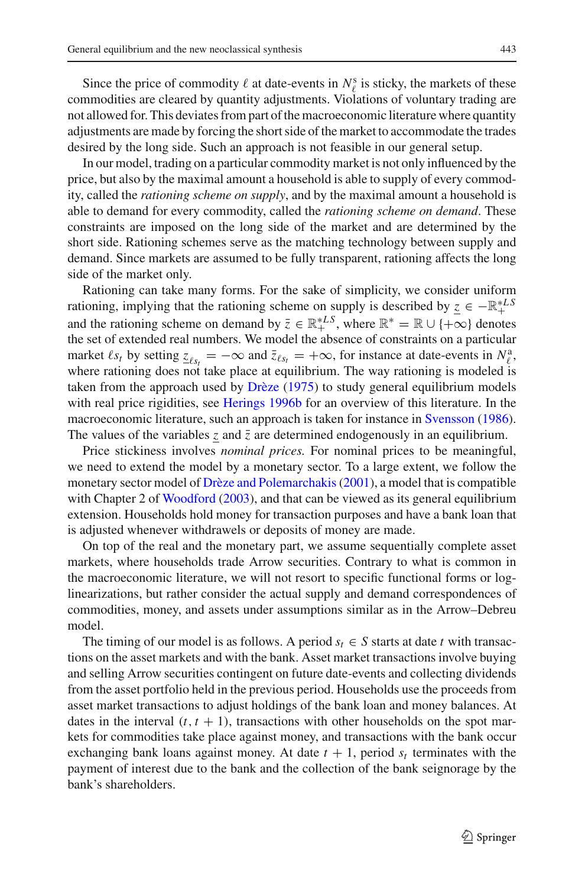Since the price of commodity  $\ell$  at date-events in  $N_{\ell}^{s}$  is sticky, the markets of these commodities are cleared by quantity adjustments. Violations of voluntary trading are not allowed for. This deviates from part of the macroeconomic literature where quantity adjustments are made by forcing the short side of the market to accommodate the trades desired by the long side. Such an approach is not feasible in our general setup.

In our model, trading on a particular commodity market is not only influenced by the price, but also by the maximal amount a household is able to supply of every commodity, called the *rationing scheme on supply*, and by the maximal amount a household is able to demand for every commodity, called the *rationing scheme on demand*. These constraints are imposed on the long side of the market and are determined by the short side. Rationing schemes serve as the matching technology between supply and demand. Since markets are assumed to be fully transparent, rationing affects the long side of the market only.

Rationing can take many forms. For the sake of simplicity, we consider uniform rationing, implying that the rationing scheme on supply is described by  $z \in -\mathbb{R}^{*LS}_{+}$ and the rationing scheme on demand by  $\bar{z} \in \mathbb{R}^{*LS}_+$ , where  $\mathbb{R}^* = \mathbb{R} \cup \{+\infty\}$  denotes the set of extended real numbers. We model the absence of constraints on a particular market  $\ell s_t$  by setting  $z_{\ell s_t} = -\infty$  and  $\bar{z}_{\ell s_t} = +\infty$ , for instance at date-events in  $N_\ell^a$ , where rationing does not take place at equilibrium. The way rationing is modeled is taken from the approach used by [Drèze](#page-41-8) [\(1975](#page-41-8)) to study general equilibrium models with real price rigidities, see [Herings 1996b](#page-41-21) for an overview of this literature. In the macroeconomic literature, such an approach is taken for instance in [Svensson](#page-41-22) [\(1986](#page-41-22)). The values of the variables  $z$  and  $\overline{z}$  are determined endogenously in an equilibrium.

Price stickiness involves *nominal prices.* For nominal prices to be meaningful, we need to extend the model by a monetary sector. To a large extent, we follow the monetary sector model of [Drèze and Polemarchakis\(2001](#page-41-1)), a model that is compatible with Chapter 2 of [Woodford](#page-41-3) [\(2003\)](#page-41-3), and that can be viewed as its general equilibrium extension. Households hold money for transaction purposes and have a bank loan that is adjusted whenever withdrawels or deposits of money are made.

On top of the real and the monetary part, we assume sequentially complete asset markets, where households trade Arrow securities. Contrary to what is common in the macroeconomic literature, we will not resort to specific functional forms or loglinearizations, but rather consider the actual supply and demand correspondences of commodities, money, and assets under assumptions similar as in the Arrow–Debreu model.

The timing of our model is as follows. A period  $s_t \in S$  starts at date *t* with transactions on the asset markets and with the bank. Asset market transactions involve buying and selling Arrow securities contingent on future date-events and collecting dividends from the asset portfolio held in the previous period. Households use the proceeds from asset market transactions to adjust holdings of the bank loan and money balances. At dates in the interval  $(t, t + 1)$ , transactions with other households on the spot markets for commodities take place against money, and transactions with the bank occur exchanging bank loans against money. At date  $t + 1$ , period  $s_t$  terminates with the payment of interest due to the bank and the collection of the bank seignorage by the bank's shareholders.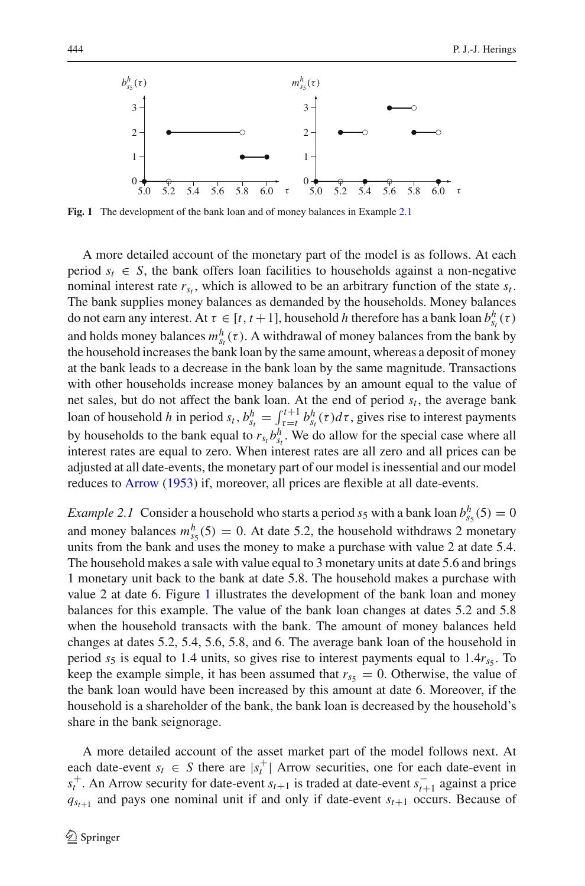

<span id="page-8-1"></span>**Fig. 1** The development of the bank loan and of money balances in Example [2.1](#page-8-0)

A more detailed account of the monetary part of the model is as follows. At each period  $s_t \in S$ , the bank offers loan facilities to households against a non-negative nominal interest rate  $r_s$ , which is allowed to be an arbitrary function of the state  $s_t$ . The bank supplies money balances as demanded by the households. Money balances do not earn any interest. At  $\tau \in [t, t+1]$ , household *h* therefore has a bank loan  $b_{s_t}^h(\tau)$ and holds money balances  $m_{s_t}^h(\tau)$ . A withdrawal of money balances from the bank by the household increases the bank loan by the same amount, whereas a deposit of money at the bank leads to a decrease in the bank loan by the same magnitude. Transactions with other households increase money balances by an amount equal to the value of net sales, but do not affect the bank loan. At the end of period  $s_t$ , the average bank loan of household *h* in period  $s_t$ ,  $b_{s_t}^h = \int_{\tau=t}^{t+1} b_{s_t}^h(\tau) d\tau$ , gives rise to interest payments by households to the bank equal to  $r_{s_t}b_{s_t}^h$ . We do allow for the special case where all interest rates are equal to zero. When interest rates are all zero and all prices can be adjusted at all date-events, the monetary part of our model is inessential and our model reduces to [Arrow](#page-40-0) [\(1953](#page-40-0)) if, moreover, all prices are flexible at all date-events.

<span id="page-8-0"></span>*Example 2.1* Consider a household who starts a period  $s_5$  with a bank loan  $b_{s_5}^h(5) = 0$ and money balances  $m_{s_5}^h(5) = 0$ . At date 5.2, the household withdraws 2 monetary units from the bank and uses the money to make a purchase with value 2 at date 5.4. The household makes a sale with value equal to 3 monetary units at date 5.6 and brings 1 monetary unit back to the bank at date 5.8. The household makes a purchase with value 2 at date 6. Figure [1](#page-8-1) illustrates the development of the bank loan and money balances for this example. The value of the bank loan changes at dates 5.2 and 5.8 when the household transacts with the bank. The amount of money balances held changes at dates 5.2, 5.4, 5.6, 5.8, and 6. The average bank loan of the household in period  $s_5$  is equal to 1.4 units, so gives rise to interest payments equal to  $1.4r_{ss}$ . To keep the example simple, it has been assumed that  $r_{ss} = 0$ . Otherwise, the value of the bank loan would have been increased by this amount at date 6. Moreover, if the household is a shareholder of the bank, the bank loan is decreased by the household's share in the bank seignorage.

A more detailed account of the asset market part of the model follows next. At each date-event  $s_t \in S$  there are  $|s_t^+|$  Arrow securities, one for each date-event in *s*<sup>+</sup>. An Arrow security for date-event *s*<sub>*t*+1</sub> is traded at date-event *s*<sub>*t*+1</sub> against a price  $q_{s_{t+1}}$  and pays one nominal unit if and only if date-event  $s_{t+1}$  occurs. Because of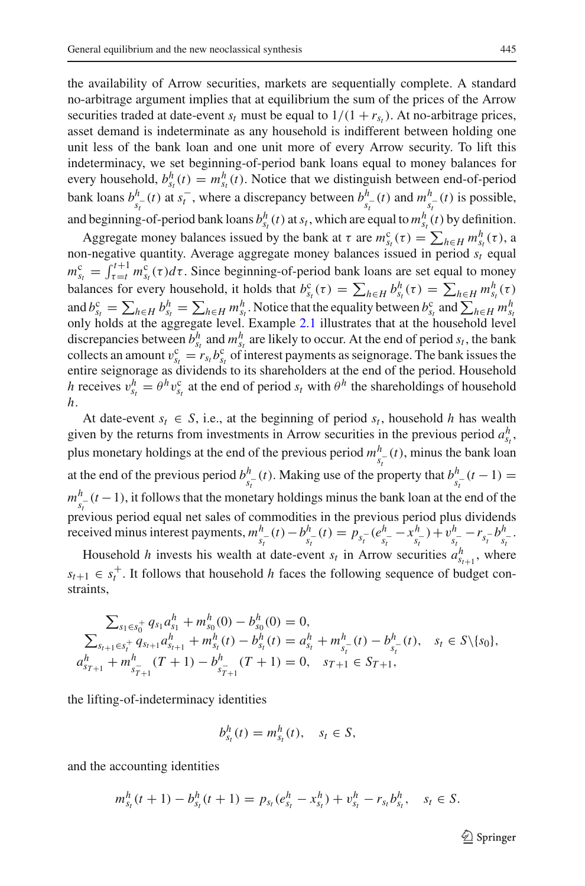the availability of Arrow securities, markets are sequentially complete. A standard no-arbitrage argument implies that at equilibrium the sum of the prices of the Arrow securities traded at date-event  $s_t$  must be equal to  $1/(1 + r_{s_t})$ . At no-arbitrage prices, asset demand is indeterminate as any household is indifferent between holding one unit less of the bank loan and one unit more of every Arrow security. To lift this indeterminacy, we set beginning-of-period bank loans equal to money balances for every household,  $b_{s_t}^h(t) = m_{s_t}^h(t)$ . Notice that we distinguish between end-of-period bank loans  $b_{s_t^-}^h(t)$  at  $s_t^-$ , where a discrepancy between  $b_{s_t^-}^h(t)$  and  $m_{s_t^-}^h(t)$  is possible, and beginning-of-period bank loans  $b_{s_t}^h(t)$  at  $s_t$ , which are equal to  $m_{s_t}^{h_t}(t)$  by definition.

Aggregate money balances issued by the bank at  $\tau$  are  $m_{s_t}^c(\tau) = \sum_{h \in H} m_{s_t}^h(\tau)$ , a non-negative quantity. Average aggregate money balances issued in period  $s_t$  equal  $m_{s_t}^c = \int_{\tau=t}^{t+1} m_{s_t}^c(\tau) d\tau$ . Since beginning-of-period bank loans are set equal to money balances for every household, it holds that  $b_{s_t}^c(\tau) = \sum_{h \in H} b_{s_t}^h(\tau) = \sum_{h \in H} m_{s_t}^h(\tau)$ and  $b_{s_t}^c = \sum_{h \in H} b_{s_t}^h = \sum_{h \in H} m_{s_t}^h$ . Notice that the equality between  $b_{s_t}^c$  and  $\sum_{h \in H} m_{s_t}^h$  only holds at the aggregate level. Example [2.1](#page-8-0) illustrates that at the household level discrepancies between  $b_{s_t}^h$  and  $m_{s_t}^h$  are likely to occur. At the end of period  $s_t$ , the bank collects an amount  $v_{s_t}^c = r_{s_t} b_{s_t}^c$  of interest payments as seignorage. The bank issues the entire seignorage as dividends to its shareholders at the end of the period. Household *h* receives  $v_{s_t}^h = \theta^h v_{s_t}^c$  at the end of period  $s_t$  with  $\theta^h$  the shareholdings of household *h*.

At date-event  $s_t \in S$ , i.e., at the beginning of period  $s_t$ , household *h* has wealth given by the returns from investments in Arrow securities in the previous period  $a_{s}^h$ , plus monetary holdings at the end of the previous period  $m_{s_t}^h(t)$ , minus the bank loan at the end of the previous period  $b_{s_t^-}^h(t)$ . Making use of the property that  $b_{s_t^-}^h(t-1)$  =  $m_{s_t}^h$  (*t* − 1), it follows that the monetary holdings minus the bank loan at the end of the previous period equal net sales of commodities in the previous period plus dividends received minus interest payments,  $m_{s_f}^h(t) - b_{s_f}^h(t) = p_{s_f} - (e_{s_f}^h - x_{s_f}^h) + v_{s_f}^h - r_{s_f} - b_{s_f}^h$ .

Household *h* invests his wealth at date-event  $s_t$  in Arrow securities  $a_{s_{t+1}}^h$ , where  $s_{t+1} \in s_t^+$ . It follows that household *h* faces the following sequence of budget constraints,

$$
\sum_{s_1 \in s_0^+} q_{s_1} a_{s_1}^h + m_{s_0}^h(0) - b_{s_0}^h(0) = 0,
$$
\n
$$
\sum_{s_{t+1} \in s_t^+} q_{s_{t+1}} a_{s_{t+1}}^h + m_{s_t}^h(t) - b_{s_t}^h(t) = a_{s_t}^h + m_{s_t}^h(t) - b_{s_t}^h(t), \quad s_t \in S \setminus \{s_0\},
$$
\n
$$
a_{s_{t+1}}^h + m_{s_{t+1}}^h(T+1) - b_{s_{t+1}}^h(T+1) = 0, \quad s_{t+1} \in S_{t+1},
$$

the lifting-of-indeterminacy identities

$$
b_{s_t}^h(t) = m_{s_t}^h(t), \quad s_t \in S,
$$

and the accounting identities

$$
m_{s_t}^h(t+1)-b_{s_t}^h(t+1)=p_{s_t}(e_{s_t}^h-x_{s_t}^h)+v_{s_t}^h-r_{s_t}b_{s_t}^h, \quad s_t \in S.
$$

 $\mathcal{L}$  Springer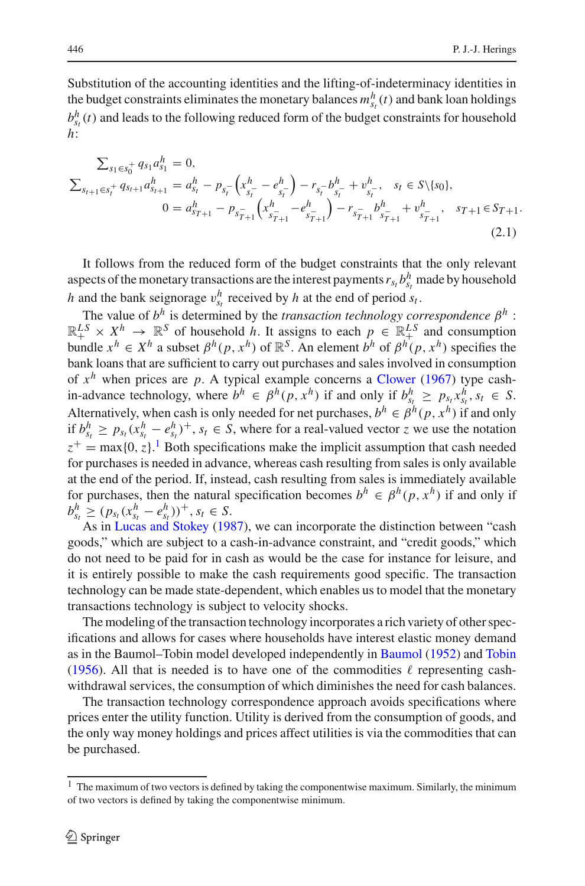Substitution of the accounting identities and the lifting-of-indeterminacy identities in the budget constraints eliminates the monetary balances  $m_{s_t}^h(t)$  and bank loan holdings  $b<sub>s<sub>t</sub></sub><sup>h</sup>(t)$  and leads to the following reduced form of the budget constraints for household *h*:

<span id="page-10-1"></span>
$$
\sum_{s_1 \in s_0^+} q_{s_1} a_{s_1}^h = 0,
$$
\n
$$
\sum_{s_{t+1} \in s_t^+} q_{s_{t+1}} a_{s_{t+1}}^h = a_{s_t}^h - p_{s_t^-} \left( x_{s_t^-}^h - e_{s_t^-}^h \right) - r_{s_t^-} b_{s_t^-}^h + v_{s_t^-}^h, \quad s_t \in S \setminus \{s_0\},
$$
\n
$$
0 = a_{s_{T+1}}^h - p_{s_{T+1}^-} \left( x_{s_{T+1}^-}^h - e_{s_{T+1}^-}^h \right) - r_{s_{T+1}^-} b_{s_{T+1}^+}^h + v_{s_{T+1}^-}^h, \quad s_{T+1} \in S_{T+1}.
$$
\n
$$
(2.1)
$$

It follows from the reduced form of the budget constraints that the only relevant aspects of the monetary transactions are the interest payments  $r_{s_t} b_{s_t}^h$  made by household *h* and the bank seignorage  $v_{s_t}^h$  received by *h* at the end of period  $s_t$ .

The value of *b<sup>h</sup>* is determined by the *transaction technology correspondence* β*<sup>h</sup>* :  $\mathbb{R}^{LS}_+ \times X^h \to \mathbb{R}^S$  of household *h*. It assigns to each  $p \in \mathbb{R}^{LS}_+$  and consumption bundle  $x^h \in X^h$  a subset  $\beta^h(p, x^h)$  of  $\mathbb{R}^S$ . An element  $b^h$  of  $\beta^h(p, x^h)$  specifies the bank loans that are sufficient to carry out purchases and sales involved in consumption of  $x^h$  when prices are p. A typical example concerns a [Clower](#page-40-1) [\(1967](#page-40-1)) type cashin-advance technology, where  $b^h \in \beta^h(p, x^h)$  if and only if  $b^h_{s_t} \ge p_{s_t} x^h_{s_t}, s_t \in S$ . Alternatively, when cash is only needed for net purchases,  $b^h \in \beta^h(p, x^h)$  if and only if  $b_{s_t}^h \ge p_{s_t}(x_{s_t}^h - e_{s_t}^h)^+$ ,  $s_t \in S$ , where for a real-valued vector *z* we use the notation  $z^+$  = max $\{0, z\}$ .<sup>[1](#page-10-0)</sup> Both specifications make the implicit assumption that cash needed for purchases is needed in advance, whereas cash resulting from sales is only available at the end of the period. If, instead, cash resulting from sales is immediately available for purchases, then the natural specification becomes  $b^h \in \beta^h(p, x^h)$  if and only if  $b_{s_t}^h \ge (p_{s_t}(x_{s_t}^h - e_{s_t}^h))^+, s_t \in S.$ 

As in [Lucas and Stokey](#page-41-23) [\(1987](#page-41-23)), we can incorporate the distinction between "cash goods," which are subject to a cash-in-advance constraint, and "credit goods," which do not need to be paid for in cash as would be the case for instance for leisure, and it is entirely possible to make the cash requirements good specific. The transaction technology can be made state-dependent, which enables us to model that the monetary transactions technology is subject to velocity shocks.

The modeling of the transaction technology incorporates a rich variety of other specifications and allows for cases where households have interest elastic money demand as in the Baumol–Tobin model developed independently in [Baumol](#page-40-5) [\(1952\)](#page-40-5) and [Tobin](#page-41-24) [\(1956\)](#page-41-24). All that is needed is to have one of the commodities  $\ell$  representing cashwithdrawal services, the consumption of which diminishes the need for cash balances.

The transaction technology correspondence approach avoids specifications where prices enter the utility function. Utility is derived from the consumption of goods, and the only way money holdings and prices affect utilities is via the commodities that can be purchased.

<span id="page-10-0"></span> $1$  The maximum of two vectors is defined by taking the componentwise maximum. Similarly, the minimum of two vectors is defined by taking the componentwise minimum.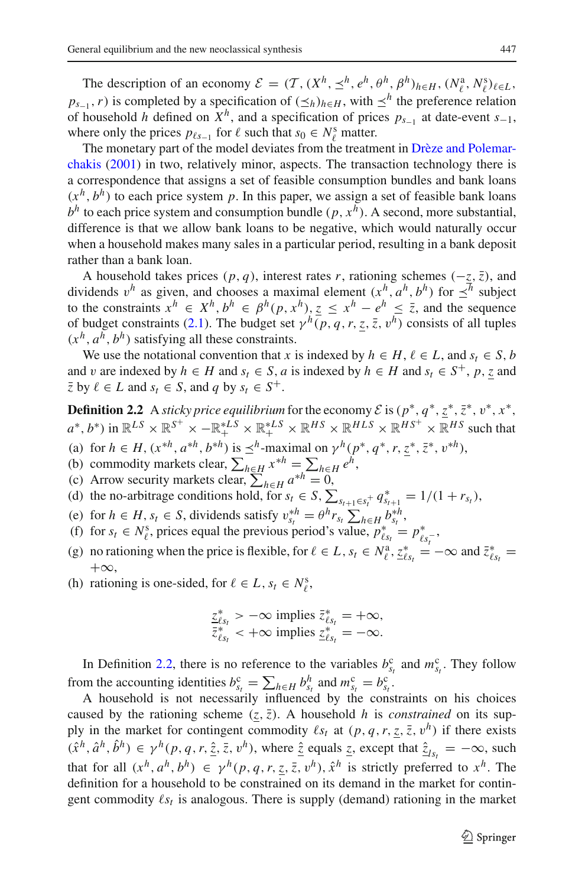The description of an economy  $\mathcal{E} = (\mathcal{T}, (X^h, \leq^h, e^h, \theta^h, \beta^h)_{h \in H}, (N^a_\ell, N^s_\ell)_{\ell \in L},$  $p_{s-1}$ , *r*) is completed by a specification of  $(\leq_h)_{h\in H}$ , with  $\leq^h$  the preference relation of household *h* defined on  $X^h$ , and a specification of prices  $p_{s-1}$  at date-event  $s_{-1}$ , where only the prices  $p_{\ell s-1}$  for  $\ell$  such that  $s_0 \in N_{\ell}^s$  matter.

Th[e](#page-41-1) [monetary](#page-41-1) [part](#page-41-1) [of](#page-41-1) [the](#page-41-1) [model](#page-41-1) [deviates](#page-41-1) [from](#page-41-1) [the](#page-41-1) [treatment](#page-41-1) [in](#page-41-1) Drèze and Polemarchakis [\(2001\)](#page-41-1) in two, relatively minor, aspects. The transaction technology there is a correspondence that assigns a set of feasible consumption bundles and bank loans  $(x<sup>h</sup>, b<sup>h</sup>)$  to each price system *p*. In this paper, we assign a set of feasible bank loans  $b^h$  to each price system and consumption bundle  $(p, x^h)$ . A second, more substantial, difference is that we allow bank loans to be negative, which would naturally occur when a household makes many sales in a particular period, resulting in a bank deposit rather than a bank loan.

A household takes prices  $(p, q)$ , interest rates *r*, rationing schemes  $(-z, \overline{z})$ , and dividends  $v^h$  as given, and chooses a maximal element  $(x^h, a^h, b^h)$  for  $\leq^{\overline{h}}$  subject to the constraints  $x^h \in X^h$ ,  $b^h \in \beta^h(p, x^h)$ ,  $z \leq x^h - e^h \leq \overline{z}$ , and the sequence of budget constraints [\(2.1\)](#page-10-1). The budget set  $\gamma^h(p, q, r, z, \overline{z}, v^h)$  consists of all tuples  $(x<sup>h</sup>, a<sup>h</sup>, b<sup>h</sup>)$  satisfying all these constraints.

We use the notational convention that *x* is indexed by  $h \in H$ ,  $\ell \in L$ , and  $s_t \in S$ , *b* and v are indexed by  $h \in H$  and  $s_t \in S$ , *a* is indexed by  $h \in H$  and  $s_t \in S^+$ , *p*, *z* and  $\overline{z}$  by  $\ell \in L$  and  $s_t \in S$ , and  $q$  by  $s_t \in S^+$ .

<span id="page-11-0"></span>**Definition 2.2** A *sticky price equilibrium* for the economy  $\mathcal{E}$  is ( $p^*, q^*, z^*, \bar{z}^*, v^*, x^*$ )  $a^*, b^*$ ) in  $\mathbb{R}^{LS} \times \mathbb{R}^{S^+} \times \mathbb{-R}^{*LS}_+ \times \mathbb{R}^{HS} \times \mathbb{R}^{HS} \times \mathbb{R}^{HLS} \times \mathbb{R}^{HS^+} \times \mathbb{R}^{HS}$  such that

- (a) for  $h \in H$ ,  $(x^{*h}, a^{*h}, b^{*h})$  is  $\leq^h$ -maximal on  $\gamma^h(p^*, q^*, r, \underline{z}^*, \overline{z}^*, v^{*h})$ ,
- (b) commodity markets clear,  $\sum_{h \in H} x^{*h} = \sum_{h \in H} e^h$ ,
- (c) Arrow security markets clear,  $\sum_{h \in H} a^{*h} = 0$ ,
- (d) the no-arbitrage conditions hold, for  $s_t \in S$ ,  $\sum_{s_{t+1} \in s_t^+} q_{s_{t+1}}^* = 1/(1 + r_{s_t})$ ,
- (e) for  $h \in H$ ,  $s_t \in S$ , dividends satisfy  $v_{s_t}^{*h} = \theta^h r_{s_t} \sum_{h \in H} b_{s_t}^{*h}$ ,
- (f) for  $s_t \in N_\ell^s$ , prices equal the previous period's value,  $p_{\ell s_t}^{*} = p_{\ell s_t}^{*}$ .
- (g) no rationing when the price is flexible, for  $\ell \in L$ ,  $s_t \in N_\ell^a$ ,  $z_{\ell s_t}^* = -\infty$  and  $\bar{z}_{\ell s_t}^* =$  $+\infty$ ,
- (h) rationing is one-sided, for  $\ell \in L$ ,  $s_t \in N_{\ell}^s$ ,

$$
\underline{z}_{\ell s_I}^* > -\infty \text{ implies } \overline{z}_{\ell s_I}^* = +\infty,
$$
  

$$
\overline{z}_{\ell s_I}^* < +\infty \text{ implies } \underline{z}_{\ell s_I}^* = -\infty.
$$

In Definition [2.2,](#page-11-0) there is no reference to the variables  $b_{s_t}^c$  and  $m_{s_t}^c$ . They follow from the accounting identities  $b_{s_t}^c = \sum_{h \in H} b_{s_t}^h$  and  $m_{s_t}^c = b_{s_t}^c$ .

A household is not necessarily influenced by the constraints on his choices caused by the rationing scheme  $(z, \bar{z})$ . A household *h* is *constrained* on its supply in the market for contingent commodity  $\ell s_t$  at  $(p, q, r, \underline{z}, \overline{z}, v^h)$  if there exists  $(\hat{x}^h, \hat{a}^h, \hat{b}^h) \in \gamma^h(p, q, r, \hat{z}, \bar{z}, v^h)$ , where  $\hat{z}$  equals  $z$ , except that  $\hat{z}_{ls} = -\infty$ , such that for all  $(x^h, a^h, b^h) \in \gamma^h(p, q, r, z, \overline{z}, v^h), \hat{x}^h$  is strictly preferred to  $x^h$ . The definition for a household to be constrained on its demand in the market for contingent commodity  $\ell s_t$  is analogous. There is supply (demand) rationing in the market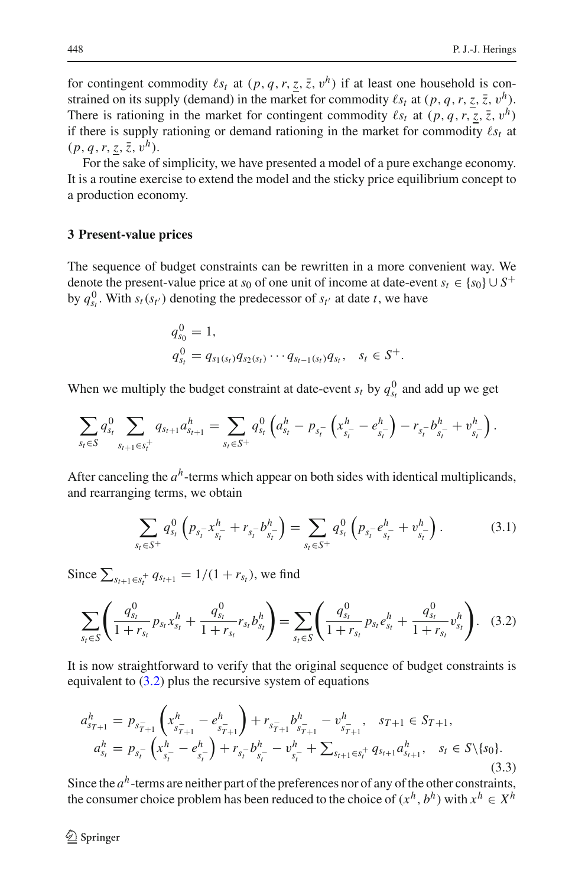for contingent commodity  $\ell s_t$  at  $(p, q, r, \underline{z}, \overline{z}, v^h)$  if at least one household is constrained on its supply (demand) in the market for commodity  $\ell s_t$  at  $(p, q, r, \underline{z}, \overline{z}, v^h)$ . There is rationing in the market for contingent commodity  $\ell s_t$  at  $(p, q, r, \underline{z}, \overline{z}, v^h)$ if there is supply rationing or demand rationing in the market for commodity  $\ell_{S_t}$  at  $(p, q, r, z, \bar{z}, v^h).$ 

For the sake of simplicity, we have presented a model of a pure exchange economy. It is a routine exercise to extend the model and the sticky price equilibrium concept to a production economy.

#### <span id="page-12-0"></span>**3 Present-value prices**

The sequence of budget constraints can be rewritten in a more convenient way. We denote the present-value price at *s*<sub>0</sub> of one unit of income at date-event  $s_t \in \{s_0\} \cup S^+$ by  $q_{s_t}^0$ . With  $s_t(s_{t'})$  denoting the predecessor of  $s_{t'}$  at date *t*, we have

$$
q_{s_0}^0 = 1,
$$
  
\n
$$
q_{s_t}^0 = q_{s_1(s_t)} q_{s_2(s_t)} \cdots q_{s_{t-1}(s_t)} q_{s_t}, \quad s_t \in S^+.
$$

When we multiply the budget constraint at date-event  $s_t$  by  $q_{s_t}^0$  and add up we get

$$
\sum_{s_t \in S} q_{s_t}^0 \sum_{s_{t+1} \in s_t^+} q_{s_{t+1}} a_{s_{t+1}}^h = \sum_{s_t \in S^+} q_{s_t}^0 \left( a_{s_t}^h - p_{s_t^-} \left( x_{s_t^-}^h - e_{s_t^-}^h \right) - r_{s_t^-} b_{s_t^-}^h + v_{s_t^-}^h \right).
$$

After canceling the  $a^h$ -terms which appear on both sides with identical multiplicands, and rearranging terms, we obtain

$$
\sum_{s_t \in S^+} q_{s_t}^0 \left( p_{s_t^-} x_{s_t^-}^h + r_{s_t^-} b_{s_t^-}^h \right) = \sum_{s_t \in S^+} q_{s_t}^0 \left( p_{s_t^-} e_{s_t^-}^h + v_{s_t^-}^h \right). \tag{3.1}
$$

<span id="page-12-2"></span>Since  $\sum_{s_{t+1} \in s_t^+} q_{s_{t+1}} = 1/(1 + r_{s_t})$ , we find

$$
\sum_{s_t \in S} \left( \frac{q_{s_t}^0}{1 + r_{s_t}} p_{s_t} x_{s_t}^h + \frac{q_{s_t}^0}{1 + r_{s_t}} r_{s_t} b_{s_t}^h \right) = \sum_{s_t \in S} \left( \frac{q_{s_t}^0}{1 + r_{s_t}} p_{s_t} e_{s_t}^h + \frac{q_{s_t}^0}{1 + r_{s_t}} v_{s_t}^h \right). \tag{3.2}
$$

<span id="page-12-1"></span>It is now straightforward to verify that the original sequence of budget constraints is equivalent to  $(3.2)$  plus the recursive system of equations

$$
a_{s_{T+1}}^h = p_{s_{T+1}^-} \left( x_{s_{T+1}^-}^h - e_{s_{T+1}^-}^h \right) + r_{s_{T+1}^-} b_{s_{T+1}^-}^h - v_{s_{T+1}^-}^h, \quad s_{T+1} \in S_{T+1},
$$
  
\n
$$
a_{s_t}^h = p_{s_t^-} \left( x_{s_t^-}^h - e_{s_t^-}^h \right) + r_{s_t^-} b_{s_t^-}^h - v_{s_t^-}^h + \sum_{s_{t+1} \in S_t^+} q_{s_{t+1}} a_{s_{t+1}^h}^h, \quad s_t \in S \setminus \{s_0\}.
$$
\n(3.3)

<span id="page-12-3"></span>Since the  $a<sup>h</sup>$ -terms are neither part of the preferences nor of any of the other constraints, the consumer choice problem has been reduced to the choice of  $(x^h, b^h)$  with  $x^h \in X^h$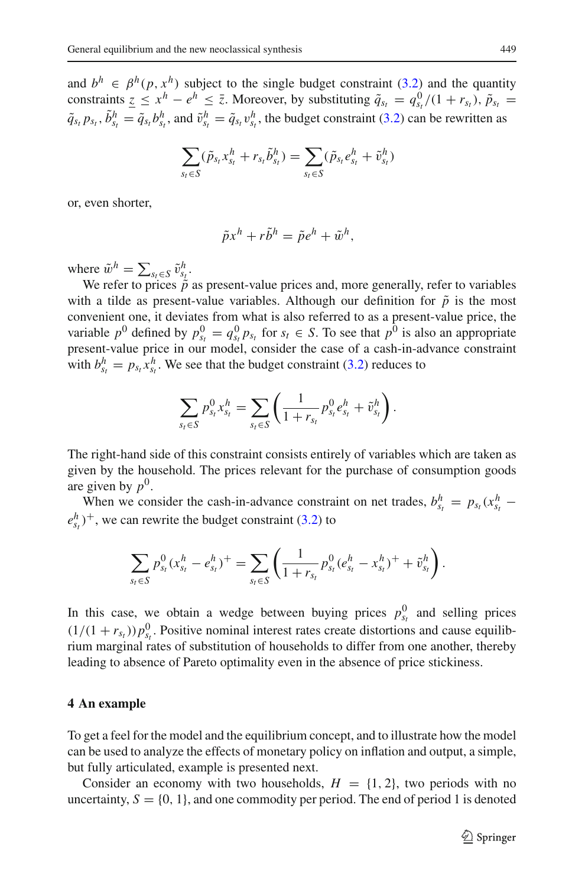and  $b^h \in \beta^h(p, x^h)$  subject to the single budget constraint [\(3.2\)](#page-12-1) and the quantity constraints  $\underline{z} \le x^h - e^h \le \overline{z}$ . Moreover, by substituting  $\tilde{q}_{s_t} = q_{s_t}^0/(1 + r_{s_t})$ ,  $\tilde{p}_{s_t} =$  $\tilde{q}_{s_t} p_{s_t}$ ,  $\tilde{b}_{s_t}^h = \tilde{q}_{s_t} b_{s_t}^h$ , and  $\tilde{v}_{s_t}^h = \tilde{q}_{s_t} v_{s_t}^h$ , the budget constraint [\(3.2\)](#page-12-1) can be rewritten as

$$
\sum_{s_t \in S} (\tilde{p}_{s_t} x_{s_t}^h + r_{s_t} \tilde{b}_{s_t}^h) = \sum_{s_t \in S} (\tilde{p}_{s_t} e_{s_t}^h + \tilde{v}_{s_t}^h)
$$

or, even shorter,

$$
\tilde{p}x^h + r\tilde{b}^h = \tilde{p}e^h + \tilde{w}^h,
$$

where  $\tilde{w}^h = \sum_{s_t \in S} \tilde{v}_{s_t}^h$ .

We refer to prices  $\tilde{p}$  as present-value prices and, more generally, refer to variables with a tilde as present-value variables. Although our definition for  $\tilde{p}$  is the most convenient one, it deviates from what is also referred to as a present-value price, the variable  $p^0$  defined by  $p_{s_t}^0 = q_{s_t}^0 p_{s_t}$  for  $s_t \in S$ . To see that  $p^0$  is also an appropriate present-value price in our model, consider the case of a cash-in-advance constraint with  $b_{s_t}^h = p_{s_t} x_{s_t}^h$ . We see that the budget constraint [\(3.2\)](#page-12-1) reduces to

$$
\sum_{s_t \in S} p_{s_t}^0 x_{s_t}^h = \sum_{s_t \in S} \left( \frac{1}{1 + r_{s_t}} p_{s_t}^0 e_{s_t}^h + \tilde{v}_{s_t}^h \right).
$$

The right-hand side of this constraint consists entirely of variables which are taken as given by the household. The prices relevant for the purchase of consumption goods are given by  $p^0$ .

When we consider the cash-in-advance constraint on net trades,  $b_{s_t}^h = p_{s_t}(x_{s_t}^h$  $e_{s_t}^{h}$ <sup>+</sup>, we can rewrite the budget constraint [\(3.2\)](#page-12-1) to

$$
\sum_{s_t \in S} p_{s_t}^0 (x_{s_t}^h - e_{s_t}^h)^+ = \sum_{s_t \in S} \left( \frac{1}{1 + r_{s_t}} p_{s_t}^0 (e_{s_t}^h - x_{s_t}^h)^+ + \tilde{v}_{s_t}^h \right).
$$

In this case, we obtain a wedge between buying prices  $p_{s_t}^0$  and selling prices  $(1/(1 + r_{s_t}))p_{s_t}^0$ . Positive nominal interest rates create distortions and cause equilibrium marginal rates of substitution of households to differ from one another, thereby leading to absence of Pareto optimality even in the absence of price stickiness.

## <span id="page-13-0"></span>**4 An example**

To get a feel for the model and the equilibrium concept, and to illustrate how the model can be used to analyze the effects of monetary policy on inflation and output, a simple, but fully articulated, example is presented next.

Consider an economy with two households,  $H = \{1, 2\}$ , two periods with no uncertainty,  $S = \{0, 1\}$ , and one commodity per period. The end of period 1 is denoted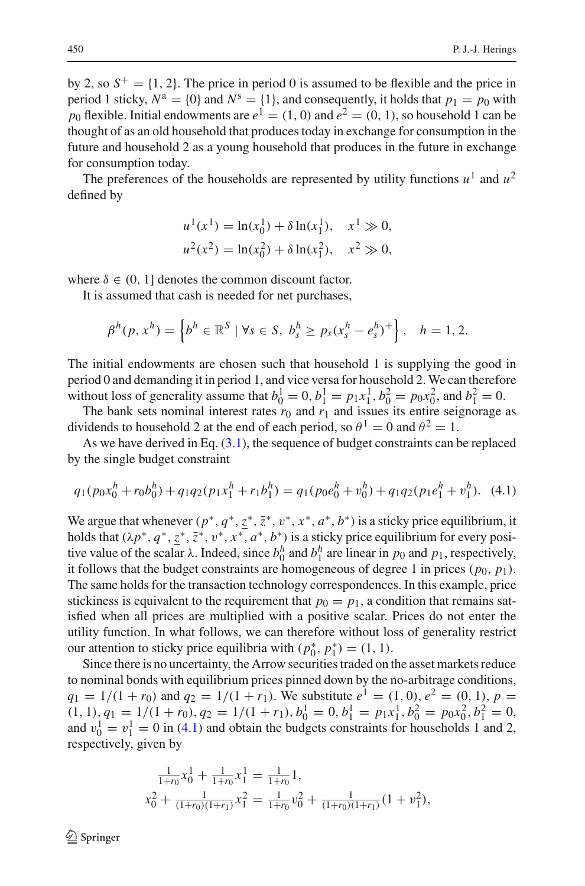by 2, so  $S^+ = \{1, 2\}$ . The price in period 0 is assumed to be flexible and the price in period 1 sticky,  $N^a = \{0\}$  and  $N^s = \{1\}$ , and consequently, it holds that  $p_1 = p_0$  with  $p_0$  flexible. Initial endowments are  $e^1 = (1, 0)$  and  $e^2 = (0, 1)$ , so household 1 can be thought of as an old household that produces today in exchange for consumption in the future and household 2 as a young household that produces in the future in exchange for consumption today.

The preferences of the households are represented by utility functions  $u^1$  and  $u^2$ defined by

$$
u^{1}(x^{1}) = \ln(x_{0}^{1}) + \delta \ln(x_{1}^{1}), \quad x^{1} \gg 0,
$$
  

$$
u^{2}(x^{2}) = \ln(x_{0}^{2}) + \delta \ln(x_{1}^{2}), \quad x^{2} \gg 0,
$$

where  $\delta \in (0, 1]$  denotes the common discount factor.

It is assumed that cash is needed for net purchases,

$$
\beta^{h}(p, x^{h}) = \left\{ b^{h} \in \mathbb{R}^{S} \mid \forall s \in S, \ b_{s}^{h} \ge p_{s}(x_{s}^{h} - e_{s}^{h})^{+} \right\}, \quad h = 1, 2.
$$

The initial endowments are chosen such that household 1 is supplying the good in period 0 and demanding it in period 1, and vice versa for household 2. We can therefore without loss of generality assume that  $b_0^1 = 0$ ,  $b_1^1 = p_1 x_1^1$ ,  $b_0^2 = p_0 x_0^2$ , and  $b_1^2 = 0$ .

The bank sets nominal interest rates  $r_0$  and  $r_1$  and issues its entire seignorage as dividends to household 2 at the end of each period, so  $\theta^1 = 0$  and  $\theta^2 = 1$ .

As we have derived in Eq.  $(3.1)$ , the sequence of budget constraints can be replaced by the single budget constraint

$$
q_1(p_0x_0^h + r_0b_0^h) + q_1q_2(p_1x_1^h + r_1b_1^h) = q_1(p_0e_0^h + v_0^h) + q_1q_2(p_1e_1^h + v_1^h).
$$
 (4.1)

<span id="page-14-0"></span>We argue that whenever  $(p^*, q^*, z^*, \bar{z}^*, v^*, x^*, a^*, b^*)$  is a sticky price equilibrium, it holds that  $(\lambda p^*, q^*, z^*, \overline{z^*}, v^*, x^*, a^*, b^*)$  is a sticky price equilibrium for every positive value of the scalar  $\lambda$ . Indeed, since  $b_0^h$  and  $b_1^h$  are linear in  $p_0$  and  $p_1$ , respectively, it follows that the budget constraints are homogeneous of degree 1 in prices  $(p_0, p_1)$ . The same holds for the transaction technology correspondences. In this example, price stickiness is equivalent to the requirement that  $p_0 = p_1$ , a condition that remains satisfied when all prices are multiplied with a positive scalar. Prices do not enter the utility function. In what follows, we can therefore without loss of generality restrict our attention to sticky price equilibria with  $(p_0^*, p_1^*) = (1, 1)$ .

Since there is no uncertainty, the Arrow securities traded on the asset markets reduce to nominal bonds with equilibrium prices pinned down by the no-arbitrage conditions,  $q_1 = 1/(1 + r_0)$  and  $q_2 = 1/(1 + r_1)$ . We substitute  $e^1 = (1, 0), e^2 = (0, 1), p =$  $(1, 1), q_1 = 1/(1 + r_0), q_2 = 1/(1 + r_1), b_0^1 = 0, b_1^1 = p_1 x_1^1, b_0^2 = p_0 x_0^2, b_1^2 = 0,$ and  $v_0^1 = v_1^1 = 0$  in [\(4.1\)](#page-14-0) and obtain the budgets constraints for households 1 and 2, respectively, given by

$$
\frac{1}{1+r_0}x_0^1 + \frac{1}{1+r_0}x_1^1 = \frac{1}{1+r_0}1,
$$
  

$$
x_0^2 + \frac{1}{(1+r_0)(1+r_1)}x_1^2 = \frac{1}{1+r_0}v_0^2 + \frac{1}{(1+r_0)(1+r_1)}(1+v_1^2),
$$

≰ Springer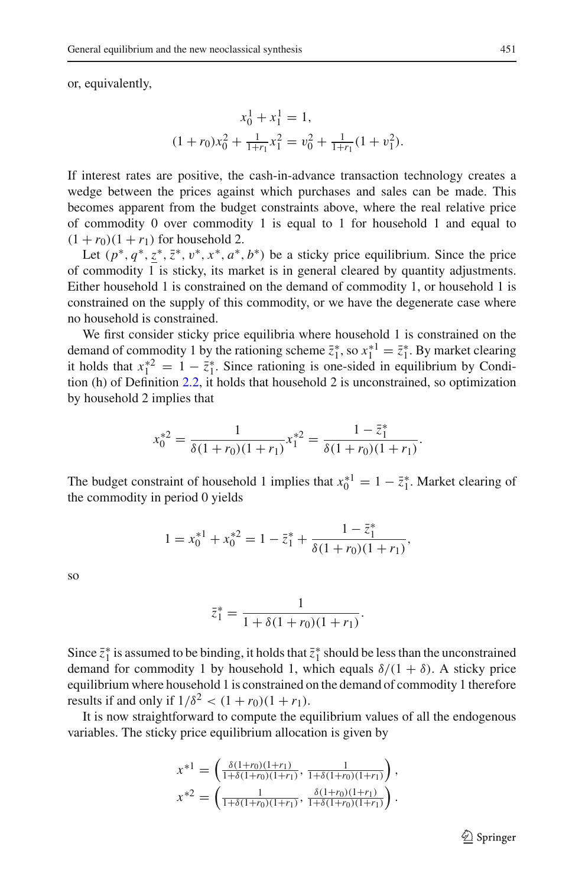or, equivalently,

$$
x_0^1 + x_1^1 = 1,
$$
  
(1 + r<sub>0</sub>) $x_0^2 + \frac{1}{1+r_1}x_1^2 = v_0^2 + \frac{1}{1+r_1}(1 + v_1^2).$ 

If interest rates are positive, the cash-in-advance transaction technology creates a wedge between the prices against which purchases and sales can be made. This becomes apparent from the budget constraints above, where the real relative price of commodity 0 over commodity 1 is equal to 1 for household 1 and equal to  $(1 + r_0)(1 + r_1)$  for household 2.

Let  $(p^*, q^*, z^*, \bar{z}^*, v^*, x^*, a^*, b^*)$  be a sticky price equilibrium. Since the price of commodity 1 is sticky, its market is in general cleared by quantity adjustments. Either household 1 is constrained on the demand of commodity 1, or household 1 is constrained on the supply of this commodity, or we have the degenerate case where no household is constrained.

We first consider sticky price equilibria where household 1 is constrained on the demand of commodity 1 by the rationing scheme  $\bar{z}_1^*$ , so  $x_1^{*1} = \bar{z}_1^*$ . By market clearing it holds that  $x_1^{*2} = 1 - \overline{z}_1^*$ . Since rationing is one-sided in equilibrium by Condition (h) of Definition [2.2,](#page-11-0) it holds that household 2 is unconstrained, so optimization by household 2 implies that

$$
x_0^{*2} = \frac{1}{\delta(1+r_0)(1+r_1)} x_1^{*2} = \frac{1-\overline{z}_1^*}{\delta(1+r_0)(1+r_1)}.
$$

The budget constraint of household 1 implies that  $x_0^{*1} = 1 - \overline{z}_1^*$ . Market clearing of the commodity in period 0 yields

$$
1 = x_0^{*1} + x_0^{*2} = 1 - \overline{z}_1^* + \frac{1 - \overline{z}_1^*}{\delta(1 + r_0)(1 + r_1)},
$$

so

$$
\bar{z}_1^* = \frac{1}{1 + \delta(1 + r_0)(1 + r_1)}.
$$

Since  $\bar{z}_1^*$  is assumed to be binding, it holds that  $\bar{z}_1^*$  should be less than the unconstrained demand for commodity 1 by household 1, which equals  $\delta/(1 + \delta)$ . A sticky price equilibrium where household 1 is constrained on the demand of commodity 1 therefore results if and only if  $1/\delta^2 < (1 + r_0)(1 + r_1)$ .

It is now straightforward to compute the equilibrium values of all the endogenous variables. The sticky price equilibrium allocation is given by

$$
x^{*1} = \left(\frac{\delta(1+r_0)(1+r_1)}{1+\delta(1+r_0)(1+r_1)}, \frac{1}{1+\delta(1+r_0)(1+r_1)}\right),
$$
  

$$
x^{*2} = \left(\frac{1}{1+\delta(1+r_0)(1+r_1)}, \frac{\delta(1+r_0)(1+r_1)}{1+\delta(1+r_0)(1+r_1)}\right).
$$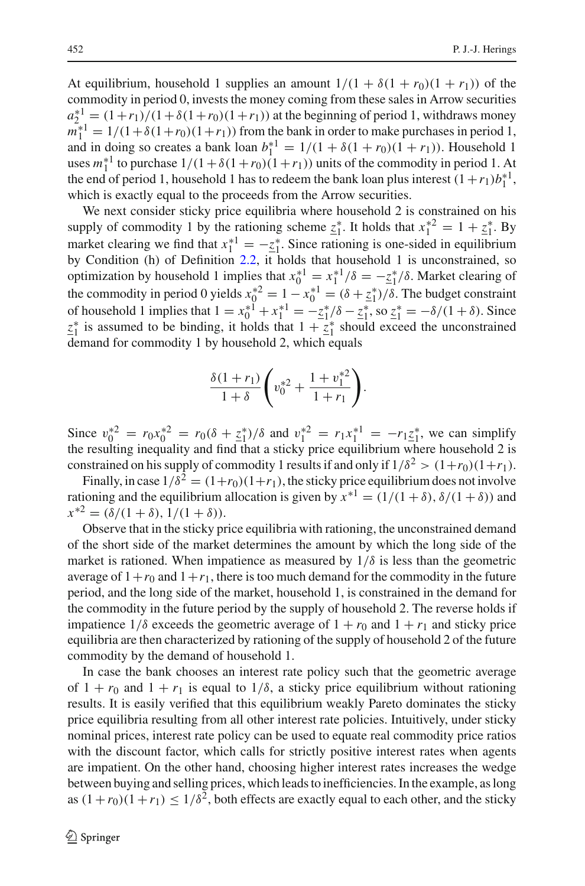At equilibrium, household 1 supplies an amount  $1/(1 + \delta(1 + r_0)(1 + r_1))$  of the commodity in period 0, invests the money coming from these sales in Arrow securities  $a_2^{*1} = (1+r_1)/(1+\delta(1+r_0)(1+r_1))$  at the beginning of period 1, withdraws money  $m_1^{*1} = 1/(1+\delta(1+r_0)(1+r_1))$  from the bank in order to make purchases in period 1, and in doing so creates a bank loan  $b_1^{*1} = 1/(1 + \delta(1 + r_0)(1 + r_1))$ . Household 1 uses  $m_1^{*1}$  to purchase  $1/(1+\delta(1+r_0)(1+r_1))$  units of the commodity in period 1. At the end of period 1, household 1 has to redeem the bank loan plus interest  $(1+r_1)b_1^{*1}$ , which is exactly equal to the proceeds from the Arrow securities.

We next consider sticky price equilibria where household 2 is constrained on his supply of commodity 1 by the rationing scheme  $z_1^*$ . It holds that  $x_1^{*2} = 1 + z_1^*$ . By market clearing we find that  $x_1^{*1} = -z_1^*$ . Since rationing is one-sided in equilibrium by Condition (h) of Definition [2.2,](#page-11-0) it holds that household 1 is unconstrained, so optimization by household 1 implies that  $x_0^{*1} = x_1^{*1}/\delta = -\underline{z}_1^*/\delta$ . Market clearing of the commodity in period 0 yields  $x_0^{*2} = 1 - x_0^{*1} = (\delta + \underline{z}_1^*)/\delta$ . The budget constraint of household 1 implies that  $1 = x_0^{*1} + x_1^{*1} = -\underline{z}_1^*/\delta - \underline{z}_1^*$ , so  $\underline{z}_1^* = -\delta/(1+\delta)$ . Since  $z_1^*$  is assumed to be binding, it holds that  $1 + \overline{z_1^*}$  should exceed the unconstrained demand for commodity 1 by household 2, which equals

$$
\frac{\delta(1+r_1)}{1+\delta}\Biggl(v_0^{*2}+\frac{1+v_1^{*2}}{1+r_1}\Biggr).
$$

Since  $v_0^{*2} = r_0 x_0^{*2} = r_0(\delta + \underline{z}_1^*)/\delta$  and  $v_1^{*2} = r_1 x_1^{*1} = -r_1 \underline{z}_1^*$ , we can simplify the resulting inequality and find that a sticky price equilibrium where household 2 is constrained on his supply of commodity 1 results if and only if  $1/\delta^2 > (1+r_0)(1+r_1)$ .

Finally, in case  $1/\delta^2 = (1+r_0)(1+r_1)$ , the sticky price equilibrium does not involve rationing and the equilibrium allocation is given by  $x^{*1} = (1/(1 + \delta), \delta/(1 + \delta))$  and  $x^{*2} = (\delta/(1+\delta), 1/(1+\delta)).$ 

Observe that in the sticky price equilibria with rationing, the unconstrained demand of the short side of the market determines the amount by which the long side of the market is rationed. When impatience as measured by  $1/\delta$  is less than the geometric average of  $1+r_0$  and  $1+r_1$ , there is too much demand for the commodity in the future period, and the long side of the market, household 1, is constrained in the demand for the commodity in the future period by the supply of household 2. The reverse holds if impatience  $1/\delta$  exceeds the geometric average of  $1 + r_0$  and  $1 + r_1$  and sticky price equilibria are then characterized by rationing of the supply of household 2 of the future commodity by the demand of household 1.

In case the bank chooses an interest rate policy such that the geometric average of  $1 + r_0$  and  $1 + r_1$  is equal to  $1/\delta$ , a sticky price equilibrium without rationing results. It is easily verified that this equilibrium weakly Pareto dominates the sticky price equilibria resulting from all other interest rate policies. Intuitively, under sticky nominal prices, interest rate policy can be used to equate real commodity price ratios with the discount factor, which calls for strictly positive interest rates when agents are impatient. On the other hand, choosing higher interest rates increases the wedge between buying and selling prices, which leads to inefficiencies. In the example, as long as  $(1 + r_0)(1 + r_1) \le 1/\delta^2$ , both effects are exactly equal to each other, and the sticky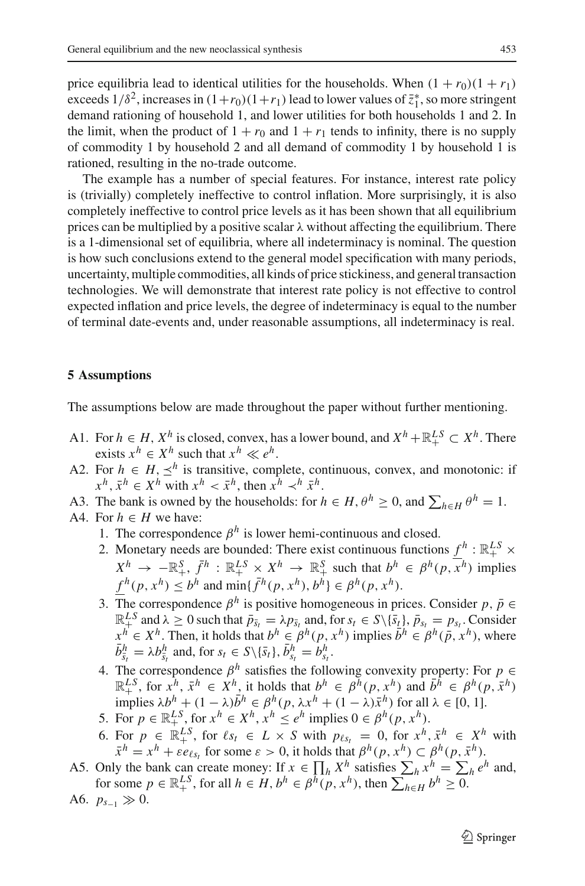price equilibria lead to identical utilities for the households. When  $(1 + r_0)(1 + r_1)$ exceeds  $1/\delta^2$ , increases in  $(1+r_0)(1+r_1)$  lead to lower values of  $\bar{z}_1^*$ , so more stringent demand rationing of household 1, and lower utilities for both households 1 and 2. In the limit, when the product of  $1 + r_0$  and  $1 + r_1$  tends to infinity, there is no supply of commodity 1 by household 2 and all demand of commodity 1 by household 1 is rationed, resulting in the no-trade outcome.

The example has a number of special features. For instance, interest rate policy is (trivially) completely ineffective to control inflation. More surprisingly, it is also completely ineffective to control price levels as it has been shown that all equilibrium prices can be multiplied by a positive scalar  $\lambda$  without affecting the equilibrium. There is a 1-dimensional set of equilibria, where all indeterminacy is nominal. The question is how such conclusions extend to the general model specification with many periods, uncertainty, multiple commodities, all kinds of price stickiness, and general transaction technologies. We will demonstrate that interest rate policy is not effective to control expected inflation and price levels, the degree of indeterminacy is equal to the number of terminal date-events and, under reasonable assumptions, all indeterminacy is real.

#### <span id="page-17-0"></span>**5 Assumptions**

The assumptions below are made throughout the paper without further mentioning.

- A1. For  $h \in H$ ,  $X^h$  is closed, convex, has a lower bound, and  $X^h + \mathbb{R}_+^{LS} \subset X^h$ . There exists  $x^h \in X^h$  such that  $x^h \ll e^h$ .
- A2. For  $h \in H$ ,  $\leq^h$  is transitive, complete, continuous, convex, and monotonic: if  $x^h$ ,  $\bar{x}^h \in X^h$  with  $x^h < \bar{x}^h$ , then  $x^h \prec^h \bar{x}^h$ .
- A3. The bank is owned by the households: for  $h \in H$ ,  $\theta^h \ge 0$ , and  $\sum_{h \in H} \theta^h = 1$ .
- A4. For  $h \in H$  we have:
	- 1. The correspondence  $\beta^h$  is lower hemi-continuous and closed.
	- 2. Monetary needs are bounded: There exist continuous functions  $\underline{f}^h$  :  $\mathbb{R}^{LS}_+$  ×  $X^h \rightarrow -\mathbb{R}^S_+$ ,  $\bar{f}^h$ :  $\mathbb{R}^L_+ \times X^h \rightarrow \mathbb{R}^S_+$  such that  $b^h \in \beta^h(p, x^h)$  implies  $f^h(p, x^h) \le b^h$  and  $\min\{\bar{f}^h(p, x^h), b^h\} \in \beta^h(p, x^h)$ .
	- 3. The correspondence  $\beta^h$  is positive homogeneous in prices. Consider *p*,  $\bar{p} \in$  $\mathbb{R}^{LS}_{+}$  and  $\lambda \geq 0$  such that  $\bar{p}_{\bar{s}_t} = \lambda p_{\bar{s}_t}$  and, for  $s_t \in S \setminus {\{\bar{s}_t\}}, \bar{p}_{s_t} = p_{s_t}$ . Consider  $x^h \in X^h$ . Then, it holds that  $b^h \in \beta^h(p, x^h)$  implies  $\overline{b}^h \in \beta^h(\overline{p}, x^h)$ , where  $\bar{b}^h_{\bar{s}_t} = \lambda b^h_{\bar{s}_t}$  and, for  $s_t \in S \setminus {\{\bar{s}_t\}}$ ,  $\bar{b}^h_{s_t} = \bar{b}^h_{s_t}$ .
	- 4. The correspondence  $\beta^h$  satisfies the following convexity property: For  $p \in$  $\mathbb{R}^{LS}_{+}$ , for  $x^{\hat{h}}$ ,  $\bar{x}^h \in X^h$ , it holds that  $b^h \in \beta^{\hat{h}}(p, x^h)$  and  $\bar{b}^{\hat{h}} \in \beta^h(p, \bar{x}^h)$ implies  $\lambda b^h + (1 - \lambda)\bar{b}^h \in \beta^h(p, \lambda x^h + (1 - \lambda)\bar{x}^h)$  for all  $\lambda \in [0, 1]$ .
	- 5. For  $p \in \mathbb{R}^{LS}_+$ , for  $x^h \in X^h$ ,  $x^h \le e^h$  implies  $0 \in \beta^h(p, x^h)$ .
	- 6. For  $p \in \mathbb{R}^{LS}_+$ , for  $\ell s_t \in L \times S$  with  $p_{\ell s_t} = 0$ , for  $x^h, \bar{x}^h \in X^h$  with  $\bar{x}^h = x^h + \varepsilon e_{\ell s_t}$  for some  $\varepsilon > 0$ , it holds that  $\beta^h(p, x^h) \subset \beta^h(p, \bar{x}^h)$ .
- A5. Only the bank can create money: If  $x \in \prod_h X^h$  satisfies  $\sum_h x^h = \sum_h e^h$  and, for some  $p \in \mathbb{R}^{LS}_+$ , for all  $h \in H$ ,  $b^h \in \beta^h(p, x^h)$ , then  $\sum_{h \in H} b^h \geq 0$ .

A6. 
$$
p_{s-1} \gg 0
$$
.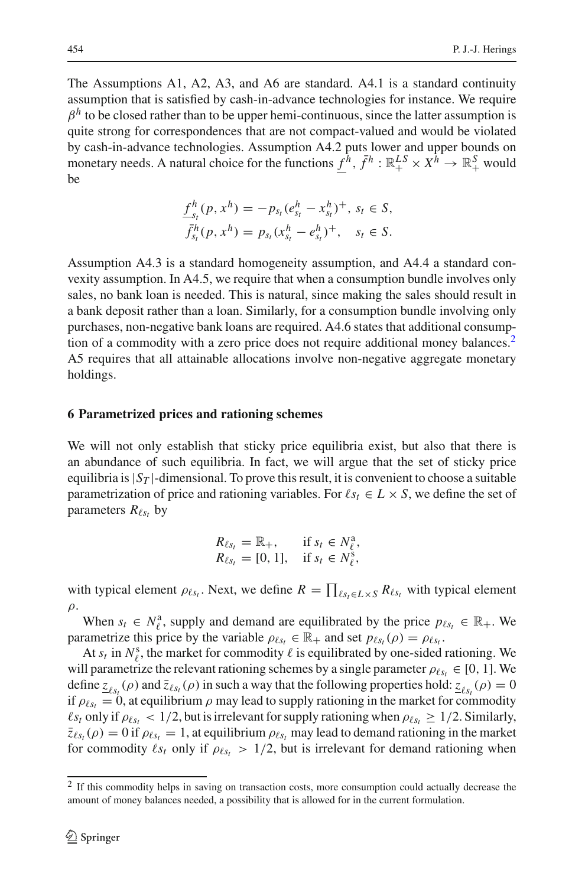The Assumptions A1, A2, A3, and A6 are standard. A4.1 is a standard continuity assumption that is satisfied by cash-in-advance technologies for instance. We require  $\beta^h$  to be closed rather than to be upper hemi-continuous, since the latter assumption is quite strong for correspondences that are not compact-valued and would be violated by cash-in-advance technologies. Assumption A4.2 puts lower and upper bounds on monetary needs. A natural choice for the functions  $\underline{f}^h$ ,  $\overline{f}^h$  :  $\mathbb{R}^{LS}_+ \times X^{\overline{h}} \to \mathbb{R}^S_+$  would be

$$
\frac{f_{s_t}^h(p, x^h) = -p_{s_t}(e_{s_t}^h - x_{s_t}^h)^+, s_t \in S, \bar{f}_{s_t}^h(p, x^h) = p_{s_t}(x_{s_t}^h - e_{s_t}^h)^+, s_t \in S.
$$

Assumption A4.3 is a standard homogeneity assumption, and A4.4 a standard convexity assumption. In A4.5, we require that when a consumption bundle involves only sales, no bank loan is needed. This is natural, since making the sales should result in a bank deposit rather than a loan. Similarly, for a consumption bundle involving only purchases, non-negative bank loans are required. A4.6 states that additional consump-tion of a commodity with a zero price does not require additional money balances.<sup>[2](#page-18-1)</sup> A5 requires that all attainable allocations involve non-negative aggregate monetary holdings.

#### <span id="page-18-0"></span>**6 Parametrized prices and rationing schemes**

We will not only establish that sticky price equilibria exist, but also that there is an abundance of such equilibria. In fact, we will argue that the set of sticky price equilibria is  $|S_T|$ -dimensional. To prove this result, it is convenient to choose a suitable parametrization of price and rationing variables. For  $\ell s_t \in L \times S$ , we define the set of parameters  $R_{\ell s_t}$  by

$$
R_{\ell s_t} = \mathbb{R}_+, \quad \text{if } s_t \in N_{\ell}^a,
$$
  

$$
R_{\ell s_t} = [0, 1], \quad \text{if } s_t \in N_{\ell}^s,
$$

with typical element  $\rho_{\ell s_t}$ . Next, we define  $R = \prod_{\ell s_t \in L \times S} R_{\ell s_t}$  with typical element  $ρ.$ 

When  $s_t \in N_\ell^a$ , supply and demand are equilibrated by the price  $p_{\ell s_t} \in \mathbb{R}_+$ . We parametrize this price by the variable  $\rho_{\ell s_t} \in \mathbb{R}_+$  and set  $p_{\ell s_t}(\rho) = \rho_{\ell s_t}$ .

At  $s_t$  in  $N_\ell^s$ , the market for commodity  $\ell$  is equilibrated by one-sided rationing. We will parametrize the relevant rationing schemes by a single parameter  $\rho_{\ell s_t} \in [0, 1]$ . We define  $\underline{z}_{\ell s_t}(\rho)$  and  $\overline{z}_{\ell s_t}(\rho)$  in such a way that the following properties hold:  $\underline{z}_{\ell s_t}(\rho) = 0$ if  $\rho_{\ell s_t} = 0$ , at equilibrium  $\rho$  may lead to supply rationing in the market for commodity  $\ell s_t$  only if  $\rho_{\ell s_t} < 1/2$ , but is irrelevant for supply rationing when  $\rho_{\ell s_t} \ge 1/2$ . Similarly,  $\bar{z}_{\ell s_t}(\rho) = 0$  if  $\rho_{\ell s_t} = 1$ , at equilibrium  $\rho_{\ell s_t}$  may lead to demand rationing in the market for commodity  $\ell s_t$  only if  $\rho_{\ell s_t} > 1/2$ , but is irrelevant for demand rationing when

<span id="page-18-1"></span><sup>&</sup>lt;sup>2</sup> If this commodity helps in saving on transaction costs, more consumption could actually decrease the amount of money balances needed, a possibility that is allowed for in the current formulation.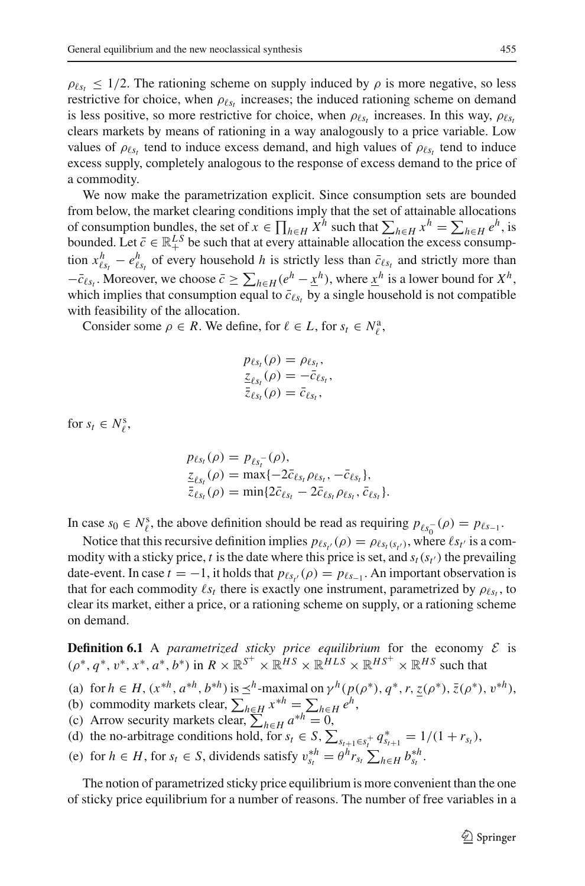$\rho_{\ell s_t} \leq 1/2$ . The rationing scheme on supply induced by  $\rho$  is more negative, so less restrictive for choice, when  $\rho_{\ell s_t}$  increases; the induced rationing scheme on demand is less positive, so more restrictive for choice, when  $\rho_{\ell s_t}$  increases. In this way,  $\rho_{\ell s_t}$ clears markets by means of rationing in a way analogously to a price variable. Low values of  $\rho_{\ell s_t}$  tend to induce excess demand, and high values of  $\rho_{\ell s_t}$  tend to induce excess supply, completely analogous to the response of excess demand to the price of a commodity.

We now make the parametrization explicit. Since consumption sets are bounded from below, the market clearing conditions imply that the set of attainable allocations of consumption bundles, the set of  $x \in \prod_{h \in H} X^h$  such that  $\sum_{h \in H} x^h = \sum_{h \in H} e^h$ , is bounded. Let  $\bar{c} \in \mathbb{R}^{LS}_{+}$  be such that at every attainable allocation the excess consumption  $x_{\ell s_t}^h - e_{\ell s_t}^h$  of every household *h* is strictly less than  $\bar{c}_{\ell s_t}$  and strictly more than  $-\bar{c}_{\ell s_t}$ . Moreover, we choose  $\bar{c} \ge \sum_{h \in H} (e^h - \underline{x}^h)$ , where  $\underline{x}^h$  is a lower bound for  $X^h$ , which implies that consumption equal to  $\bar{c}_{\ell s_t}$  by a single household is not compatible with feasibility of the allocation.

Consider some  $\rho \in R$ . We define, for  $\ell \in L$ , for  $s_t \in N_\ell^a$ ,

$$
p_{\ell s_t}(\rho) = \rho_{\ell s_t},
$$
  
\n
$$
\underline{z}_{\ell s_t}(\rho) = -\overline{c}_{\ell s_t},
$$
  
\n
$$
\overline{z}_{\ell s_t}(\rho) = \overline{c}_{\ell s_t},
$$

for  $s_t \in N_\ell^s$ ,

$$
p_{\ell s_t}(\rho) = p_{\ell s_t^{-}}(\rho),
$$
  
\n
$$
\frac{z_{\ell s_t}(\rho) = \max\{-2\bar{c}_{\ell s_t} \rho_{\ell s_t}, -\bar{c}_{\ell s_t}\}}{\bar{z}_{\ell s_t}(\rho) = \min\{2\bar{c}_{\ell s_t} - 2\bar{c}_{\ell s_t} \rho_{\ell s_t}, \bar{c}_{\ell s_t}\}}.
$$

In case  $s_0 \in N_\ell^s$ , the above definition should be read as requiring  $p_{\ell s_0^-}(\rho) = p_{\ell s_{-1}}$ .

Notice that this recursive definition implies  $p_{\ell s_{t'}}(\rho) = \rho_{\ell s_t(s_{t'})}$ , where  $\ell s_{t'}$  is a commodity with a sticky price, *t* is the date where this price is set, and  $s_t(s_{t})$  the prevailing date-event. In case  $t = -1$ , it holds that  $p_{\ell s_{t'}}(\rho) = p_{\ell s_{-1}}$ . An important observation is that for each commodity  $\ell s_t$  there is exactly one instrument, parametrized by  $\rho_{\ell s_t}$ , to clear its market, either a price, or a rationing scheme on supply, or a rationing scheme on demand.

<span id="page-19-0"></span>**Definition 6.1** A *parametrized sticky price equilibrium* for the economy  $\mathcal{E}$  is  $(\rho^*, q^*, v^*, x^*, a^*, b^*)$  in  $R \times \mathbb{R}^{S^+} \times \mathbb{R}^{HS} \times \mathbb{R}^{HLS} \times \mathbb{R}^{H S^+} \times \mathbb{R}^{H S}$  such that

(a) for  $h \in H$ ,  $(x^{*h}, a^{*h}, b^{*h})$  is  $\leq^h$ -maximal on  $\gamma^h(p(\rho^*), q^*, r, z(\rho^*), \bar{z}(\rho^*), v^{*h})$ ,

(b) commodity markets clear,  $\sum_{h \in H} x^{*h} = \sum_{h \in H} e^h$ ,

- (c) Arrow security markets clear,  $\sum_{h \in H} a^{*h} = 0$ ,
- (d) the no-arbitrage conditions hold, for  $s_t \in S$ ,  $\sum_{s_{t+1} \in s_t^+} q_{s_{t+1}}^* = 1/(1 + r_{s_t})$ ,
- (e) for  $h \in H$ , for  $s_t \in S$ , dividends satisfy  $v_{s_t}^{*h} = \theta^h r_{s_t} \sum_{h \in H} b_{s_t}^{*h}$ .

The notion of parametrized sticky price equilibrium is more convenient than the one of sticky price equilibrium for a number of reasons. The number of free variables in a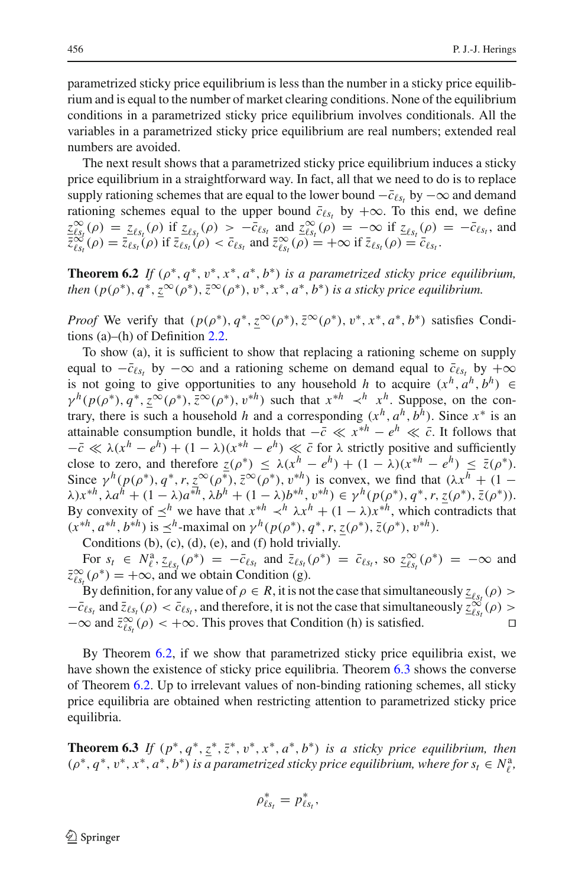parametrized sticky price equilibrium is less than the number in a sticky price equilibrium and is equal to the number of market clearing conditions. None of the equilibrium conditions in a parametrized sticky price equilibrium involves conditionals. All the variables in a parametrized sticky price equilibrium are real numbers; extended real numbers are avoided.

The next result shows that a parametrized sticky price equilibrium induces a sticky price equilibrium in a straightforward way. In fact, all that we need to do is to replace supply rationing schemes that are equal to the lower bound  $-\bar{c}_{\ell s_t}$  by  $-\infty$  and demand rationing schemes equal to the upper bound  $\bar{c}_{\ell s_t}$  by  $+\infty$ . To this end, we define  $z_{\ell s_t}^{\infty}(\rho) = z_{\ell s_t}(\rho)$  if  $z_{\ell s_t}(\rho) > -\bar{c}_{\ell s_t}$  and  $z_{\ell s_t}^{\infty}(\rho) = -\infty$  if  $z_{\ell s_t}(\rho) = -\bar{c}_{\ell s_t}$ , and  $\overline{z}^{\infty}_{\ell s_t}(\rho) = \overline{z}_{\ell s_t}(\rho)$  if  $\overline{z}_{\ell s_t}(\rho) < \overline{c}_{\ell s_t}$  and  $\overline{z}^{\infty}_{\ell s_t}(\rho) = +\infty$  if  $\overline{z}_{\ell s_t}(\rho) = \overline{c}_{\ell s_t}$ .

<span id="page-20-0"></span>**Theorem 6.2** *If*  $(\rho^*, q^*, v^*, x^*, a^*, b^*)$  *is a parametrized sticky price equilibrium, then*  $(p(\rho^*), q^*, \underline{z}^{\infty}(\rho^*), \overline{z}^{\infty}(\rho^*), v^*, x^*, a^*, b^*)$  *is a sticky price equilibrium.* 

*Proof* We verify that  $(p(\rho^*), q^*, z^{\infty}(\rho^*), \overline{z}^{\infty}(\rho^*), v^*, x^*, a^*, b^*)$  satisfies Conditions (a)–(h) of Definition [2.2.](#page-11-0)

To show (a), it is sufficient to show that replacing a rationing scheme on supply equal to  $-\bar{c}_{\ell s_t}$  by  $-\infty$  and a rationing scheme on demand equal to  $\bar{c}_{\ell s_t}$  by  $+\infty$ is not going to give opportunities to any household *h* to acquire  $(x^h, a^h, b^h) \in$  $\gamma^h(p(\rho^*), q^*, \underline{z}^{\infty}(\rho^*), \overline{z}^{\infty}(\rho^*), v^{*h})$  such that  $x^{*h} \prec^h x^h$ . Suppose, on the contrary, there is such a household *h* and a corresponding  $(x^h, a^h, b^h)$ . Since  $x^*$  is an attainable consumption bundle, it holds that  $-\bar{c} \ll x^{*h} - e^h \ll \bar{c}$ . It follows that  $-\bar{c} \ll \lambda(x^h - e^h) + (1 - \lambda)(x^{*h} - e^h) \ll \bar{c}$  for  $\lambda$  strictly positive and sufficiently close to zero, and therefore  $z(\rho^*) \leq \lambda(x^h - e^h) + (1 - \lambda)(x^{*h} - e^h) \leq \overline{z}(\rho^*)$ . Since  $\gamma^h(p(\rho^*), q^*, r, z^{\infty}(\rho^*)$ ,  $\overline{z}^{\infty}(\rho^*), v^{*h})$  is convex, we find that  $(\lambda x^h + (1$  $λ)$ *x*<sup>\**h*</sup>,  $λa^{\bar{h}} + (1 - λ)a^{\bar{h}h}$ ,  $λb^h + (1 - λ)b^{*h}$ ,  $v^{*h}$ ) ∈  $γ^h(p(ρ^*), q^*, r, z(ρ^*), \bar{z}(ρ^*)).$ By convexity of  $\leq^h$  we have that  $x^{*h} \leq^h \lambda x^h + (1 - \lambda)x^{*h}$ , which contradicts that  $(x^{*h}, a^{*h}, b^{*h})$  is  $\leq^h$ -maximal on  $\gamma^h(p(\rho^*), q^*, r, z(\rho^*), \bar{z}(\rho^*), v^{*h})$ .

Conditions (b), (c), (d), (e), and (f) hold trivially.

For  $s_t \in N_\ell^a$ ,  $\underline{z}_{\ell s_t}(\rho^*) = -\overline{c}_{\ell s_t}$  and  $\overline{z}_{\ell s_t}(\rho^*) = \overline{c}_{\ell s_t}$ , so  $\underline{z}_{\ell s_t}^\infty(\rho^*) = -\infty$  and  $\bar{z}_{\ell s_t}^{\infty}(\rho^*) = +\infty$ , and we obtain Condition (g).

By definition, for any value of  $\rho \in R$ , it is not the case that simultaneously  $\underline{z}_{\ell s_t}(\rho) >$  $-\bar{c}_{\ell s_t}$  and  $\bar{z}_{\ell s_t}(\rho) < \bar{c}_{\ell s_t}$ , and therefore, it is not the case that simultaneously  $\bar{z}_{\ell s_t}^{\infty}(\rho) >$  $-\infty$  and  $\bar{z}^{\infty}_{\ell s_t}(\rho) < +\infty$ . This proves that Condition (h) is satisfied.

By Theorem [6.2,](#page-20-0) if we show that parametrized sticky price equilibria exist, we have shown the existence of sticky price equilibria. Theorem [6.3](#page-20-1) shows the converse of Theorem [6.2.](#page-20-0) Up to irrelevant values of non-binding rationing schemes, all sticky price equilibria are obtained when restricting attention to parametrized sticky price equilibria.

<span id="page-20-1"></span>**Theorem 6.3** *If*  $(p^*, q^*, z^*, \overline{z}^*, v^*, x^*, a^*, b^*)$  *is a sticky price equilibrium, then*  $(\rho^*, q^*, v^*, x^*, a^*, b^*)$  *is a parametrized sticky price equilibrium, where for*  $s_t \in N_\ell^a$ *,* 

$$
\rho^*_{\ell s_t} = p^*_{\ell s_t},
$$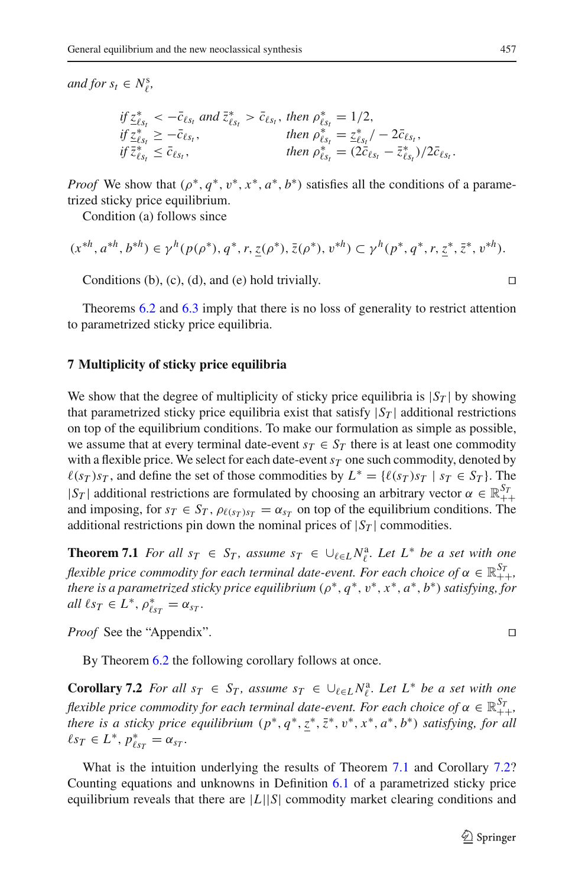*and for*  $s_t \in N_\ell^s$ ,

$$
\begin{array}{l}\n\text{if } \underline{z}_{\ell s_t}^* < -\bar{c}_{\ell s_t} \text{ and } \overline{z}_{\ell s_t}^* > \bar{c}_{\ell s_t}, \text{ then } \rho_{\ell s_t}^* = 1/2, \\
\text{if } \underline{z}_{\ell s_t}^* \ge -\bar{c}_{\ell s_t}, & \text{ then } \rho_{\ell s_t}^* = \underline{z}_{\ell s_t}^* / -2\bar{c}_{\ell s_t}, \\
\text{if } \overline{z}_{\ell s_t}^* \le \bar{c}_{\ell s_t}, & \text{ then } \rho_{\ell s_t}^* = (2\bar{c}_{\ell s_t} - \overline{z}_{\ell s_t}^*)/2\bar{c}_{\ell s_t}.\n\end{array}
$$

*Proof* We show that  $(\rho^*, q^*, v^*, x^*, a^*, b^*)$  satisfies all the conditions of a parametrized sticky price equilibrium.

Condition (a) follows since

$$
(x^{*h}, a^{*h}, b^{*h}) \in \gamma^h(p(\rho^*), q^*, r, \underline{z}(\rho^*), \overline{z}(\rho^*), v^{*h}) \subset \gamma^h(p^*, q^*, r, \underline{z}^*, \overline{z}^*, v^{*h}).
$$

Conditions (b), (c), (d), and (e) hold trivially.  $\square$ 

Theorems [6.2](#page-20-0) and [6.3](#page-20-1) imply that there is no loss of generality to restrict attention to parametrized sticky price equilibria.

#### <span id="page-21-0"></span>**7 Multiplicity of sticky price equilibria**

We show that the degree of multiplicity of sticky price equilibria is  $|S_T|$  by showing that parametrized sticky price equilibria exist that satisfy  $|S_T|$  additional restrictions on top of the equilibrium conditions. To make our formulation as simple as possible, we assume that at every terminal date-event  $s_T \in S_T$  there is at least one commodity with a flexible price. We select for each date-event  $s_T$  one such commodity, denoted by  $\ell(s_T) s_T$ , and define the set of those commodities by  $L^* = {\ell(s_T) s_T \mid s_T \in S_T}$ . The  $|S_T|$  additional restrictions are formulated by choosing an arbitrary vector  $\alpha \in \mathbb{R}_{++}^{S_T}$ and imposing, for  $s_T \in S_T$ ,  $\rho_{\ell(s_T)s_T} = \alpha_{s_T}$  on top of the equilibrium conditions. The additional restrictions pin down the nominal prices of  $|S_T|$  commodities.

<span id="page-21-1"></span>**Theorem 7.1** *For all*  $s_T \in S_T$ , assume  $s_T \in \bigcup_{\ell \in L} N_\ell^a$ . Let  $L^*$  be a set with one flexible price commodity for each terminal date-event. For each choice of  $\alpha \in \mathbb{R}^{S_T}_{++},$ *there is a parametrized sticky price equilibrium* (ρ∗, *q*∗, v∗, *x*∗, *a*∗, *b*∗) *satisfying, for*  $all \ \ell s_T \in L^*, \ \rho^*_{\ell s_T} = \alpha_{s_T}.$ 

*Proof* See the "Appendix". □

By Theorem [6.2](#page-20-0) the following corollary follows at once.

<span id="page-21-2"></span>**Corollary 7.2** *For all s<sub>T</sub>*  $\in S_T$ *, assume s<sub>T</sub>*  $\in \bigcup_{\ell \in L} N_\ell^a$ *. Let L*<sup>\*</sup> *be a set with one* flexible price commodity for each terminal date-event. For each choice of  $\alpha \in \mathbb{R}^{S_T}_{++},$ *there is a sticky price equilibrium*  $(p^*, q^*, z^*, \bar{z}^*, v^*, x^*, a^*, b^*)$  *satisfying, for all*  $\ell s_T \in L^*, p_{\ell s_T}^* = \alpha_{s_T}.$ 

What is the intuition underlying the results of Theorem [7.1](#page-21-1) and Corollary [7.2?](#page-21-2) Counting equations and unknowns in Definition [6.1](#page-19-0) of a parametrized sticky price equilibrium reveals that there are |*L*||*S*| commodity market clearing conditions and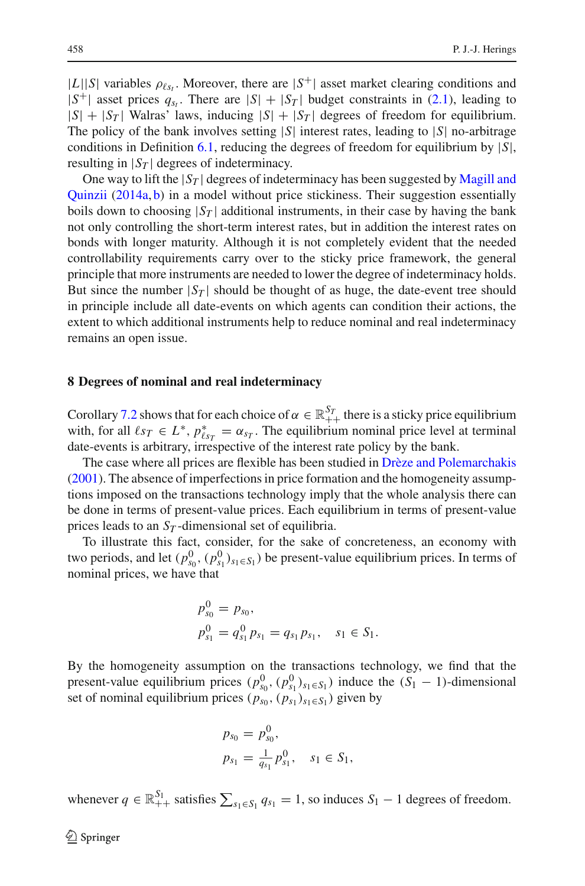$|L||S|$  variables  $\rho_{\ell s}$ . Moreover, there are  $|S^+|$  asset market clearing conditions and  $|S^+|$  asset prices  $q_{s_t}$ . There are  $|S|+|S_T|$  budget constraints in [\(2.1\)](#page-10-1), leading to  $|S|+|S_T|$  Walras' laws, inducing  $|S|+|S_T|$  degrees of freedom for equilibrium. The policy of the bank involves setting  $|S|$  interest rates, leading to  $|S|$  no-arbitrage conditions in Definition [6.1,](#page-19-0) reducing the degrees of freedom for equilibrium by |*S*|, resulting in  $|S_T|$  degrees of indeterminacy.

One way to lift the  $|S_T|$  [degrees](#page-41-15) [of](#page-41-15) [indeterminacy](#page-41-15) [has](#page-41-15) [been](#page-41-15) [suggested](#page-41-15) [by](#page-41-15) Magill and Quinzii [\(2014a,](#page-41-15) [b](#page-41-16)) in a model without price stickiness. Their suggestion essentially boils down to choosing  $|S_T|$  additional instruments, in their case by having the bank not only controlling the short-term interest rates, but in addition the interest rates on bonds with longer maturity. Although it is not completely evident that the needed controllability requirements carry over to the sticky price framework, the general principle that more instruments are needed to lower the degree of indeterminacy holds. But since the number  $|S_T|$  should be thought of as huge, the date-event tree should in principle include all date-events on which agents can condition their actions, the extent to which additional instruments help to reduce nominal and real indeterminacy remains an open issue.

#### <span id="page-22-0"></span>**8 Degrees of nominal and real indeterminacy**

Corollary [7.2](#page-21-2) shows that for each choice of  $\alpha \in \mathbb{R}_{++}^{S_T}$  there is a sticky price equilibrium with, for all  $\ell s_T \in L^*$ ,  $p_{\ell s_T}^* = \alpha_{s_T}$ . The equilibrium nominal price level at terminal date-events is arbitrary, irrespective of the interest rate policy by the bank.

The case where all prices are flexible has been studied in [Drèze and Polemarchakis](#page-41-1) [\(2001\)](#page-41-1). The absence of imperfections in price formation and the homogeneity assumptions imposed on the transactions technology imply that the whole analysis there can be done in terms of present-value prices. Each equilibrium in terms of present-value prices leads to an  $S_T$ -dimensional set of equilibria.

To illustrate this fact, consider, for the sake of concreteness, an economy with two periods, and let  $(p_{s_0}^0, (p_{s_1}^0)_{s_1 \in S_1})$  be present-value equilibrium prices. In terms of nominal prices, we have that

$$
p_{s_0}^0 = p_{s_0},
$$
  
\n
$$
p_{s_1}^0 = q_{s_1}^0 p_{s_1} = q_{s_1} p_{s_1}, \quad s_1 \in S_1.
$$

By the homogeneity assumption on the transactions technology, we find that the present-value equilibrium prices  $(p_{s_0}^0, (p_{s_1}^0)_{s_1 \in S_1})$  induce the  $(S_1 - 1)$ -dimensional set of nominal equilibrium prices  $(p_{s_0}, (p_{s_1})_{s_1 \in S_1})$  given by

$$
p_{s_0} = p_{s_0}^0,
$$
  

$$
p_{s_1} = \frac{1}{q_{s_1}} p_{s_1}^0, \quad s_1 \in S_1,
$$

whenever  $q \in \mathbb{R}_{++}^{S_1}$  satisfies  $\sum_{s_1 \in S_1} q_{s_1} = 1$ , so induces  $S_1 - 1$  degrees of freedom.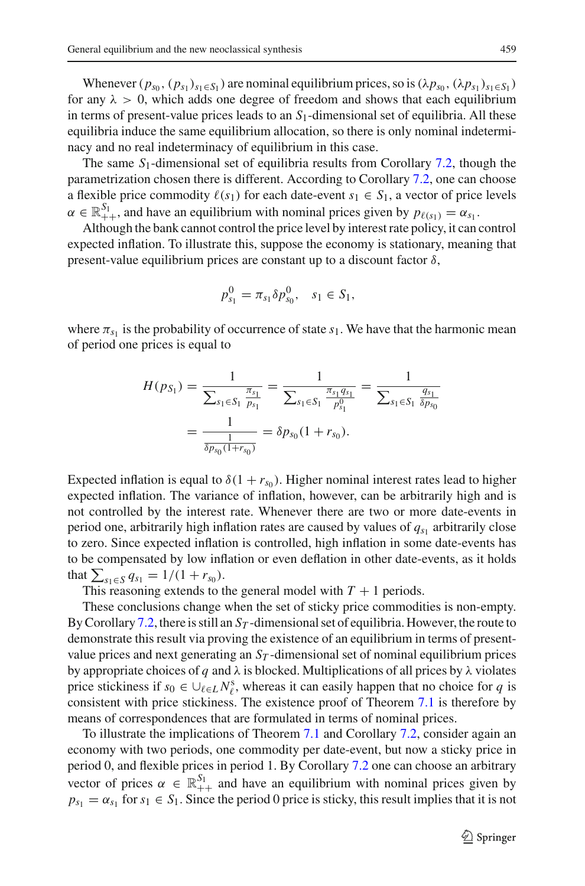Whenever ( $p_{s_0}$ , ( $p_{s_1}$ )<sub>*s*1∈*S*<sub>1</sub></sub>) are nominal equilibrium prices, so is ( $\lambda p_{s_0}$ , ( $\lambda p_{s_1}$ )<sub>*s*1∈*S*<sub>1</sub></sub>) for any  $\lambda > 0$ , which adds one degree of freedom and shows that each equilibrium in terms of present-value prices leads to an *S*1-dimensional set of equilibria. All these equilibria induce the same equilibrium allocation, so there is only nominal indeterminacy and no real indeterminacy of equilibrium in this case.

The same *S*1-dimensional set of equilibria results from Corollary [7.2,](#page-21-2) though the parametrization chosen there is different. According to Corollary [7.2,](#page-21-2) one can choose a flexible price commodity  $\ell(s_1)$  for each date-event  $s_1 \in S_1$ , a vector of price levels  $\alpha \in \mathbb{R}_{++}^{S_1}$ , and have an equilibrium with nominal prices given by  $p_{\ell(s_1)} = \alpha_{s_1}$ .

Although the bank cannot control the price level by interest rate policy, it can control expected inflation. To illustrate this, suppose the economy is stationary, meaning that present-value equilibrium prices are constant up to a discount factor  $\delta$ ,

$$
p_{s_1}^0 = \pi_{s_1} \delta p_{s_0}^0, \quad s_1 \in S_1,
$$

where  $\pi_{s_1}$  is the probability of occurrence of state  $s_1$ . We have that the harmonic mean of period one prices is equal to

$$
H(p_{S_1}) = \frac{1}{\sum_{s_1 \in S_1} \frac{\pi_{s_1}}{p_{s_1}}} = \frac{1}{\sum_{s_1 \in S_1} \frac{\pi_{s_1} q_{s_1}}{p_{s_1}^0}} = \frac{1}{\sum_{s_1 \in S_1} \frac{q_{s_1}}{\delta p_{s_0}}}
$$

$$
= \frac{1}{\frac{1}{\delta p_{s_0}(1+r_{s_0})}} = \delta p_{s_0}(1+r_{s_0}).
$$

Expected inflation is equal to  $\delta(1 + r_{s0})$ . Higher nominal interest rates lead to higher expected inflation. The variance of inflation, however, can be arbitrarily high and is not controlled by the interest rate. Whenever there are two or more date-events in period one, arbitrarily high inflation rates are caused by values of  $q_{s_1}$  arbitrarily close to zero. Since expected inflation is controlled, high inflation in some date-events has to be compensated by low inflation or even deflation in other date-events, as it holds that  $\sum_{s_1 \in S} q_{s_1} = 1/(1 + r_{s_0}).$ 

This reasoning extends to the general model with  $T + 1$  periods.

These conclusions change when the set of sticky price commodities is non-empty. By Corollary [7.2,](#page-21-2) there is still an  $S_T$ -dimensional set of equilibria. However, the route to demonstrate this result via proving the existence of an equilibrium in terms of presentvalue prices and next generating an  $S_T$ -dimensional set of nominal equilibrium prices by appropriate choices of *q* and  $\lambda$  is blocked. Multiplications of all prices by  $\lambda$  violates price stickiness if  $s_0 \in \bigcup_{\ell \in L} N_{\ell}^s$ , whereas it can easily happen that no choice for *q* is consistent with price stickiness. The existence proof of Theorem [7.1](#page-21-1) is therefore by means of correspondences that are formulated in terms of nominal prices.

To illustrate the implications of Theorem [7.1](#page-21-1) and Corollary [7.2,](#page-21-2) consider again an economy with two periods, one commodity per date-event, but now a sticky price in period 0, and flexible prices in period 1. By Corollary [7.2](#page-21-2) one can choose an arbitrary vector of prices  $\alpha \in \mathbb{R}_{++}^{S_1}$  and have an equilibrium with nominal prices given by  $p_{s_1} = \alpha_{s_1}$  for  $s_1 \in S_1$ . Since the period 0 price is sticky, this result implies that it is not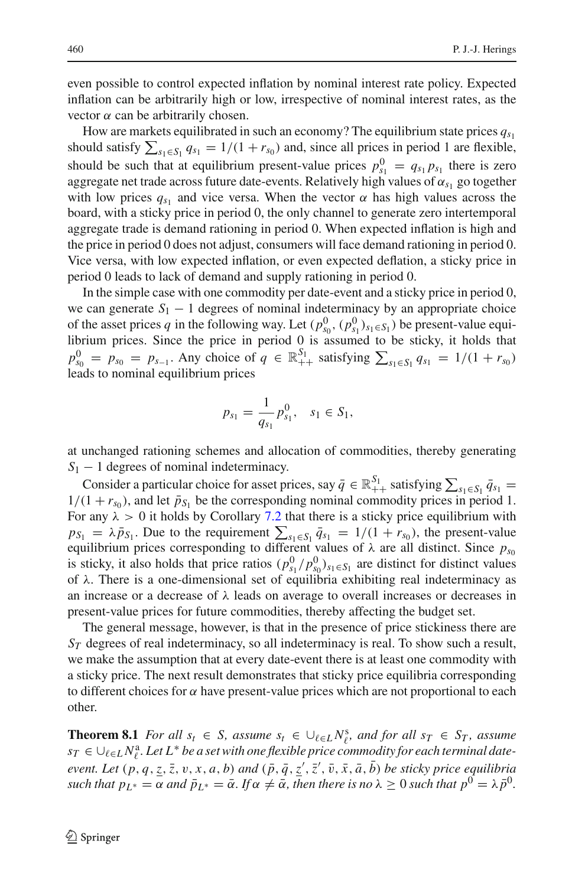even possible to control expected inflation by nominal interest rate policy. Expected inflation can be arbitrarily high or low, irrespective of nominal interest rates, as the vector  $\alpha$  can be arbitrarily chosen.

How are markets equilibrated in such an economy? The equilibrium state prices  $q_{s_1}$ should satisfy  $\sum_{s_1 \in S_1} q_{s_1} = 1/(1 + r_{s_0})$  and, since all prices in period 1 are flexible, should be such that at equilibrium present-value prices  $p_{s_1}^0 = q_{s_1} p_{s_1}$  there is zero aggregate net trade across future date-events. Relatively high values of  $\alpha_{s_1}$  go together with low prices  $q_{s_1}$  and vice versa. When the vector  $\alpha$  has high values across the board, with a sticky price in period 0, the only channel to generate zero intertemporal aggregate trade is demand rationing in period 0. When expected inflation is high and the price in period 0 does not adjust, consumers will face demand rationing in period 0. Vice versa, with low expected inflation, or even expected deflation, a sticky price in period 0 leads to lack of demand and supply rationing in period 0.

In the simple case with one commodity per date-event and a sticky price in period 0, we can generate  $S_1 - 1$  degrees of nominal indeterminacy by an appropriate choice of the asset prices *q* in the following way. Let  $(p_{s_0}^0, (p_{s_1}^0)_{s_1 \in S_1})$  be present-value equilibrium prices. Since the price in period 0 is assumed to be sticky, it holds that  $p_{s_0}^0 = p_{s_0} = p_{s_{-1}}$ . Any choice of  $q \in \mathbb{R}_{++}^{S_1}$  satisfying  $\sum_{s_1 \in S_1} q_{s_1} = 1/(1 + r_{s_0})$ leads to nominal equilibrium prices

$$
p_{s_1} = \frac{1}{q_{s_1}} p_{s_1}^0, \quad s_1 \in S_1,
$$

at unchanged rationing schemes and allocation of commodities, thereby generating *S*<sup>1</sup> − 1 degrees of nominal indeterminacy.

Consider a particular choice for asset prices, say  $\bar{q} \in \mathbb{R}_{++}^{S_1}$  satisfying  $\sum_{s_1 \in S_1} \bar{q}_{s_1} =$  $1/(1 + r_{s_0})$ , and let  $\bar{p}_{s_1}$  be the corresponding nominal commodity prices in period 1. For any  $\lambda > 0$  it holds by Corollary [7.2](#page-21-2) that there is a sticky price equilibrium with  $p_{S_1} = \lambda \bar{p}_{S_1}$ . Due to the requirement  $\sum_{s_1 \in S_1} \bar{q}_{s_1} = 1/(1 + r_{s_0})$ , the present-value equilibrium prices corresponding to different values of  $\lambda$  are all distinct. Since  $p_{s_0}$ is sticky, it also holds that price ratios  $(p_{s_1}^0/p_{s_0}^0)_{s_1 \in S_1}$  are distinct for distinct values of λ. There is a one-dimensional set of equilibria exhibiting real indeterminacy as an increase or a decrease of  $\lambda$  leads on average to overall increases or decreases in present-value prices for future commodities, thereby affecting the budget set.

The general message, however, is that in the presence of price stickiness there are *S<sub>T</sub>* degrees of real indeterminacy, so all indeterminacy is real. To show such a result, we make the assumption that at every date-event there is at least one commodity with a sticky price. The next result demonstrates that sticky price equilibria corresponding to different choices for  $\alpha$  have present-value prices which are not proportional to each other.

**Theorem 8.1** *For all*  $s_t \in S$ , assume  $s_t \in \bigcup_{\ell \in L} N_{\ell}^s$ , and for all  $s_T \in S_T$ , assume  $s_T \in \cup_{\ell \in L} N_\ell^{\rm a}$ . Let  $L^*$  be a set with one flexible price commodity for each terminal date*event. Let*  $(p, q, \underline{z}, \overline{z}, v, x, a, b)$  *and*  $(\overline{p}, \overline{q}, \underline{z}', \overline{z}', \overline{v}, \overline{x}, \overline{a}, \overline{b})$  *be sticky price equilibria such that*  $p_{L^*} = \alpha$  *and*  $\bar{p}_{L^*} = \bar{\alpha}$ *. If*  $\alpha \neq \bar{\alpha}$ *, then there is no*  $\lambda \geq 0$  *such that*  $p^0 = \lambda \bar{p}^0$ *.*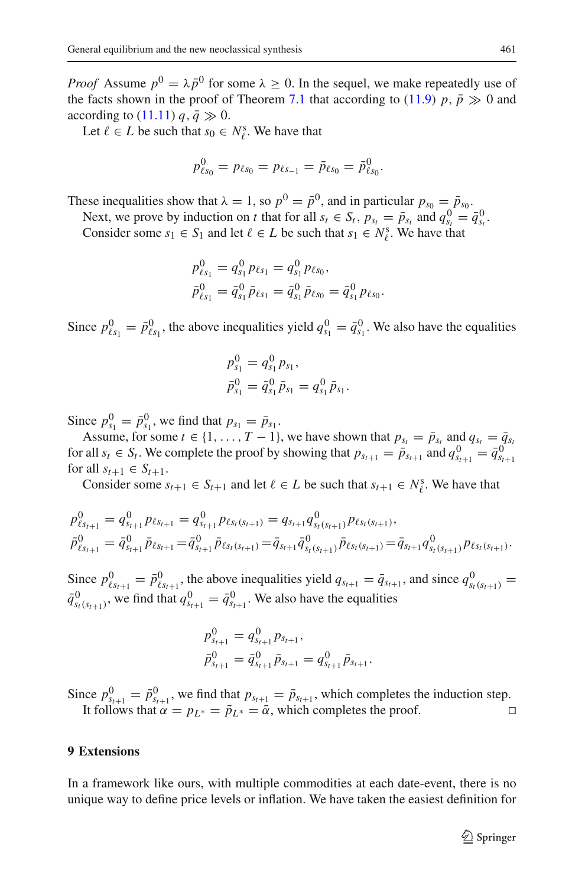*Proof* Assume  $p^0 = \lambda \bar{p}^0$  for some  $\lambda \geq 0$ . In the sequel, we make repeatedly use of the facts shown in the proof of Theorem [7.1](#page-21-1) that according to [\(11.9\)](#page-35-0)  $p, \bar{p} \gg 0$  and according to  $(11.11)$   $q, \bar{q} \gg 0$ .

Let  $\ell \in L$  be such that  $s_0 \in N_{\ell}^s$ . We have that

$$
p_{\ell s_0}^0 = p_{\ell s_0} = p_{\ell s_{-1}} = \bar{p}_{\ell s_0} = \bar{p}_{\ell s_0}^0.
$$

These inequalities show that  $\lambda = 1$ , so  $p^0 = \bar{p}^0$ , and in particular  $p_{s_0} = \bar{p}_{s_0}$ .

Next, we prove by induction on *t* that for all  $s_t \in S_t$ ,  $p_{s_t} = \bar{p}_{s_t}$  and  $q_{s_t}^0 = \bar{q}_{s_t}^0$ . Consider some  $s_1 \in S_1$  and let  $\ell \in L$  be such that  $s_1 \in N_{\ell}^s$ . We have that

$$
p_{\ell s_1}^0 = q_{s_1}^0 p_{\ell s_1} = q_{s_1}^0 p_{\ell s_0},
$$
  
\n
$$
\bar{p}_{\ell s_1}^0 = \bar{q}_{s_1}^0 \bar{p}_{\ell s_1} = \bar{q}_{s_1}^0 \bar{p}_{\ell s_0} = \bar{q}_{s_1}^0 p_{\ell s_0}.
$$

Since  $p_{\ell s_1}^0 = \bar{p}_{\ell s_1}^0$ , the above inequalities yield  $q_{s_1}^0 = \bar{q}_{s_1}^0$ . We also have the equalities

$$
p_{s_1}^0 = q_{s_1}^0 p_{s_1},
$$
  
\n
$$
\bar{p}_{s_1}^0 = \bar{q}_{s_1}^0 \bar{p}_{s_1} = q_{s_1}^0 \bar{p}_{s_1}.
$$

Since  $p_{s_1}^0 = \bar{p}_{s_1}^0$ , we find that  $p_{s_1} = \bar{p}_{s_1}$ .

Assume, for some  $t \in \{1, ..., T-1\}$ , we have shown that  $p_{s_t} = \bar{p}_{s_t}$  and  $q_{s_t} = \bar{q}_{s_t}$ for all  $s_t \in S_t$ . We complete the proof by showing that  $p_{s_{t+1}} = \bar{p}_{s_{t+1}}$  and  $q_{s_{t+1}}^0 = \bar{q}_{s_{t+1}}^0$ for all  $s_{t+1} \in S_{t+1}$ .

Consider some  $s_{t+1} \in S_{t+1}$  and let  $\ell \in L$  be such that  $s_{t+1} \in N_{\ell}^s$ . We have that

$$
p_{\ell s_{t+1}}^0 = q_{s_{t+1}}^0 p_{\ell s_{t+1}} = q_{s_{t+1}}^0 p_{\ell s_t(s_{t+1})} = q_{s_{t+1}} q_{s_t(s_{t+1})}^0 p_{\ell s_t(s_{t+1})},
$$
  
\n
$$
\bar{p}_{\ell s_{t+1}}^0 = \bar{q}_{s_{t+1}}^0 \bar{p}_{\ell s_t+1} = \bar{q}_{s_{t+1}}^0 \bar{p}_{\ell s_t(s_{t+1})} = \bar{q}_{s_{t+1}} \bar{q}_{s_t(s_{t+1})}^0 \bar{p}_{\ell s_t(s_{t+1})} = \bar{q}_{s_{t+1}} q_{s_t(s_{t+1})}^0 p_{\ell s_t(s_{t+1})}.
$$

Since  $p_{\ell s_{t+1}}^0 = \bar{p}_{\ell s_{t+1}}^0$ , the above inequalities yield  $q_{s_{t+1}} = \bar{q}_{s_{t+1}}$ , and since  $q_{s_{t}(s_{t+1})}^0 =$  $\bar{q}_{s_t(s_{t+1})}^0$ , we find that  $q_{s_{t+1}}^0 = \bar{q}_{s_{t+1}}^0$ . We also have the equalities

$$
p_{s_{t+1}}^0 = q_{s_{t+1}}^0 p_{s_{t+1}},
$$
  
\n
$$
\bar{p}_{s_{t+1}}^0 = \bar{q}_{s_{t+1}}^0 \bar{p}_{s_{t+1}} = q_{s_{t+1}}^0 \bar{p}_{s_{t+1}}.
$$

Since  $p_{s_{t+1}}^0 = \bar{p}_{s_{t+1}}^0$ , we find that  $p_{s_{t+1}} = \bar{p}_{s_{t+1}}$ , which completes the induction step. It follows that  $\alpha = p_{L^*} = \overline{p}_{L^*} = \overline{\alpha}$ , which completes the proof.

# <span id="page-25-0"></span>**9 Extensions**

In a framework like ours, with multiple commodities at each date-event, there is no unique way to define price levels or inflation. We have taken the easiest definition for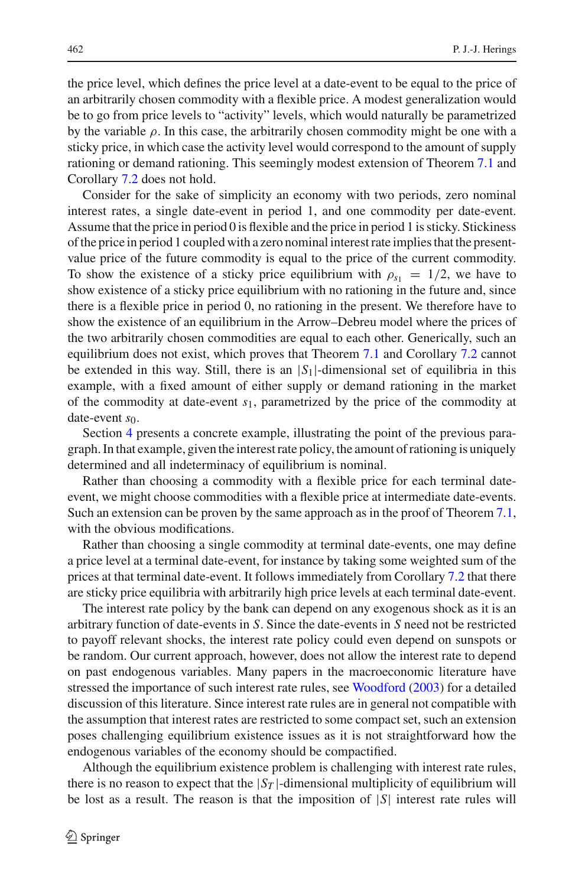the price level, which defines the price level at a date-event to be equal to the price of an arbitrarily chosen commodity with a flexible price. A modest generalization would be to go from price levels to "activity" levels, which would naturally be parametrized by the variable  $\rho$ . In this case, the arbitrarily chosen commodity might be one with a sticky price, in which case the activity level would correspond to the amount of supply rationing or demand rationing. This seemingly modest extension of Theorem [7.1](#page-21-1) and Corollary [7.2](#page-21-2) does not hold.

Consider for the sake of simplicity an economy with two periods, zero nominal interest rates, a single date-event in period 1, and one commodity per date-event. Assume that the price in period 0 is flexible and the price in period 1 is sticky. Stickiness of the price in period 1 coupled with a zero nominal interest rate implies that the presentvalue price of the future commodity is equal to the price of the current commodity. To show the existence of a sticky price equilibrium with  $\rho_{s1} = 1/2$ , we have to show existence of a sticky price equilibrium with no rationing in the future and, since there is a flexible price in period 0, no rationing in the present. We therefore have to show the existence of an equilibrium in the Arrow–Debreu model where the prices of the two arbitrarily chosen commodities are equal to each other. Generically, such an equilibrium does not exist, which proves that Theorem [7.1](#page-21-1) and Corollary [7.2](#page-21-2) cannot be extended in this way. Still, there is an  $|S_1|$ -dimensional set of equilibria in this example, with a fixed amount of either supply or demand rationing in the market of the commodity at date-event *s*1, parametrized by the price of the commodity at date-event *s*0.

Section [4](#page-13-0) presents a concrete example, illustrating the point of the previous paragraph. In that example, given the interest rate policy, the amount of rationing is uniquely determined and all indeterminacy of equilibrium is nominal.

Rather than choosing a commodity with a flexible price for each terminal dateevent, we might choose commodities with a flexible price at intermediate date-events. Such an extension can be proven by the same approach as in the proof of Theorem [7.1,](#page-21-1) with the obvious modifications.

Rather than choosing a single commodity at terminal date-events, one may define a price level at a terminal date-event, for instance by taking some weighted sum of the prices at that terminal date-event. It follows immediately from Corollary [7.2](#page-21-2) that there are sticky price equilibria with arbitrarily high price levels at each terminal date-event.

The interest rate policy by the bank can depend on any exogenous shock as it is an arbitrary function of date-events in *S*. Since the date-events in *S* need not be restricted to payoff relevant shocks, the interest rate policy could even depend on sunspots or be random. Our current approach, however, does not allow the interest rate to depend on past endogenous variables. Many papers in the macroeconomic literature have stressed the importance of such interest rate rules, see [Woodford](#page-41-3) [\(2003](#page-41-3)) for a detailed discussion of this literature. Since interest rate rules are in general not compatible with the assumption that interest rates are restricted to some compact set, such an extension poses challenging equilibrium existence issues as it is not straightforward how the endogenous variables of the economy should be compactified.

Although the equilibrium existence problem is challenging with interest rate rules, there is no reason to expect that the  $|S_T|$ -dimensional multiplicity of equilibrium will be lost as a result. The reason is that the imposition of |*S*| interest rate rules will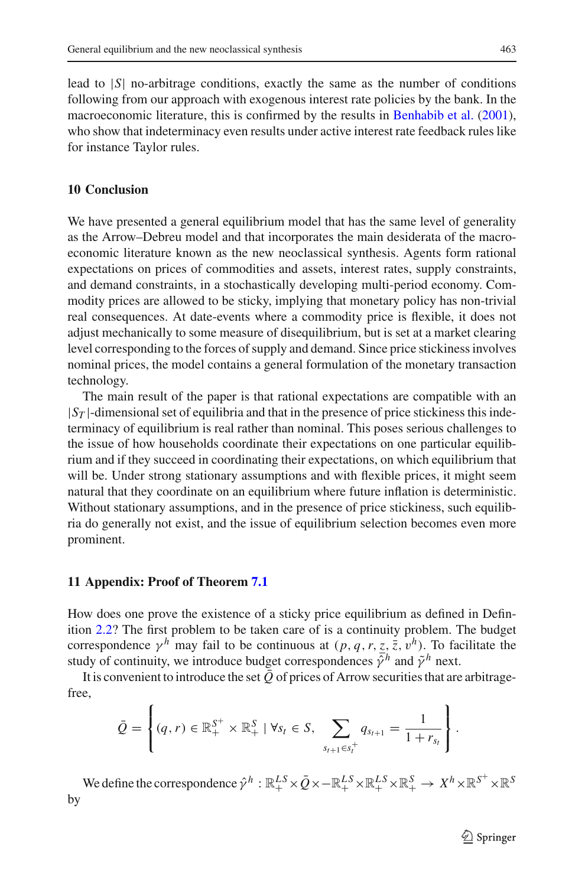lead to  $|S|$  no-arbitrage conditions, exactly the same as the number of conditions following from our approach with exogenous interest rate policies by the bank. In the macroeconomic literature, this is confirmed by the results in [Benhabib et al.](#page-40-4) [\(2001](#page-40-4)), who show that indeterminacy even results under active interest rate feedback rules like for instance Taylor rules.

# <span id="page-27-0"></span>**10 Conclusion**

We have presented a general equilibrium model that has the same level of generality as the Arrow–Debreu model and that incorporates the main desiderata of the macroeconomic literature known as the new neoclassical synthesis. Agents form rational expectations on prices of commodities and assets, interest rates, supply constraints, and demand constraints, in a stochastically developing multi-period economy. Commodity prices are allowed to be sticky, implying that monetary policy has non-trivial real consequences. At date-events where a commodity price is flexible, it does not adjust mechanically to some measure of disequilibrium, but is set at a market clearing level corresponding to the forces of supply and demand. Since price stickiness involves nominal prices, the model contains a general formulation of the monetary transaction technology.

The main result of the paper is that rational expectations are compatible with an  $|S_T|$ -dimensional set of equilibria and that in the presence of price stickiness this indeterminacy of equilibrium is real rather than nominal. This poses serious challenges to the issue of how households coordinate their expectations on one particular equilibrium and if they succeed in coordinating their expectations, on which equilibrium that will be. Under strong stationary assumptions and with flexible prices, it might seem natural that they coordinate on an equilibrium where future inflation is deterministic. Without stationary assumptions, and in the presence of price stickiness, such equilibria do generally not exist, and the issue of equilibrium selection becomes even more prominent.

#### **11 Appendix: Proof of Theorem [7.1](#page-21-1)**

How does one prove the existence of a sticky price equilibrium as defined in Definition [2.2?](#page-11-0) The first problem to be taken care of is a continuity problem. The budget correspondence  $\gamma^h$  may fail to be continuous at  $(p, q, r, z, \overline{z}, v^h)$ . To facilitate the study of continuity, we introduce budget correspondences  $\tilde{\gamma}^h$  and  $\tilde{\gamma}^h$  next.

It is convenient to introduce the set  $Q$  of prices of Arrow securities that are arbitragefree,

$$
\bar{Q} = \left\{ (q, r) \in \mathbb{R}_{+}^{S^{+}} \times \mathbb{R}_{+}^{S} \mid \forall s_{t} \in S, \sum_{s_{t+1} \in s_{t}^{+}} q_{s_{t+1}} = \frac{1}{1 + r_{s_{t}}} \right\}.
$$

We define the correspondence  $\hat{\gamma}^h: \mathbb{R}_+^{LS} \times \bar{Q} \times - \mathbb{R}_+^{LS} \times \mathbb{R}_+^{LS} \times \mathbb{R}_+^S \to X^h \times \mathbb{R}^{S^+} \times \mathbb{R}^S$ by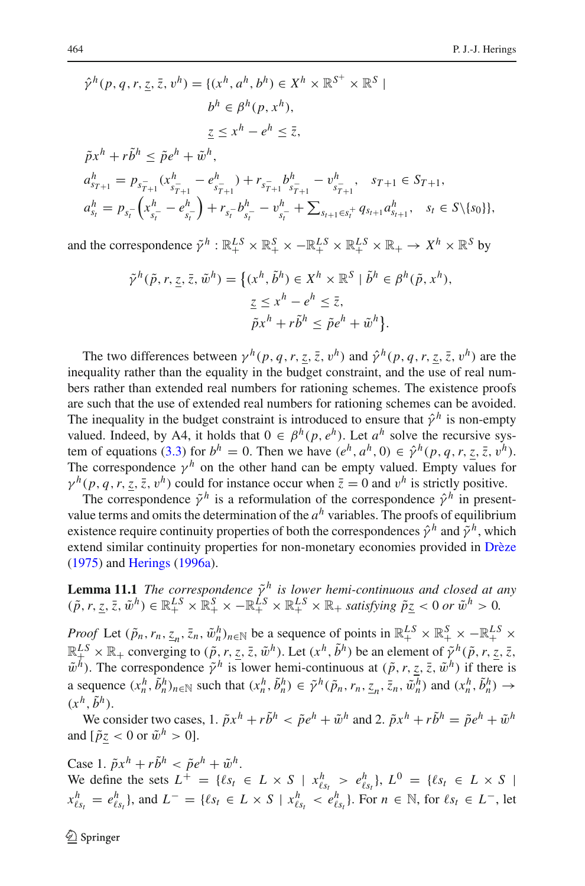$$
\hat{\gamma}^h(p, q, r, \underline{z}, \overline{z}, v^h) = \{ (x^h, a^h, b^h) \in X^h \times \mathbb{R}^{S^+} \times \mathbb{R}^S \mid
$$
  
\n
$$
b^h \in \beta^h(p, x^h),
$$
  
\n
$$
\underline{z} \le x^h - e^h \le \overline{z},
$$
  
\n
$$
\tilde{p}x^h + r\tilde{b}^h \le \tilde{p}e^h + \tilde{w}^h,
$$
  
\n
$$
a_{s_{T+1}}^h = p_{s_{T+1}^{-1}}(x_{s_{T+1}^{-}}^h - e_{s_{T+1}^{-}}^h) + r_{s_{T+1}^{-}} b_{s_{T+1}^{-}}^h - v_{s_{T+1}^{-}}^h, \quad s_{T+1} \in S_{T+1},
$$
  
\n
$$
a_{s_t}^h = p_{s_t} \left( x_{s_t}^h - e_{s_t}^h \right) + r_{s_t} b_{s_t}^h - v_{s_t}^h + \sum_{s_{t+1} \in s_t^+} q_{s_{t+1}} a_{s_{t+1}}^h, \quad s_t \in S \setminus \{s_0\} \},
$$

and the correspondence  $\tilde{\gamma}^h : \mathbb{R}_+^{LS} \times \mathbb{R}_+^S \times -\mathbb{R}_+^{LS} \times \mathbb{R}_+^{LS} \times \mathbb{R}_+ \to X^h \times \mathbb{R}^S$  by

$$
\tilde{\gamma}^h(\tilde{p}, r, \underline{z}, \bar{z}, \tilde{w}^h) = \left\{ (x^h, \tilde{b}^h) \in X^h \times \mathbb{R}^S \mid \tilde{b}^h \in \beta^h(\tilde{p}, x^h), \right\}
$$

$$
\underline{z} \le x^h - e^h \le \bar{z},
$$

$$
\tilde{p}x^h + r\tilde{b}^h \le \tilde{p}e^h + \tilde{w}^h \right\}.
$$

The two differences between  $\gamma^h(p, q, r, z, \bar{z}, v^h)$  and  $\hat{\gamma}^h(p, q, r, z, \bar{z}, v^h)$  are the inequality rather than the equality in the budget constraint, and the use of real numbers rather than extended real numbers for rationing schemes. The existence proofs are such that the use of extended real numbers for rationing schemes can be avoided. The inequality in the budget constraint is introduced to ensure that  $\hat{\gamma}^h$  is non-empty valued. Indeed, by A4, it holds that  $0 \in \beta^h(p, e^h)$ . Let  $a^h$  solve the recursive sys-tem of equations [\(3.3\)](#page-12-3) for  $b^h = 0$ . Then we have  $(e^h, a^h, 0) \in \hat{\gamma}^h(p, q, r, z, \overline{z}, v^h)$ . The correspondence  $\gamma^h$  on the other hand can be empty valued. Empty values for  $\gamma^h(p, q, r, z, \bar{z}, v^h)$  could for instance occur when  $\bar{z} = 0$  and  $v^h$  is strictly positive.

The correspondence  $\tilde{\gamma}^h$  is a reformulation of the correspondence  $\hat{\gamma}^h$  in presentvalue terms and omits the determination of the  $a^h$  variables. The proofs of equilibrium existence require continuity properties of both the correspondences  $\hat{\gamma}^h$  and  $\tilde{\gamma}^h$ , which extend similar continuity properties for non-monetary economies provided in [Drèze](#page-41-8) [\(1975\)](#page-41-8) and [Herings](#page-41-12) [\(1996a](#page-41-12)).

<span id="page-28-0"></span>**Lemma 11.1** *The correspondence*  $\tilde{\gamma}^h$  *is lower hemi-continuous and closed at any*  $(\tilde{p}, r, \underline{z}, \bar{z}, \tilde{w}^h) \in \mathbb{R}_+^{LS} \times \mathbb{R}_+^S \times -\mathbb{R}_+^{LS} \times \mathbb{R}_+^{LS} \times \mathbb{R}_+$  *satisfying*  $\tilde{p}_z^2 < 0$  or  $\tilde{w}^h > 0$ .

*Proof* Let  $(\tilde{p}_n, r_n, \underline{z}_n, \overline{z}_n, \tilde{w}_n^h)_{n \in \mathbb{N}}$  be a sequence of points in  $\mathbb{R}_+^{LS} \times \mathbb{R}_+^S \times -\mathbb{R}_+^{LS} \times$  $\mathbb{R}^{LS}_+ \times \mathbb{R}_+$  converging to  $(\tilde{p}, r, \underline{z}, \bar{z}, \tilde{w}^h)$ . Let  $(x^h, \tilde{b}^h)$  be an element of  $\tilde{\gamma}^h(\tilde{p}, r, \underline{z}, \bar{z}, \bar{w}^h)$  $\tilde{w}^{\overline{h}}$ ). The correspondence  $\tilde{\gamma}^h$  is lower hemi-continuous at  $(\tilde{p}, r, z, \overline{z}, \tilde{w}^h)$  if there is a sequence  $(x_n^h, \tilde{b}_n^h)_{n \in \mathbb{N}}$  such that  $(x_n^h, \tilde{b}_n^h) \in \tilde{\gamma}^h(\tilde{p}_n, r_n, \underline{z}_n, \overline{z}_n, \tilde{w}_n^h)$  and  $(x_n^h, \tilde{b}_n^h) \to$  $(x^h, \tilde{b}^h)$ .

We consider two cases, 1.  $\tilde{p}x^h + r\tilde{b}^h < \tilde{p}e^h + \tilde{w}^h$  and 2.  $\tilde{p}x^h + r\tilde{b}^h = \tilde{p}e^h + \tilde{w}^h$ and  $[\tilde{p}z < 0 \text{ or } \tilde{w}^h > 0].$ 

 $\text{Case 1. } \tilde{p}x^h + r\tilde{b}^h < \tilde{p}e^h + \tilde{w}^h.$ We define the sets  $L^{\pm} = \{ \ell s_t \in L \times S \mid x_{\ell s_t}^h > e_{\ell s_t}^h \}$ ,  $L^0 = \{ \ell s_t \in L \times S \mid$  $x_{\ell s_i}^h = e_{\ell s_i}^h$ , and  $L^- = \{\ell s_i \in L \times S \mid x_{\ell s_i}^h < e_{\ell s_i}^h\}$ . For  $n \in \mathbb{N}$ , for  $\ell s_i \in L^-$ , let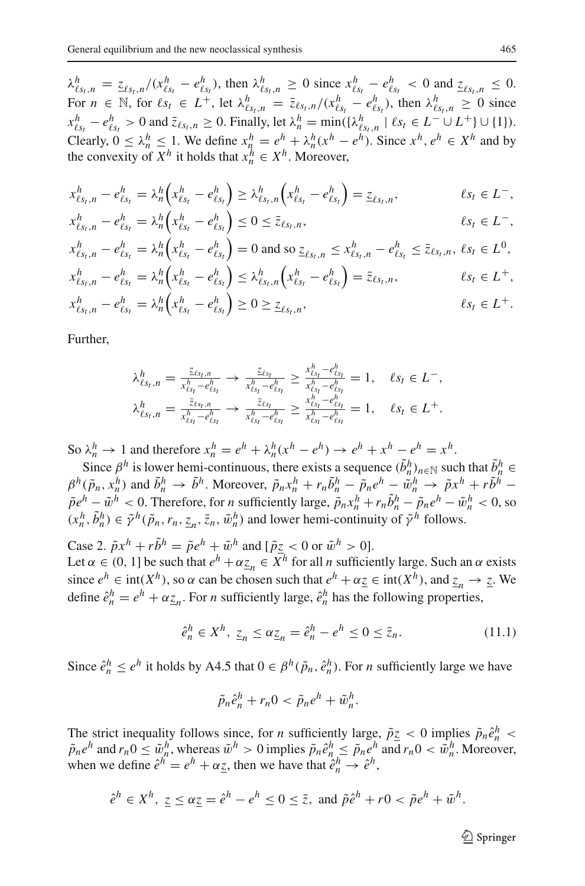$\lambda_{\ell s_t,n}^h = \underline{z}_{\ell s_t,n}/(x_{\ell s_t}^h - e_{\ell s_t}^h)$ , then  $\lambda_{\ell s_t,n}^h \ge 0$  since  $x_{\ell s_t}^h - e_{\ell s_t}^h < 0$  and  $\underline{z}_{\ell s_t,n} \le 0$ . For  $n \in \mathbb{N}$ , for  $\ell s_t \in L^+$ , let  $\lambda^h_{\ell s_t,n} = \bar{z}_{\ell s_t,n}/(x^h_{\ell s_t} - e^h_{\ell s_t}),$  then  $\lambda^h_{\ell s_t,n} \geq 0$  since  $x_{\ell s_t}^h - e_{\ell s_t}^h > 0$  and  $\bar{z}_{\ell s_t, n} \ge 0$ . Finally, let  $\lambda_n^h = \min(\{\lambda_{\ell s_t, n}^h \mid \ell s_t \in L^- \cup L^+\} \cup \{1\}).$ Clearly,  $0 \le \lambda_n^h \le 1$ . We define  $x_n^h = e^h + \lambda_n^h(x^h - e^h)$ . Since  $x^h, e^h \in X^h$  and by the convexity of  $X^h$  it holds that  $x_n^h \in X^h$ . Moreover,

$$
x_{\ell s_t,n}^h - e_{\ell s_t}^h = \lambda_n^h \left( x_{\ell s_t}^h - e_{\ell s_t}^h \right) \geq \lambda_{\ell s_t,n}^h \left( x_{\ell s_t}^h - e_{\ell s_t}^h \right) = \underline{z}_{\ell s_t,n}, \qquad \ell s_t \in L^-
$$

$$
x_{\ell s_t,n}^h - e_{\ell s_t}^h = \lambda_n^h \left( x_{\ell s_t}^h - e_{\ell s_t}^h \right) \le 0 \le \overline{z}_{\ell s_t,n}, \qquad \qquad \ell s_t \in L^-,
$$

$$
x_{\ell s_t,n}^h - e_{\ell s_t}^h = \lambda_n^h \Big( x_{\ell s_t}^h - e_{\ell s_t}^h \Big) = 0 \text{ and so } \underline{z}_{\ell s_t,n} \leq x_{\ell s_t,n}^h - e_{\ell s_t}^h \leq \overline{z}_{\ell s_t,n}, \ \ell s_t \in L^0,
$$
  

$$
x_{\ell s_t,n}^h - e_{\ell s_t}^h = \lambda_n^h \Big( x_{\ell s_t}^h - e_{\ell s_t}^h \Big) \leq \lambda_{\ell s_t,n}^h \Big( x_{\ell s_t}^h - e_{\ell s_t}^h \Big) = \overline{z}_{\ell s_t,n}, \qquad \ell s_t \in L^+,
$$

$$
x_{\ell s_t,n}^h - e_{\ell s_t}^h = \lambda_n^h \Big( x_{\ell s_t}^h - e_{\ell s_t}^h \Big) \geq 0 \geq \underline{z}_{\ell s_t,n}, \qquad \ell s_t \in L^+.
$$

Further,

$$
\lambda_{\ell s_t, n}^h = \frac{z_{\ell s_t, n}}{x_{\ell s_t}^h - e_{\ell s_t}^h} \to \frac{z_{\ell s_t}}{x_{\ell s_t}^h - e_{\ell s_t}^h} \ge \frac{x_{\ell s_t}^h - e_{\ell s_t}^h}{x_{\ell s_t}^h - e_{\ell s_t}^h} = 1, \quad \ell s_t \in L^-,
$$
  

$$
\lambda_{\ell s_t, n}^h = \frac{z_{\ell s_t, n}}{x_{\ell s_t}^h - e_{\ell s_t}^h} \to \frac{z_{\ell s_t}}{x_{\ell s_t}^h - e_{\ell s_t}^h} \ge \frac{x_{\ell s_t}^h - e_{\ell s_t}^h}{x_{\ell s_t}^h - e_{\ell s_t}^h} = 1, \quad \ell s_t \in L^+.
$$

So  $\lambda_n^h \to 1$  and therefore  $x_n^h = e^h + \lambda_n^h(x^h - e^h) \to e^h + x^h - e^h = x^h$ .

Since  $\beta^h$  is lower hemi-continuous, there exists a sequence  $(\tilde{b}_n^h)_{n\in\mathbb{N}}$  such that  $\tilde{b}_n^h$  $\beta^h(\tilde{p}_n, x_n^h)$  and  $\tilde{b}_n^h \to \tilde{b}^h$ . Moreover,  $\tilde{p}_n x_n^h + r_n \tilde{b}_n^h - \tilde{p}_n e^h - \tilde{w}_n^h \to \tilde{p}_n x^h + r \tilde{b}^h$  $\tilde{p}e^{h} - \tilde{w}^{h} < 0$ . Therefore, for *n* sufficiently large,  $\tilde{p}_nx_n^h + r_n\tilde{b}_n^h - \tilde{p}_ne^h - \tilde{w}_n^h < 0$ , so  $(x_n^h, \tilde{b}_n^h) \in \tilde{\gamma}^h(\tilde{p}_n, r_n, \underline{z}_n, \overline{z}_n, \tilde{w}_n^h)$  and lower hemi-continuity of  $\tilde{\gamma}^h$  follows.

Case 2.  $\tilde{p}x^h + r\tilde{b}^h = \tilde{p}e^h + \tilde{w}^h$  and  $[\tilde{p}z < 0$  or  $\tilde{w}^h > 0$ . Let  $\alpha \in (0, 1]$  be such that  $e^h + \alpha z_n \in \overline{X}$ <sup>*h*</sup> for all *n* sufficiently large. Such an  $\alpha$  exists since  $e^h \in \text{int}(X^h)$ , so  $\alpha$  can be chosen such that  $e^h + \alpha z \in \text{int}(X^h)$ , and  $z_n \to z$ . We define  $\hat{e}_n^h = e^h + \alpha_{\mathcal{Z}_n}$ . For *n* sufficiently large,  $\hat{e}_n^h$  has the following properties,

$$
\hat{e}_n^h \in X^h, \ \underline{z}_n \le \alpha \underline{z}_n = \hat{e}_n^h - e^h \le 0 \le \overline{z}_n. \tag{11.1}
$$

<span id="page-29-0"></span>Since  $\hat{e}_n^h \leq e^h$  it holds by A4.5 that  $0 \in \beta^h(\tilde{p}_n, \hat{e}_n^h)$ . For *n* sufficiently large we have

$$
\tilde{p}_n \hat{e}^h_n + r_n 0 < \tilde{p}_n e^h + \tilde{w}^h_n.
$$

The strict inequality follows since, for *n* sufficiently large,  $\tilde{p}_z < 0$  implies  $\tilde{p}_n \hat{e}_n^h$  $\tilde{p}_n e^h$  and  $r_n 0 \le \tilde{w}_n^h$ , whereas  $\tilde{w}^h > 0$  implies  $\tilde{p}_n \tilde{e}_n^h \le \tilde{p}_n e^h$  and  $r_n 0 < \tilde{w}_n^h$ . Moreover, when we define  $\hat{e}^h = e^h + \alpha \underline{z}$ , then we have that  $\hat{e}^h_n \to \hat{e}^h$ ,

$$
\hat{e}^h \in X^h, \ \underline{z} \le \alpha \underline{z} = \hat{e}^h - e^h \le 0 \le \overline{z}, \text{ and } \tilde{p}\hat{e}^h + r0 < \tilde{p}e^h + \tilde{w}^h.
$$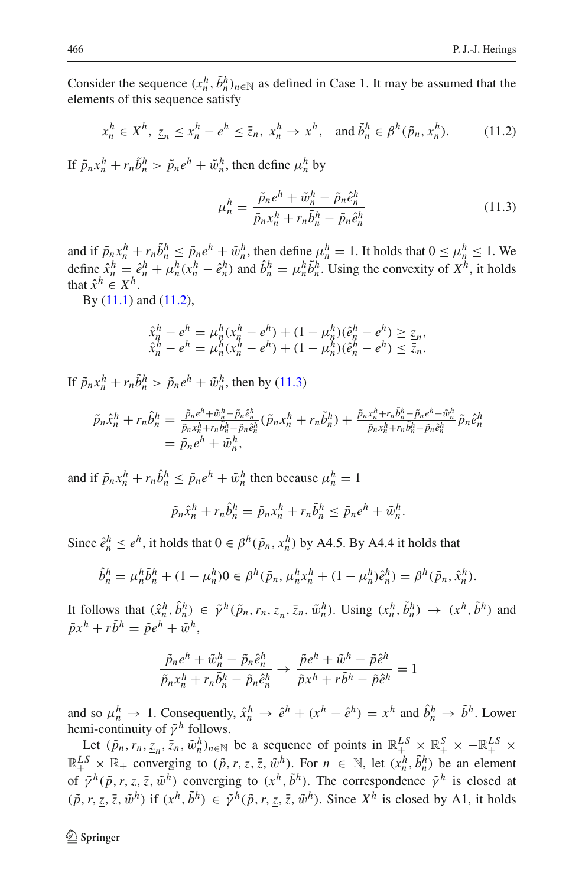Consider the sequence  $(x_n^h, \tilde{b}_n^h)_{n \in \mathbb{N}}$  as defined in Case 1. It may be assumed that the elements of this sequence satisfy

$$
x_n^h \in X^h, \ z_n \le x_n^h - e^h \le \bar{z}_n, \ x_n^h \to x^h, \quad \text{and } \tilde{b}_n^h \in \beta^h(\tilde{p}_n, x_n^h). \tag{11.2}
$$

<span id="page-30-1"></span><span id="page-30-0"></span>If  $\tilde{p}_n x_n^h + r_n \tilde{b}_n^h > \tilde{p}_n e^h + \tilde{w}_n^h$ , then define  $\mu_n^h$  by

$$
\mu_n^h = \frac{\tilde{p}_n e^h + \tilde{w}_n^h - \tilde{p}_n \hat{e}_n^h}{\tilde{p}_n x_n^h + r_n \tilde{b}_n^h - \tilde{p}_n \hat{e}_n^h}
$$
(11.3)

and if  $\tilde{p}_n x_n^h + r_n \tilde{b}_n^h \le \tilde{p}_n e^h + \tilde{w}_n^h$ , then define  $\mu_n^h = 1$ . It holds that  $0 \le \mu_n^h \le 1$ . We define  $\hat{x}_n^h = \hat{e}_n^h + \mu_n^h (x_n^h - \hat{e}_n^h)$  and  $\hat{b}_n^h = \mu_n^h \tilde{b}_n^h$ . Using the convexity of  $X^h$ , it holds that  $\hat{x}^h \in X^h$ .

By [\(11.1\)](#page-29-0) and [\(11.2\)](#page-30-0),

$$
\begin{aligned} \hat{x}_n^h - e^h &= \mu_n^h(x_n^h - e^h) + (1 - \mu_n^h)(\hat{e}_n^h - e^h) \ge \underline{z}_n, \\ \hat{x}_n^h - e^h &= \mu_n^h(x_n^h - e^h) + (1 - \mu_n^h)(\hat{e}_n^h - e^h) \le \overline{z}_n. \end{aligned}
$$

If  $\tilde{p}_n x_n^h + r_n \tilde{b}_n^h > \tilde{p}_n e^h + \tilde{w}_n^h$ , then by [\(11.3\)](#page-30-1)

$$
\tilde{p}_n\hat{x}_n^h + r_n\hat{b}_n^h = \frac{\tilde{p}_n e^h + \tilde{w}_n^h - \tilde{p}_n \hat{e}_n^h}{\tilde{p}_n x_n^h + r_n \tilde{b}_n^h - \tilde{p}_n \hat{e}_n^h} (\tilde{p}_n x_n^h + r_n \tilde{b}_n^h) + \frac{\tilde{p}_n x_n^h + r_n \tilde{b}_n^h - \tilde{p}_n e^h - \tilde{w}_n^h}{\tilde{p}_n x_n^h + r_n \tilde{b}_n^h - \tilde{p}_n \hat{e}_n^h} \tilde{p}_n \hat{e}_n^h
$$
\n
$$
= \tilde{p}_n e^h + \tilde{w}_n^h,
$$

and if  $\tilde{p}_n x_n^h + r_n \hat{b}_n^h \le \tilde{p}_n e^h + \tilde{w}_n^h$  then because  $\mu_n^h = 1$ 

$$
\tilde{p}_n \hat{x}_n^h + r_n \hat{b}_n^h = \tilde{p}_n x_n^h + r_n \tilde{b}_n^h \le \tilde{p}_n e^h + \tilde{w}_n^h.
$$

Since  $\hat{e}_n^h \leq e^h$ , it holds that  $0 \in \beta^h(\tilde{p}_n, x_n^h)$  by A4.5. By A4.4 it holds that

$$
\hat{b}_n^h = \mu_n^h \tilde{b}_n^h + (1 - \mu_n^h) 0 \in \beta^h(\tilde{p}_n, \mu_n^h x_n^h + (1 - \mu_n^h) \hat{e}_n^h) = \beta^h(\tilde{p}_n, \hat{x}_n^h).
$$

It follows that  $(\hat{x}_n^h, \hat{b}_n^h) \in \tilde{\gamma}^h(\tilde{p}_n, r_n, \underline{z}_n, \overline{z}_n, \tilde{w}_n^h)$ . Using  $(x_n^h, \tilde{b}_n^h) \to (x^h, \tilde{b}^h)$  and  $\tilde{p}x^h + r\tilde{b}^h = \tilde{p}e^h + \tilde{w}^h$ .

$$
\frac{\tilde{p}_n e^h + \tilde{w}_n^h - \tilde{p}_n \hat{e}_n^h}{\tilde{p}_n x_n^h + r_n \tilde{b}_n^h - \tilde{p}_n \hat{e}_n^h} \to \frac{\tilde{p} e^h + \tilde{w}^h - \tilde{p} \hat{e}^h}{\tilde{p} x^n + r \tilde{b}^h - \tilde{p} \hat{e}^h} = 1
$$

and so  $\mu_n^h \to 1$ . Consequently,  $\hat{x}_n^h \to \hat{e}^h + (x^h - \hat{e}^h) = x^h$  and  $\hat{b}_n^h \to \tilde{b}^h$ . Lower hemi-continuity of  $\tilde{\gamma}^h$  follows.

Let  $(\tilde{p}_n, r_n, \underline{z}_n, \overline{z}_n, \tilde{w}_n^h)_{n \in \mathbb{N}}$  be a sequence of points in  $\mathbb{R}_+^{LS} \times \mathbb{R}_+^S \times -\mathbb{R}_+^{LS} \times$  $\mathbb{R}^{LS}_+ \times \mathbb{R}_+$  converging to  $(\tilde{p}, r, \underline{z}, \bar{z}, \tilde{w}^h)$ . For  $n \in \mathbb{N}$ , let  $(x_n^h, \tilde{b}_n^h)$  be an element of  $\tilde{\gamma}^h(\tilde{p},r,z,\bar{z},\tilde{w}^h)$  converging to  $(x^h,\tilde{b}^h)$ . The correspondence  $\tilde{\gamma}^h$  is closed at  $(\tilde{p}, r, z, \bar{z}, \tilde{w}^h)$  if  $(x^h, \tilde{b}^h) \in \tilde{\gamma}^h(\tilde{p}, r, z, \bar{z}, \tilde{w}^h)$ . Since  $X^h$  is closed by A1, it holds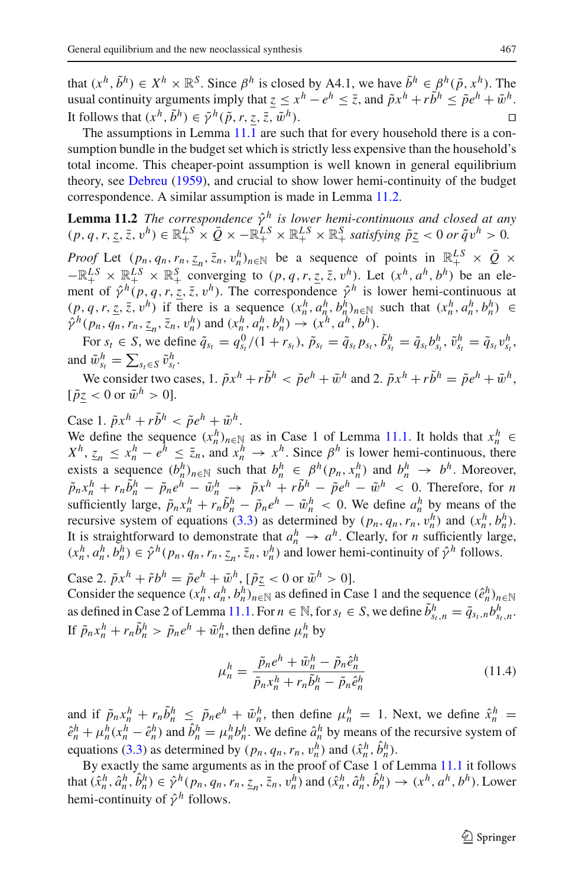that  $(x^h, \tilde{b}^h) \in X^h \times \mathbb{R}^S$ . Since  $\beta^h$  is closed by A4.1, we have  $\tilde{b}^h \in \beta^h(\tilde{p}, x^h)$ . The usual continuity arguments imply that  $z \leq x^h - e^h \leq \overline{z}$ , and  $\overline{p}x^h + r\overline{b}^h \leq \overline{p}e^h + \overline{w}^h$ . It follows that  $(x^h, \tilde{b}^h) \in \tilde{\gamma}^h(\tilde{p}, r, z, \bar{z}, \tilde{w}^h)$ .

The assumptions in Lemma [11.1](#page-28-0) are such that for every household there is a consumption bundle in the budget set which is strictly less expensive than the household's total income. This cheaper-point assumption is well known in general equilibrium theory, see [Debreu](#page-41-20) [\(1959](#page-41-20)), and crucial to show lower hemi-continuity of the budget correspondence. A similar assumption is made in Lemma [11.2.](#page-31-0)

<span id="page-31-0"></span>**Lemma 11.2** *The correspondence*  $\hat{\gamma}^h$  *is lower hemi-continuous and closed at any*  $(p, q, r, \underline{z}, \overline{z}, v^h) \in \mathbb{R}_+^{LS} \times \overline{Q} \times -\mathbb{R}_+^{LS} \times \mathbb{R}_+^{LS} \times \mathbb{R}_+^S$  satisfying  $\tilde{p}z < 0$  or  $\tilde{q}v^h > 0$ .

*Proof* Let  $(p_n, q_n, r_n, \underline{z}_n, \overline{z}_n, v_n^h)_{n \in \mathbb{N}}$  be a sequence of points in  $\mathbb{R}_+^{LS} \times \overline{Q} \times$  $-\mathbb{R}^{LS}_+ \times \mathbb{R}^{LS}_+ \times \mathbb{R}^S_+$  converging to  $(p, q, r, \underline{z}, \overline{z}, v^h)$ . Let  $(x^h, a^h, b^h)$  be an element of  $\hat{\gamma}^h(p,q,r,\underline{z},\overline{z},v^h)$ . The correspondence  $\hat{\gamma}^h$  is lower hemi-continuous at  $(p, q, r, \underline{z}, \overline{z}, v^h)$  if there is a sequence  $(x_n^h, a_n^h, b_n^h)_{n \in \mathbb{N}}$  such that  $(x_n^h, a_n^h, b_n^h) \in$  $\hat{\gamma}^h(p_n, q_n, r_n, \underline{z}_n, \overline{z}_n, v_n^h)$  and  $(x_n^h, a_n^h, b_n^h) \to (x^h, a^h, b^h)$ .

For  $s_t \in S$ , we define  $\tilde{q}_{s_t} = q_{s_t}^0/(1 + r_{s_t})$ ,  $\tilde{p}_{s_t} = \tilde{q}_{s_t} p_{s_t}$ ,  $\tilde{b}_{s_t}^h = \tilde{q}_{s_t} b_{s_t}^h$ ,  $\tilde{v}_{s_t}^h = \tilde{q}_{s_t} v_{s_t}^h$ , and  $\tilde{w}_{s_t}^h = \sum_{s_t \in S} \tilde{v}_{s_t}^h$ .

We consider two cases, 1.  $\tilde{p}x^h + r\tilde{b}^h < \tilde{p}e^h + \tilde{w}^h$  and 2.  $\tilde{p}x^h + r\tilde{b}^h = \tilde{p}e^h + \tilde{w}^h$ ,  $[\tilde{p}z < 0 \text{ or } \tilde{w}^h > 0].$ 

Case 1. 
$$
\tilde{p}x^h + r\tilde{b}^h < \tilde{p}e^h + \tilde{w}^h
$$
.

We define the sequence  $(x_n^h)_{n \in \mathbb{N}}$  as in Case 1 of Lemma [11.1.](#page-28-0) It holds that  $x_n^h \in$  $X^h$ ,  $\underline{z}_n \leq x_n^h - e^h \leq \overline{z}_n$ , and  $x_n^h \to x^n$ . Since  $\beta^h$  is lower hemi-continuous, there exists a sequence  $(b_n^h)_{n \in \mathbb{N}}$  such that  $b_n^h \in \beta^h(p_n, x_n^h)$  and  $b_n^h \to b^h$ . Moreover,  $\tilde{p}_n x_n^h + r_n \tilde{b}_n^h - \tilde{p}_n e^h - \tilde{w}_n^h \rightarrow \tilde{p} x^h + r \tilde{b}^h - \tilde{p} e^h - \tilde{w}^h$  < 0. Therefore, for *n* sufficiently large,  $\tilde{p}_n x_n^h + r_n \tilde{b}_n^h - \tilde{p}_n e^h - \tilde{w}_n^h < 0$ . We define  $a_n^h$  by means of the recursive system of equations [\(3.3\)](#page-12-3) as determined by  $(p_n, q_n, r_n, v_n^h)$  and  $(x_n^h, b_n^h)$ . It is straightforward to demonstrate that  $a_n^h \to a^h$ . Clearly, for *n* sufficiently large,  $(x_n^h, a_n^h, b_n^h) \in \hat{\gamma}^h(p_n, q_n, r_n, \underline{z}_n, \overline{z}_n, v_n^h)$  and lower hemi-continuity of  $\hat{\gamma}^h$  follows.

Case 2.  $\tilde{p}x^h + \tilde{r}b^h = \tilde{p}e^h + \tilde{w}^h$ ,  $[\tilde{p}z < 0 \text{ or } \tilde{w}^h > 0]$ . Consider the sequence  $(x_n^h, a_n^h, b_n^h)_{n \in \mathbb{N}}$  as defined in Case 1 and the sequence  $(\hat{e}_n^h)_{n \in \mathbb{N}}$ as defined in Case 2 of Lemma [11.1.](#page-28-0) For  $n \in \mathbb{N}$ , for  $s_t \in S$ , we define  $\tilde{b}^h_{s_t,n} = \tilde{q}_{s_t,n} b^h_{s_t,n}$ . If  $\tilde{p}_n x_n^h + r_n \tilde{b}_n^h > \tilde{p}_n e^h + \tilde{w}_n^h$ , then define  $\mu_n^h$  by

$$
\mu_n^h = \frac{\tilde{p}_n e^h + \tilde{w}_n^h - \tilde{p}_n \hat{e}_n^h}{\tilde{p}_n x_n^h + r_n \tilde{b}_n^h - \tilde{p}_n \hat{e}_n^h}
$$
(11.4)

and if  $\tilde{p}_n x_n^h + r_n \tilde{b}_n^h \le \tilde{p}_n e^h + \tilde{w}_n^h$ , then define  $\mu_n^h = 1$ . Next, we define  $\hat{x}_n^h$  $\hat{e}_n^h + \mu_n^h (x_n^h - \hat{e}_n^h)$  and  $\hat{b}_n^h = \mu_n^h b_n^h$ . We define  $\hat{a}_n^h$  by means of the recursive system of equations [\(3.3\)](#page-12-3) as determined by  $(p_n, q_n, r_n, v_n^h)$  and  $(\hat{x}_n^h, \hat{b}_n^h)$ .

By exactly the same arguments as in the proof of Case 1 of Lemma [11.1](#page-28-0) it follows that  $(\hat{x}_n^h, \hat{a}_n^h, \hat{b}_n^h) \in \hat{\gamma}^h(p_n, q_n, r_n, \underline{z}_n, \overline{z}_n, v_n^h)$  and  $(\hat{x}_n^h, \hat{a}_n^h, \hat{b}_n^h) \to (x^h, a^h, b^h)$ . Lower hemi-continuity of  $\hat{\gamma}^h$  follows.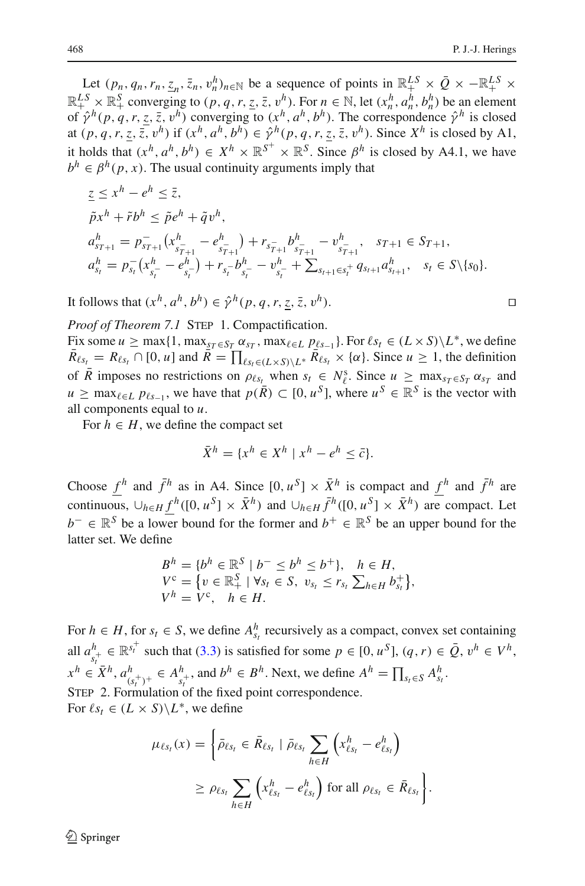Let  $(p_n, q_n, r_n, \underline{z}_n, \overline{z}_n, v_n^h)_{n \in \mathbb{N}}$  be a sequence of points in  $\mathbb{R}^{LS}_+ \times \overline{Q} \times -\mathbb{R}^{LS}_+ \times$  $\mathbb{R}^{LS}_{+} \times \mathbb{R}^{S}_{+}$  converging to  $(p, q, r, \underline{z}, \overline{z}, v^{h})$ . For  $n \in \mathbb{N}$ , let  $(x^{h}_{n}, a^{h}_{n}, b^{h}_{n})$  be an element of  $\hat{\gamma}^h(p, q, r, \underline{z}, \overline{z}, v^h)$  converging to  $(x^h, a^h, b^h)$ . The correspondence  $\hat{\gamma}^h$  is closed at  $(p, q, r, \underline{z}, \overline{z}, v^h)$  if  $(x^h, a^h, b^h) \in \hat{\gamma}^h(p, q, r, \underline{z}, \overline{z}, v^h)$ . Since  $X^h$  is closed by A1, it holds that  $(x^h, a^h, b^h) \in X^h \times \mathbb{R}^{S^+} \times \mathbb{R}^S$ . Since  $\beta^h$  is closed by A4.1, we have  $b^h \in \beta^h(p, x)$ . The usual continuity arguments imply that

$$
\underline{z} \leq x^h - e^h \leq \overline{z},
$$
\n
$$
\tilde{p}x^h + \tilde{r}b^h \leq \tilde{p}e^h + \tilde{q}v^h,
$$
\n
$$
a_{s_{T+1}}^h = p_{s_{T+1}}^{-}(x_{s_{T+1}}^h - e_{s_{T+1}}^h) + r_{s_{T+1}}^{-}b_{s_{T+1}}^h - v_{s_{T+1}}^h, \quad s_{T+1} \in S_{T+1},
$$
\n
$$
a_{s_t}^h = p_{s_t}^{-}(x_{s_t}^h - e_{s_t}^h) + r_{s_t}^{-}b_{s_t}^h - v_{s_t}^h + \sum_{s_{t+1} \in S_t^{+}} q_{s_{t+1}} a_{s_{t+1}}^h, \quad s_t \in S \setminus \{s_0\}.
$$

It follows that  $(x^h, a^h, b^h) \in \hat{\gamma}^h(p, q, r, z, \overline{z}, v^h)$ .

*Proof of Theorem 7.1* STEP 1. Compactification.

Fix some  $u \ge \max\{1, \max_{S_T \in S_T} \alpha_{s_T}, \max_{\ell \in L} p_{\ell s_{-1}}\}$ . For  $\ell s_t \in (L \times S) \setminus L^*$ , we define  $\bar{R}_{\ell s_t} = R_{\ell s_t} \cap [0, u]$  and  $\bar{R} = \prod_{\ell s_t \in (L \times S) \setminus L^*} \bar{R}_{\ell s_t} \times \{\alpha\}$ . Since  $u \ge 1$ , the definition of  $\overline{R}$  imposes no restrictions on  $\rho_{\ell s}$  when  $s_t \in N_{\ell}^s$ . Since  $u \ge \max_{s_T \in S_T} \alpha_{s_T}$  and  $u \ge \max_{\ell \in L} p_{\ell s-1}$ , we have that  $p(\bar{R}) \subset [0, u^S]$ , where  $u^S \in \mathbb{R}^S$  is the vector with all components equal to *u*.

For  $h \in H$ , we define the compact set

$$
\bar{X}^h = \{x^h \in X^h \mid x^h - e^h \le \bar{c}\}.
$$

Choose  $f^h$  and  $\bar{f}^h$  as in A4. Since  $[0, u^S] \times \bar{X}^h$  is compact and  $f^h$  and  $\bar{f}^h$  are continuous,  $\bigcup_{h \in H} f^h([0, u^S] \times \overline{X}^h)$  and  $\bigcup_{h \in H} \overline{f}^h([0, u^S] \times \overline{X}^h)$  are compact. Let *b*<sup>−</sup> ∈  $\mathbb{R}^S$  be a lower bound for the former and *b*<sup>+</sup> ∈  $\mathbb{R}^S$  be an upper bound for the latter set. We define

$$
B^{h} = \{b^{h} \in \mathbb{R}^{S} \mid b^{-} \leq b^{h} \leq b^{+}\}, \quad h \in H,
$$
  
\n
$$
V^{c} = \{v \in \mathbb{R}^{S}_{+} \mid \forall s_{t} \in S, \ v_{s_{t}} \leq r_{s_{t}} \sum_{h \in H} b^{+}_{s_{t}}\},
$$
  
\n
$$
V^{h} = V^{c}, \quad h \in H.
$$

For  $h \in H$ , for  $s_t \in S$ , we define  $A_{s_t}^h$  recursively as a compact, convex set containing all  $a_{s_t^+}^h \in \mathbb{R}^{s_t^+}$  such that [\(3.3\)](#page-12-3) is satisfied for some  $p \in [0, u^S]$ ,  $(q, r) \in \overline{Q}$ ,  $v^h \in V^h$ ,  $x^h \in \overline{X}^h$ ,  $a^h_{(s_t^+)}$   $\in A^h_{s_t^+}$ , and  $b^h \in B^h$ . Next, we define  $A^h = \prod_{s_t \in S} A^h_{s_t}$ . STEP 2. Formulation of the fixed point correspondence. For  $\ell s_t \in (L \times S) \backslash L^*$ , we define

$$
\mu_{\ell s_t}(x) = \left\{ \bar{\rho}_{\ell s_t} \in \bar{R}_{\ell s_t} \mid \bar{\rho}_{\ell s_t} \sum_{h \in H} \left( x_{\ell s_t}^h - e_{\ell s_t}^h \right) \right\}
$$
  

$$
\geq \rho_{\ell s_t} \sum_{h \in H} \left( x_{\ell s_t}^h - e_{\ell s_t}^h \right) \text{ for all } \rho_{\ell s_t} \in \bar{R}_{\ell s_t} \right\}.
$$

 $\circled{2}$  Springer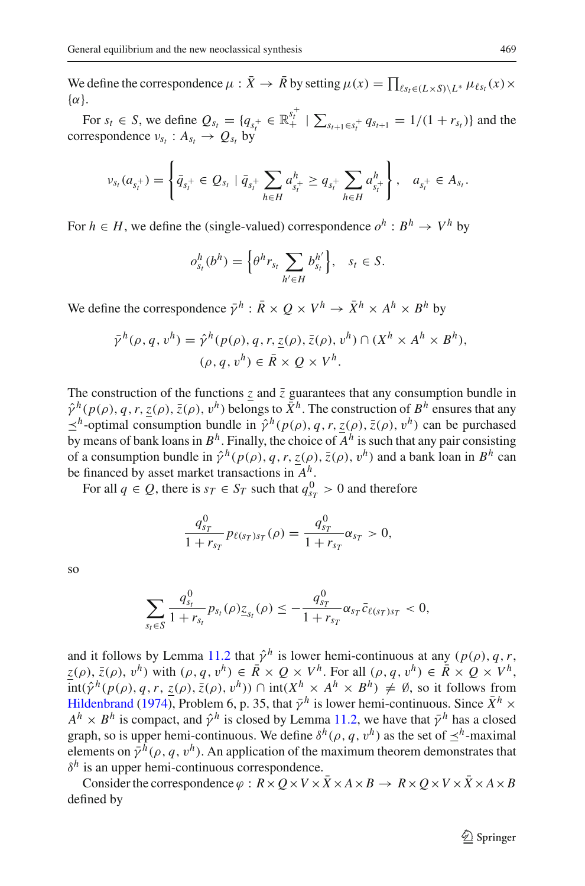We define the correspondence  $\mu : \bar{X} \to \bar{R}$  by setting  $\mu(x) = \prod_{\ell s_i \in (L \times S) \setminus L^*} \mu_{\ell s_i}(x) \times$  $\{\alpha\}.$ 

For  $s_t \in S$ , we define  $Q_{s_t} = \{q_{s_t^+} \in \mathbb{R}^{s_t^+}_{+} \mid \sum_{s_{t+1} \in s_t^+} q_{s_{t+1}} = 1/(1 + r_{s_t})\}$  and the correspondence  $v_{s_t}: A_{s_t} \to Q_{s_t}$  by

$$
\nu_{s_t}(a_{s_t^+}) = \left\{ \bar{q}_{s_t^+} \in Q_{s_t} \mid \bar{q}_{s_t^+} \sum_{h \in H} a_{s_t^+}^h \ge q_{s_t^+} \sum_{h \in H} a_{s_t^+}^h \right\}, \quad a_{s_t^+} \in A_{s_t}.
$$

For  $h \in H$ , we define the (single-valued) correspondence  $o^h : B^h \to V^h$  by

$$
o_{s_t}^h(b^h) = \left\{\theta^h r_{s_t} \sum_{h' \in H} b_{s_t}^{h'}\right\}, \quad s_t \in S.
$$

We define the correspondence  $\bar{\gamma}^h : \bar{R} \times Q \times V^h \to \bar{X}^h \times A^h \times B^h$  by

$$
\tilde{\gamma}^h(\rho, q, v^h) = \hat{\gamma}^h(p(\rho), q, r, \underline{z}(\rho), \overline{z}(\rho), v^h) \cap (X^h \times A^h \times B^h),
$$
  

$$
(\rho, q, v^h) \in \overline{R} \times Q \times V^h.
$$

The construction of the functions  $z$  and  $\overline{z}$  guarantees that any consumption bundle in  $\hat{\gamma}^h(p(\rho), q, r, z(\rho), \bar{z}(\rho), v^h)$  belongs to  $\bar{X}^h$ . The construction of  $B^h$  ensures that any  $\leq^h$ -optimal consumption bundle in  $\hat{\gamma}^h(p(\rho), q, r, z(\rho), \bar{z}(\rho), v^h)$  can be purchased by means of bank loans in  $B^h$ . Finally, the choice of  $\overline{A}^h$  is such that any pair consisting of a consumption bundle in  $\hat{\gamma}^h(p(\rho), q, r, z(\rho), \bar{z}(\rho), v^h)$  and a bank loan in  $B^h$  can be financed by asset market transactions in *Ah*.

For all  $q \in Q$ , there is  $s_T \in S_T$  such that  $q_{s_T}^0 > 0$  and therefore

$$
\frac{q_{s_T}^0}{1+r_{s_T}} p_{\ell(s_T)s_T}(\rho) = \frac{q_{s_T}^0}{1+r_{s_T}} \alpha_{s_T} > 0,
$$

so

$$
\sum_{s_t \in S} \frac{q_{s_t}^0}{1 + r_{s_t}} p_{s_t}(\rho) \underline{z}_{s_t}(\rho) \leq -\frac{q_{s_T}^0}{1 + r_{s_T}} \alpha_{s_T} \bar{c}_{\ell(s_T)s_T} < 0,
$$

and it follows by Lemma [11.2](#page-31-0) that  $\hat{\gamma}^h$  is lower hemi-continuous at any  $(p(\rho), q, r, \hat{r})$  $z(\rho), \bar{z}(\rho), v^h)$  with  $(\rho, q, v^h) \in \bar{R} \times Q \times V^h$ . For all  $(\rho, q, v^h) \in \bar{R} \times Q \times V^h$ ,  $\int_0^{\infty}$  int( $\hat{\gamma}^h(p(\rho), q, r, z(\rho), \bar{z}(\rho), v^h)$ )  $\cap$  int( $X^h \times A^h \times B^h$ )  $\neq \emptyset$ , so it follows from [Hildenbrand](#page-41-25) [\(1974](#page-41-25)), Problem 6, p. 35, that  $\bar{\gamma}^h$  is lower hemi-continuous. Since  $\bar{X}^h$  ×  $A^h \times B^h$  is compact, and  $\hat{\gamma}^h$  is closed by Lemma [11.2,](#page-31-0) we have that  $\bar{\gamma}^h$  has a closed graph, so is upper hemi-continuous. We define  $\delta^h(\rho, q, v^h)$  as the set of  $\leq^h$ -maximal elements on  $\bar{\gamma}^{\hat{h}}(\rho, q, v^h)$ . An application of the maximum theorem demonstrates that  $\delta^h$  is an upper hemi-continuous correspondence.

Consider the correspondence  $\varphi : R \times Q \times V \times \bar{X} \times A \times B \to R \times Q \times V \times \bar{X} \times A \times B$ defined by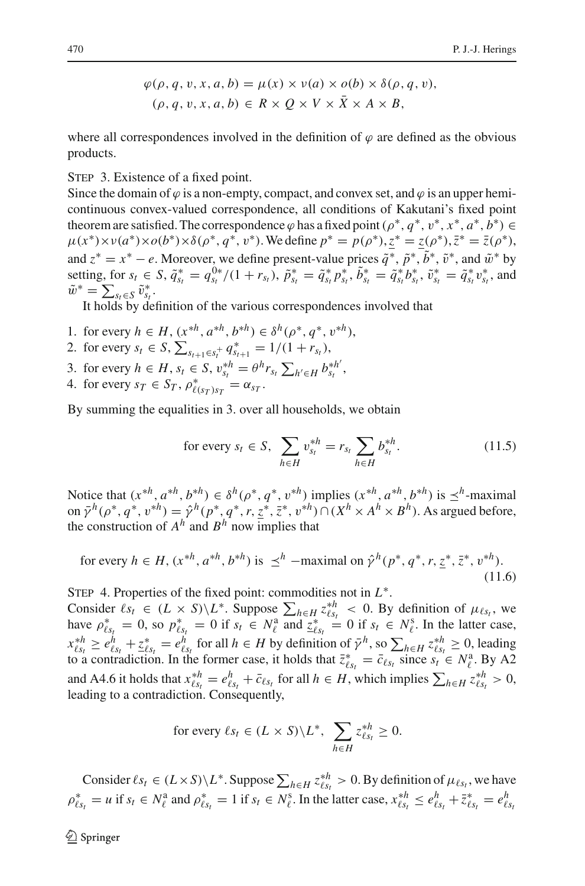$$
\varphi(\rho, q, v, x, a, b) = \mu(x) \times \nu(a) \times o(b) \times \delta(\rho, q, v),
$$
  

$$
(\rho, q, v, x, a, b) \in R \times Q \times V \times \overline{X} \times A \times B,
$$

where all correspondences involved in the definition of  $\varphi$  are defined as the obvious products.

STEP 3. Existence of a fixed point.

Since the domain of  $\varphi$  is a non-empty, compact, and convex set, and  $\varphi$  is an upper hemicontinuous convex-valued correspondence, all conditions of Kakutani's fixed point theorem are satisfied. The correspondence  $\varphi$  has a fixed point ( $\rho^*, q^*, v^*, x^*, a^*, b^*$ ) ∈  $\mu(x^*) \times \nu(a^*) \times o(b^*) \times \delta(\rho^*, q^*, v^*)$ . We define  $p^* = p(\rho^*), z^* = z(\rho^*), \bar{z}^* = \bar{z}(\rho^*),$ and  $z^* = x^* - e$ . Moreover, we define present-value prices  $\tilde{q}^*, \tilde{p}^*, \tilde{b}^*, \tilde{v}^*,$  and  $\tilde{w}^*$  by setting, for  $s_t \in S$ ,  $\tilde{q}_{s_t}^* = q_{s_t}^{0*}/(1 + r_{s_t})$ ,  $\tilde{p}_{s_t}^* = \tilde{q}_{s_t}^* p_{s_t}^*, \tilde{b}_{s_t}^* = \tilde{q}_{s_t}^* b_{s_t}^*, \tilde{v}_{s_t}^* = \tilde{q}_{s_t}^* v_{s_t}^*$ , and  $\tilde{w}^* = \sum_{s_t \in S} \tilde{v}_{s_t}^*.$ 

It holds by definition of the various correspondences involved that

- 1. for every  $h \in H$ ,  $(x^{*h}, a^{*h}, b^{*h}) \in \delta^h(a^*, a^*, v^{*h})$ .
- 2. for every  $s_t \in S$ ,  $\sum_{s_{t+1} \in s_t^+} q_{s_{t+1}}^* = 1/(1 + r_{s_t}),$
- 3. for every  $h \in H$ ,  $s_t \in S$ ,  $v_{s_t}^{*h} = \theta^h r_{s_t} \sum_{h' \in H} b_{s_t}^{*h'}$ ,
- 4. for every  $s_T \in S_T$ ,  $\rho^*_{\ell(s_T)s_T} = \alpha_{s_T}$ .

<span id="page-34-0"></span>By summing the equalities in 3. over all households, we obtain

for every 
$$
s_t \in S
$$
,  $\sum_{h \in H} v_{s_t}^{*h} = r_{s_t} \sum_{h \in H} b_{s_t}^{*h}$ . (11.5)

Notice that  $(x^{*h}, a^{*h}, b^{*h}) \in \delta^h(\rho^*, q^*, v^{*h})$  implies  $(x^{*h}, a^{*h}, b^{*h})$  is  $\leq^h$ -maximal on  $\bar{\gamma}^h(\rho^*, q^*, v^{*h}) = \hat{\gamma}^h(p^*, q^*, r, z^*, \bar{z}^*, v^{*h}) \cap (X^h \times A^h \times B^h)$ . As argued before, the construction of  $A^h$  and  $B^h$  now implies that

for every 
$$
h \in H
$$
,  $(x^{*h}, a^{*h}, b^{*h})$  is  $\leq^h$  –maximal on  $\hat{\gamma}^h(p^*, q^*, r, \underline{z}^*, \overline{z}^*, v^{*h})$ . (11.6)

<span id="page-34-1"></span>Step 4. Properties of the fixed point: commodities not in *L*∗.

Consider  $\ell s_t \in (L \times S) \setminus L^*$ . Suppose  $\sum_{h \in H} z_{\ell s_t}^{*h} < 0$ . By definition of  $\mu_{\ell s_t}$ , we have  $\rho_{\ell s_t}^* = 0$ , so  $p_{\ell s_t}^* = 0$  if  $s_t \in N_{\ell}^{\text{a}}$  and  $\frac{z_{\ell s_t}^*}{z_{\ell s_t}} = 0$  if  $s_t \in N_{\ell}^{\text{s}}$ . In the latter case,  $x_{\ell s_i}^{*h} \ge e_{\ell s_i}^h + \underline{z}_{\ell s_i}^* = e_{\ell s_i}^h$  for all  $h \in H$  by definition of  $\bar{\gamma}^h$ , so  $\sum_{h \in H} z_{\ell s_i}^{*h} \ge 0$ , leading to a contradiction. In the former case, it holds that  $\bar{z}^*_{\ell s_t} = \bar{c}_{\ell s_t}$  since  $s_t \in N^a_{\ell}$ . By A2 and A4.6 it holds that  $x_{\ell s_t}^{*h} = e_{\ell s_t}^h + \bar{c}_{\ell s_t}$  for all  $h \in H$ , which implies  $\sum_{h \in H} z_{\ell s_t}^{*h} > 0$ , leading to a contradiction. Consequently,

for every 
$$
\ell s_t \in (L \times S) \setminus L^*
$$
,  $\sum_{h \in H} z_{\ell s_t}^{*h} \ge 0$ .

Consider  $\ell s_t \in (L \times S) \setminus L^*$ . Suppose  $\sum_{h \in H} z_{\ell s_t}^{*h} > 0$ . By definition of  $\mu_{\ell s_t}$ , we have  $\rho_{\ell s_t}^* = u$  if  $s_t \in N_\ell^a$  and  $\rho_{\ell s_t}^* = 1$  if  $s_t \in N_\ell^s$ . In the latter case,  $x_{\ell s_t}^{*h} \le e_{\ell s_t}^h + \overline{z}_{\ell s_t}^* = e_{\ell s_t}^h$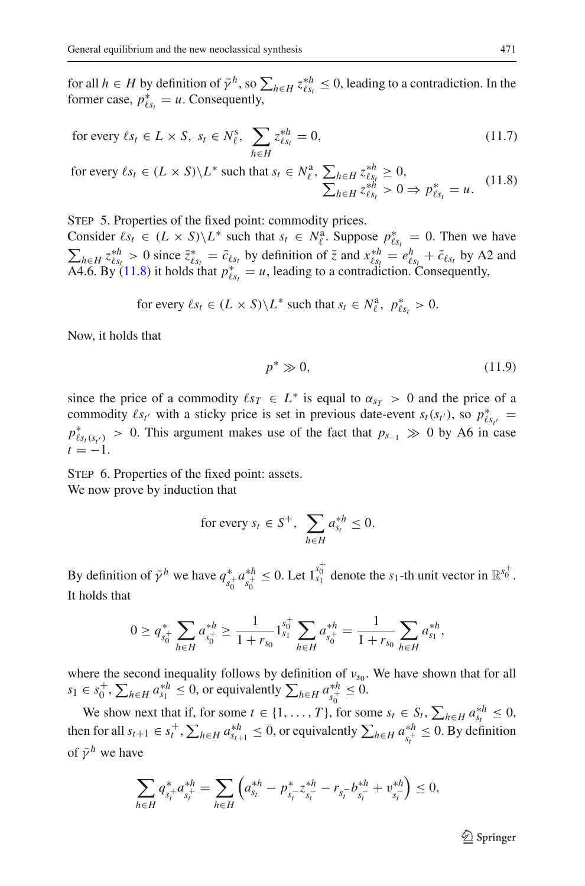for all  $h \in H$  by definition of  $\bar{\gamma}^h$ , so  $\sum_{h \in H} z_{\ell s_t}^{*h} \leq 0$ , leading to a contradiction. In the former case,  $p_{\ell s_t}^* = u$ . Consequently,

<span id="page-35-1"></span>for every 
$$
\ell s_t \in L \times S
$$
,  $s_t \in N_{\ell}^s$ ,  $\sum_{h \in H} z_{\ell s_t}^{*h} = 0$ , 
$$
(11.7)
$$

for every 
$$
\ell s_t \in (L \times S) \setminus L^*
$$
 such that  $s_t \in N_\ell^a$ ,  $\sum_{h \in H} z_{\ell s_t}^{*h} \ge 0$ ,  
\n $\sum_{h \in H} z_{\ell s_t}^{*h} > 0 \Rightarrow p_{\ell s_t}^* = u$ . (11.8)

STEP 5. Properties of the fixed point: commodity prices. Consider  $\ell s_t \in (L \times S) \setminus L^*$  such that  $s_t \in N_\ell^a$ . Suppose  $p_{\ell s_t}^* = 0$ . Then we have  $\sum_{h \in H} z_{\ell s_t}^{*h} > 0$  since  $\overline{z}_{\ell s_t}^* = \overline{c}_{\ell s_t}$  by definition of  $\overline{z}$  and  $x_{\ell s_t}^{*h} = e_{\ell s_t}^h + \overline{c}_{\ell s_t}$  by A2 and A4.6. By [\(11.8\)](#page-35-1) it holds that  $p_{\ell s_t}^* = u$ , leading to a contradiction. Consequently,

<span id="page-35-0"></span>for every  $\ell s_t \in (L \times S) \backslash L^*$  such that  $s_t \in N_\ell^a$ ,  $p_{\ell s_t}^* > 0$ .

Now, it holds that

$$
p^* \gg 0,\tag{11.9}
$$

since the price of a commodity  $\ell s_T \in L^*$  is equal to  $\alpha_{s_T} > 0$  and the price of a commodity  $\ell s_{t'}$  with a sticky price is set in previous date-event  $s_t(s_{t'})$ , so  $p^*_{\ell s_{t'}} =$  $p^*_{\ell s_t(s_{t'})} > 0$ . This argument makes use of the fact that  $p_{s-1} \gg 0$  by A6 in case  $t = -1$ .

STEP 6. Properties of the fixed point: assets. We now prove by induction that

for every 
$$
s_t \in S^+
$$
,  $\sum_{h \in H} a_{s_t}^{*h} \leq 0$ .

By definition of  $\bar{\gamma}^h$  we have  $q_{s_0^+}^* a_{s_0^+}^{*h} \le 0$ . Let  $1_{s_1}^{s_0^+}$  denote the  $s_1$ -th unit vector in  $\mathbb{R}^{s_0^+}$ . It holds that

$$
0 \geq q_{s_0^+}^* \sum_{h \in H} a_{s_0^+}^{*h} \geq \frac{1}{1 + r_{s_0}} 1_{s_1^-}^{s_0^+} \sum_{h \in H} a_{s_0^+}^{*h} = \frac{1}{1 + r_{s_0}} \sum_{h \in H} a_{s_1^+}^{*h},
$$

where the second inequality follows by definition of  $v_{s0}$ . We have shown that for all  $s_1 \in s_0^+, \sum_{h \in H} a_{s_1}^{*h} \le 0$ , or equivalently  $\sum_{h \in H} a_{s_0^+}^{*h} \le 0$ .

We show next that if, for some  $t \in \{1, ..., T\}$ , for some  $s_t \in S_t$ ,  $\sum_{h \in H} a_{s_t}^{*h} \leq 0$ , then for all  $s_{t+1} \in s_t^+$ ,  $\sum_{h \in H} a_{s_{t+1}}^{*h} \le 0$ , or equivalently  $\sum_{h \in H} a_{s_t^+}^{*h} \le 0$ . By definition of  $\bar{v}^h$  we have

$$
\sum_{h\in H} q_{s_i^+}^* a_{s_i^+}^{*h} = \sum_{h\in H} \left( a_{s_i}^{*h} - p_{s_i^-}^* z_{s_i^-}^{*h} - r_{s_i^-} b_{s_i^-}^{*h} + v_{s_i^-}^{*h} \right) \leq 0,
$$

 $\mathcal{L}$  Springer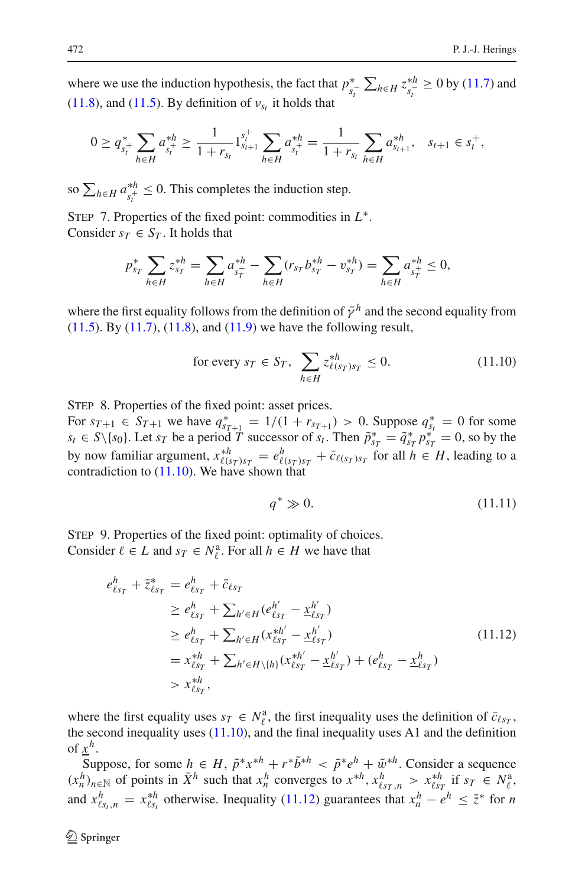where we use the induction hypothesis, the fact that  $p_{s_t}^*$ ,  $\sum_{h \in H} z_{s_t}^{*h} \ge 0$  by [\(11.7\)](#page-35-1) and [\(11.8\)](#page-35-1), and [\(11.5\)](#page-34-0). By definition of  $v_{s_t}$  it holds that

$$
0 \geq q_{s_t^+}^* \sum_{h \in H} a_{s_t^+}^{*h} \geq \frac{1}{1 + r_{s_t}} 1_{s_{t+1}}^{s_t^+} \sum_{h \in H} a_{s_t^+}^{*h} = \frac{1}{1 + r_{s_t}} \sum_{h \in H} a_{s_{t+1}}^{*h}, \quad s_{t+1} \in s_t^+,
$$

so  $\sum_{h \in H} a_{s_t^+}^{*h} \leq 0$ . This completes the induction step.

Step 7. Properties of the fixed point: commodities in *L*∗. Consider  $s_T \in S_T$ . It holds that

$$
p_{s_T}^* \sum_{h \in H} z_{s_T}^{*h} = \sum_{h \in H} a_{s_T}^{*h} - \sum_{h \in H} (r_{s_T} b_{s_T}^{*h} - v_{s_T}^{*h}) = \sum_{h \in H} a_{s_T}^{*h} \leq 0,
$$

where the first equality follows from the definition of  $\bar{\gamma}^h$  and the second equality from  $(11.5)$ . By  $(11.7)$ ,  $(11.8)$ , and  $(11.9)$  we have the following result,

for every 
$$
s_T \in S_T
$$
,  $\sum_{h \in H} z^{*h}_{\ell(s_T)s_T} \le 0$ . (11.10)

<span id="page-36-1"></span>STEP 8. Properties of the fixed point: asset prices.

For  $s_{T+1} \in S_{T+1}$  we have  $q_{s_{T+1}}^* = 1/(1 + r_{s_{T+1}}) > 0$ . Suppose  $q_{s_t}^* = 0$  for some  $s_t \in S \setminus \{s_0\}$ . Let  $s_T$  be a period *T* successor of  $s_t$ . Then  $\tilde{p}_{s_T}^* = \tilde{q}_{s_T}^* p_{s_T}^{*'} = 0$ , so by the by now familiar argument,  $x^{*h}_{\ell(s_T)s_T} = e^h_{\ell(s_T)s_T} + \bar{c}_{\ell(s_T)s_T}$  for all  $h \in H$ , leading to a contradiction to [\(11.10\)](#page-36-1). We have shown that

<span id="page-36-0"></span>
$$
q^* \gg 0. \tag{11.11}
$$

STEP 9. Properties of the fixed point: optimality of choices. Consider  $\ell \in L$  and  $s_T \in N_\ell^a$ . For all  $h \in H$  we have that

$$
e_{\ell s_T}^h + \bar{z}_{\ell s_T}^* = e_{\ell s_T}^h + \bar{c}_{\ell s_T}
$$
  
\n
$$
\ge e_{\ell s_T}^h + \sum_{h' \in H} (e_{\ell s_T}^{h'} - \underline{x}_{\ell s_T}^{h'})
$$
  
\n
$$
\ge e_{\ell s_T}^h + \sum_{h' \in H} (x_{\ell s_T}^{*h'} - \underline{x}_{\ell s_T}^{h'})
$$
  
\n
$$
= x_{\ell s_T}^{*h} + \sum_{h' \in H \setminus \{h\}} (x_{\ell s_T}^{*h'} - \underline{x}_{\ell s_T}^{h'}) + (e_{\ell s_T}^h - \underline{x}_{\ell s_T}^h)
$$
  
\n
$$
> x_{\ell s_T}^{*h}, \tag{11.12}
$$

<span id="page-36-2"></span>where the first equality uses  $s_T \in N_\ell^a$ , the first inequality uses the definition of  $\bar{c}_{\ell s_T}$ , the second inequality uses  $(11.10)$ , and the final inequality uses A1 and the definition of  $x^h$ .

Suppose, for some  $h \in H$ ,  $\tilde{p}^* x^{*h} + r^* \tilde{b}^{*h} < \tilde{p}^* e^h + \tilde{w}^{*h}$ . Consider a sequence  $(x_n^h)_{n \in \mathbb{N}}$  of points in  $\bar{X}^h$  such that  $x_n^h$  converges to  $x^{*h}$ ,  $x_{\ell s_T,n}^h > x_{\ell s_T}^{*h}$  if  $s_T \in N_\ell^a$ , and  $x_{\ell s_t,n}^h = x_{\ell s_t}^{*h}$  otherwise. Inequality [\(11.12\)](#page-36-2) guarantees that  $x_n^h - e^h \leq \overline{z}^*$  for *n*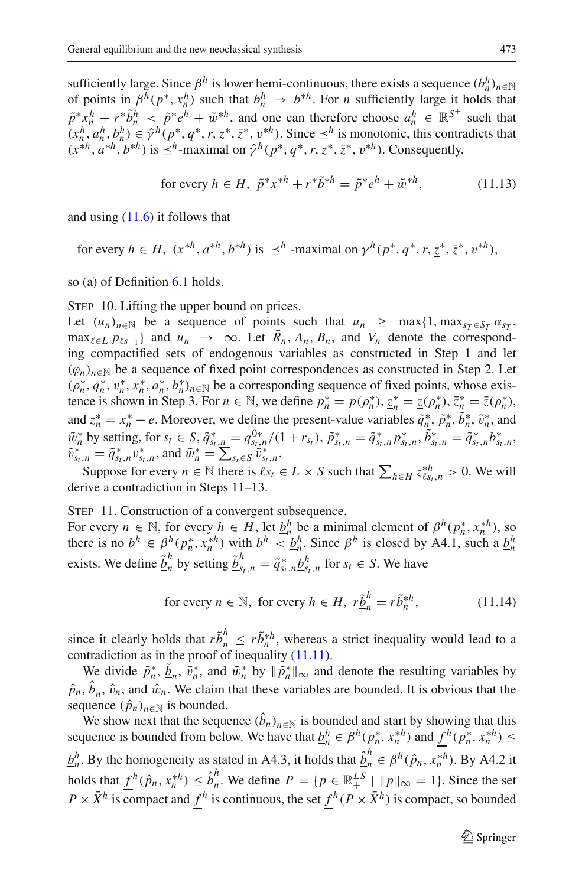sufficiently large. Since  $\beta^h$  is lower hemi-continuous, there exists a sequence  $(b_n^h)_{n \in \mathbb{N}}$ of points in  $\beta^h(p^*, x_n^h)$  such that  $b_n^h \to b^{*h}$ . For *n* sufficiently large it holds that  $\tilde{p}^* x_n^h + r^* \tilde{b}_n^h \leq \tilde{p}^* e^h + \tilde{w}^{*h}$ , and one can therefore choose  $a_n^h \in \mathbb{R}^{S^+}$  such that  $(x_h^h, a_h^h, b_h^h) \in \hat{\gamma}^h(p^*, q^*, r, \underline{z}^*, \overline{z}^*, v^{*h})$ . Since  $\leq^h$  is monotonic, this contradicts that  $(x^{*h}, a^{*h}, b^{*h})$  is  $\leq^h$ -maximal on  $\hat{\gamma}^h(p^*, q^*, r, \underline{z}^*, \overline{z}^*, v^{*h})$ . Consequently,

for every 
$$
h \in H
$$
,  $\tilde{p}^* x^{*h} + r^* \tilde{b}^{*h} = \tilde{p}^* e^h + \tilde{w}^{*h}$ , (11.13)

<span id="page-37-1"></span>and using [\(11.6\)](#page-34-1) it follows that

for every  $h \in H$ ,  $(x^{*h}, a^{*h}, b^{*h})$  is  $\leq^h$  -maximal on  $\gamma^h(p^*, q^*, r, \underline{z}^*, \overline{z}^*, v^{*h})$ ,

so (a) of Definition [6.1](#page-19-0) holds.

STEP 10. Lifting the upper bound on prices.

Let  $(u_n)_{n \in \mathbb{N}}$  be a sequence of points such that  $u_n \geq \max\{1, \max_{s \in S_T} \alpha_{s} \}$  $\max_{\ell \in L} p_{\ell s-1}$  } and  $u_n \to \infty$ . Let  $\bar{R}_n$ ,  $A_n$ ,  $B_n$ , and  $V_n$  denote the corresponding compactified sets of endogenous variables as constructed in Step 1 and let  $(\varphi_n)_{n \in \mathbb{N}}$  be a sequence of fixed point correspondences as constructed in Step 2. Let  $(\rho_n^*, q_n^*, v_n^*, x_n^*, a_n^*, b_n^*)_{n \in \mathbb{N}}$  be a corresponding sequence of fixed points, whose existence is shown in Step 3. For  $n \in \mathbb{N}$ , we define  $p_n^* = p(\rho_n^*), \underline{z}_n^* = \underline{z}(\rho_n^*), \overline{z}_n^* = \overline{z}(\rho_n^*),$ and  $z_n^* = x_n^* - e$ . Moreover, we define the present-value variables  $\tilde{q}_n^*, \tilde{p}_n^*, \tilde{b}_n^*, \tilde{v}_n^*,$  and  $\tilde{w}_n^*$  by setting, for  $s_t \in S$ ,  $\tilde{q}_{s_t,n}^* = q_{s_t,n}^{0*}/(1+r_{s_t})$ ,  $\tilde{p}_{s_t,n}^* = \tilde{q}_{s_t,n}^* p_{s_t,n}^*, \tilde{b}_{s_t,n}^* = \tilde{q}_{s_t,n}^* b_{s_t,n}^*$  $\tilde{v}^*_{s_t,n} = \tilde{q}^*_{s_t,n} v^*_{s_t,n}$ , and  $\tilde{w}^*_n = \sum_{s_t \in S} \tilde{v}^*_{s_t,n}$ .

Suppose for every  $n \in \mathbb{N}$  there is  $\ell s_t \in L \times S$  such that  $\sum_{h \in H} z_{\ell s_t,n}^{*h} > 0$ . We will derive a contradiction in Steps 11–13.

STEP 11. Construction of a convergent subsequence. For every  $n \in \mathbb{N}$ , for every  $h \in H$ , let  $\underline{b}_n^h$  be a minimal element of  $\beta^h(p_n^*, x_n^{*h})$ , so there is no  $b^h \in \beta^h(p_n^*, x_n^{*h})$  with  $b^h < b_n^h$ . Since  $\beta^h$  is closed by A4.1, such a  $b_n^h$ exists. We define  $\underline{\tilde{b}}_n^h$  by setting  $\underline{\tilde{b}}_{s_t,n}^h = \tilde{q}_{s_t,n}^* \underline{b}_{s_t,n}^h$  for  $s_t \in S$ . We have

for every 
$$
n \in \mathbb{N}
$$
, for every  $h \in H$ ,  $r\underline{\tilde{b}}_n^h = r\tilde{b}_n^{*h}$ ,  $(11.14)$ 

<span id="page-37-0"></span>since it clearly holds that  $r \tilde{b}_n^h \leq r \tilde{b}_n^{*h}$ , whereas a strict inequality would lead to a contradiction as in the proof of inequality [\(11.11\)](#page-36-0).

We divide  $\tilde{p}_n^*, \tilde{b}_n, \tilde{v}_n^*$ , and  $\tilde{w}_n^*$  by  $\|\tilde{p}_n^*\|_{\infty}$  and denote the resulting variables by  $\hat{p}_n$ ,  $\hat{b}_n$ ,  $\hat{v}_n$ , and  $\hat{w}_n$ . We claim that these variables are bounded. It is obvious that the sequence  $(\hat{p}_n)_{n \in \mathbb{N}}$  is bounded.

We show next that the sequence  $(\hat{b}_n)_{n \in \mathbb{N}}$  is bounded and start by showing that this sequence is bounded from below. We have that  $\underline{b}_n^h \in \beta^h(p_n^*, x_n^{*h})$  and  $\underline{f}^h(p_n^*, x_n^{*h}) \leq$  $b_n^h$ . By the homogeneity as stated in A4.3, it holds that  $\hat{b}_n^h \in \beta^h(\hat{p}_n, x_n^{*h})$ . By A4.2 it holds that  $\underline{f}^h(\hat{p}_n, x_n^{*h}) \leq \underline{\hat{b}}_n^h$ . We define  $P = \{p \in \mathbb{R}_+^L | ||p||_{\infty} = 1\}$ . Since the set  $P \times \bar{X}^h$  is compact and  $f^h$  is continuous, the set  $f^h(P \times \bar{X}^h)$  is compact, so bounded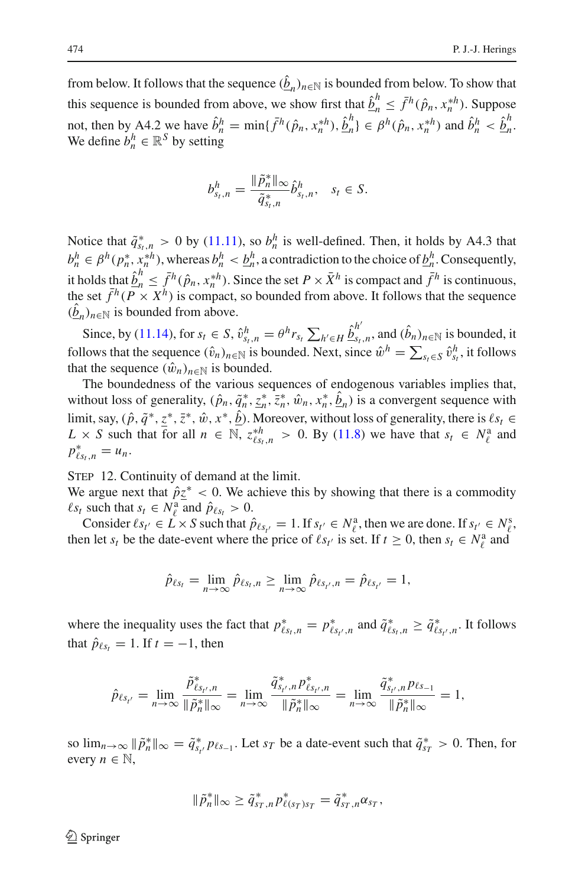from below. It follows that the sequence  $(\hat{b}_n)_{n \in \mathbb{N}}$  is bounded from below. To show that this sequence is bounded from above, we show first that  $\underline{\hat{b}}_n^h \leq \overline{f}^h(\hat{p}_n, x_n^{*h})$ . Suppose not, then by A4.2 we have  $\hat{b}_n^h = \min\{\bar{f}^h(\hat{p}_n, x_n^{*h}), \hat{\underline{b}}_n^h\} \in \beta^h(\hat{p}_n, x_n^{*h})$  and  $\hat{b}_n^h < \hat{\underline{b}}_n^h$ . We define  $b_n^h \in \mathbb{R}^S$  by setting

$$
b_{s_t,n}^h = \frac{\|\tilde{p}_n^*\|_{\infty}}{\tilde{q}_{s_t,n}^*} \hat{b}_{s_t,n}^h, \quad s_t \in S.
$$

Notice that  $\tilde{q}^*_{s_t,n} > 0$  by [\(11.11\)](#page-36-0), so  $b^h_n$  is well-defined. Then, it holds by A4.3 that  $b_n^h \in \beta^h(p_n^*, x_n^{*h})$ , whereas  $b_n^h < \underline{b}_n^h$ , a contradiction to the choice of  $\underline{b}_n^h$ . Consequently, it holds that  $\underline{\hat{b}}_n^h \leq \overline{f}^h(\hat{p}_n, x_n^{*h})$ . Since the set  $P \times \overline{X}^h$  is compact and  $\overline{f}^h$  is continuous, the set  $\bar{f}^h(\overline{P} \times X^{\overline{h}})$  is compact, so bounded from above. It follows that the sequence  $(\hat{\underline{b}}_n)_{n \in \mathbb{N}}$  is bounded from above.

Since, by [\(11.14\)](#page-37-0), for  $s_t \in S$ ,  $\hat{v}_{s_t,n}^h = \theta^h r_{s_t} \sum_{h' \in H} \underline{\hat{b}}_{s_t,n}^{h'}$ , and  $(\hat{b}_n)_{n \in \mathbb{N}}$  is bounded, it follows that the sequence  $(\hat{v}_n)_{n \in \mathbb{N}}$  is bounded. Next, since  $\hat{w}^h = \sum_{s_t \in S} \hat{v}_{s_t}^h$ , it follows that the sequence  $(\hat{w}_n)_{n \in \mathbb{N}}$  is bounded.

The boundedness of the various sequences of endogenous variables implies that, without loss of generality,  $(\hat{p}_n, \tilde{q}_n^*, z_n^*, \bar{z}_n^*, \hat{w}_n, x_n^*, \hat{b}_n)$  is a convergent sequence with limit, say,  $(\hat{p}, \tilde{q}^*, \underline{z}^*, \bar{z}^*, \hat{w}, x^*, \underline{\hat{b}})$ . Moreover, without loss of generality, there is  $\ell s_t \in$  $L \times S$  such that for all  $n \in \mathbb{N}$ ,  $z_{\ell s_t,n}^{*h} > 0$ . By [\(11.8\)](#page-35-1) we have that  $s_t \in N_\ell^a$  and  $p_{\ell s_t,n}^* = u_n$ .

STEP 12. Continuity of demand at the limit.

We argue next that  $\hat{p}z^* < 0$ . We achieve this by showing that there is a commodity  $\ell s_t$  such that  $s_t \in N_\ell^a$  and  $\hat{p}_{\ell s_t} > 0$ .

Consider  $\ell s_{t'} \in L \times S$  such that  $\hat{p}_{\ell s_{t'}} = 1$ . If  $s_{t'} \in N_{\ell}^{\mathfrak{a}}$ , then we are done. If  $s_{t'} \in N_{\ell}^{\mathfrak{s}}$ , then let *s<sub>t</sub>* be the date-event where the price of  $\ell s_{t'}$  is set. If  $t \ge 0$ , then  $s_t \in N_\ell^a$  and

$$
\hat{p}_{\ell s_t} = \lim_{n \to \infty} \hat{p}_{\ell s_t, n} \geq \lim_{n \to \infty} \hat{p}_{\ell s_{t'}, n} = \hat{p}_{\ell s_{t'}} = 1,
$$

where the inequality uses the fact that  $p^*_{\ell s_i,n} = p^*_{\ell s_{i'},n}$  and  $\tilde{q}^*_{\ell s_i,n} \geq \tilde{q}^*_{\ell s_{i'},n}$ . It follows that  $\hat{p}_{\ell s_t} = 1$ . If  $t = -1$ , then

$$
\hat{p}_{\ell s_{r'}} = \lim_{n \to \infty} \frac{\tilde{p}_{\ell s_{r'}, n}^*}{\|\tilde{p}_n^*\|_{\infty}} = \lim_{n \to \infty} \frac{\tilde{q}_{s_{r'}, n}^* p_{\ell s_{r'}, n}^*}{\|\tilde{p}_n^*\|_{\infty}} = \lim_{n \to \infty} \frac{\tilde{q}_{s_{r'}, n}^* p_{\ell s_{r}}}{\|\tilde{p}_n^*\|_{\infty}} = 1,
$$

so  $\lim_{n\to\infty} \|\tilde{p}_n^*\|_{\infty} = \tilde{q}_{s_{r'}}^* p_{\ell s_{-1}}$ . Let  $s_T$  be a date-event such that  $\tilde{q}_{s_T}^* > 0$ . Then, for every  $n \in \mathbb{N}$ ,

$$
\|\tilde{p}_n^*\|_{\infty}\geq \tilde{q}_{s_T,n}^*p_{\ell(s_T)s_T}^*=\tilde{q}_{s_T,n}^*\alpha_{s_T},
$$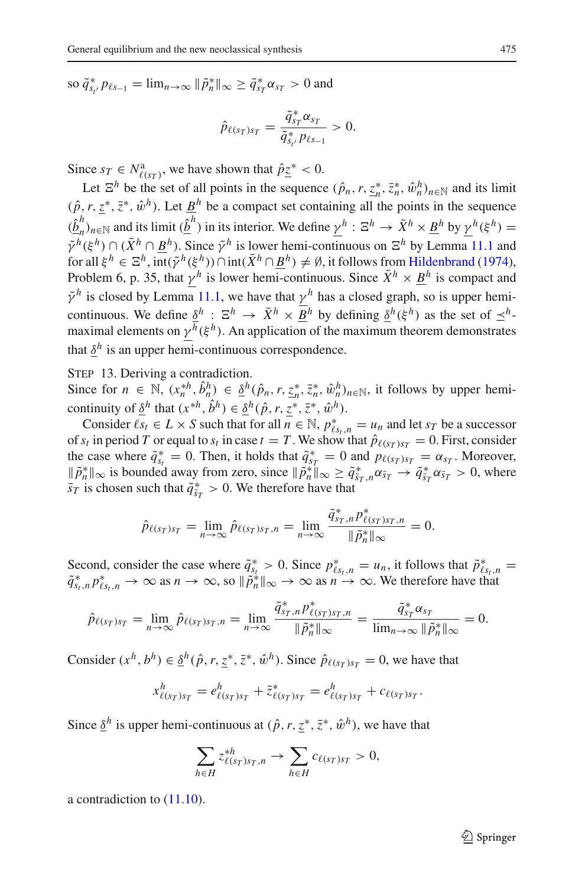so  $\tilde{q}_{s_{t'}}^* p_{\ell s_{-1}} = \lim_{n \to \infty} ||\tilde{p}_n^*||_{\infty} \ge \tilde{q}_{s_T}^* \alpha_{s_T} > 0$  and

$$
\hat{p}_{\ell(s_T)s_T} = \frac{\tilde{q}_{s_T}^* \alpha_{s_T}}{\tilde{q}_{s_{t'}}^* p_{\ell s_{-1}}} > 0.
$$

Since  $s_T \in N^a_{\ell(s_T)}$ , we have shown that  $\hat{p}z^* < 0$ .

Let  $\Xi^h$  be the set of all points in the sequence  $(\hat{p}_n, r, \underline{z}_n^*, \overline{z}_n^*, \hat{w}_n^h)_{n \in \mathbb{N}}$  and its limit  $(\hat{p}, r, \underline{z}^*, \overline{z}^*, \hat{w}^h)$ . Let  $\underline{B}^h$  be a compact set containing all the points in the sequence  $(\hat{\underline{b}}_n^h)_{n \in \mathbb{N}}$  and its limit  $(\hat{\underline{b}}^h)$  in its interior. We define  $\underline{\gamma}^h : \Xi^h \to \overline{X}^h \times \underline{B}^h$  by  $\underline{\gamma}^h(\xi^h) =$  $\overline{\tilde{\gamma}^h}(\xi^h) \cap (\overline{X}^h \cap B^h)$ . Since  $\tilde{\gamma}^h$  is lower hemi-continuous on  $\Xi^h$  by Lemma [11.1](#page-28-0) and for all  $\xi^h \in \mathbb{E}^h$ ,  $\overline{\text{int}}(\tilde{\gamma}^h(\xi^h)) \cap \text{int}(\bar{X}^h \cap B^h) \neq \emptyset$ , it follows from [Hildenbrand](#page-41-25) [\(1974](#page-41-25)), Problem 6, p. 35, that  $\gamma^h$  is lower hemi-continuous. Since  $\bar{X}^h \times B^h$  is compact and  $\tilde{\gamma}^h$  is closed by Lemma [11.1,](#page-28-0) we have that  $\gamma^h$  has a closed graph, so is upper hemicontinuous. We define  $\underline{\delta}^h$  :  $\Xi^h \to \overline{X}^h \times \overline{B}^h$  by defining  $\underline{\delta}^h(\xi^h)$  as the set of  $\preceq^h$ maximal elements on  $\gamma^h(\xi^h)$ . An application of the maximum theorem demonstrates that  $\delta^h$  is an upper hemi-continuous correspondence.

STEP 13. Deriving a contradiction.

Since for  $n \in \mathbb{N}$ ,  $(x_n^{*h}, \hat{b}_n^h) \in \underline{\delta}^h(\hat{p}_n, r, \underline{z}_n^*, \overline{z}_n^*, \hat{w}_n^h)_{n \in \mathbb{N}}$ , it follows by upper hemicontinuity of <u> $\delta^h$ </u> that  $(x^{*h}, \hat{b}^h) \in \underline{\delta}^h(\hat{p}, r, z^*, \bar{z}^*, \hat{w}^h)$ .

Consider  $\ell s_t \in L \times S$  such that for all  $n \in \mathbb{N}$ ,  $p_{\ell s_t,n}^* = u_n$  and let  $s_T$  be a successor of  $s_t$  in period *T* or equal to  $s_t$  in case  $t = T$ . We show that  $\hat{p}_{\ell(s_T)s_T} = 0$ . First, consider the case where  $\tilde{q}^*_{s_t} = 0$ . Then, it holds that  $\tilde{q}^*_{s_T} = 0$  and  $p_{\ell(s_T)s_T} = \alpha_{s_T}$ . Moreover,  $\|\tilde{p}_n^*\|_{\infty}$  is bounded away from zero, since  $\|\tilde{p}_n^*\|_{\infty} \geq \tilde{q}_{\bar{s}_T,n}^* \alpha_{\bar{s}_T} \to \tilde{q}_{\bar{s}_T}^* \alpha_{\bar{s}_T} > 0$ , where  $\bar{s}_T$  is chosen such that  $\tilde{q}^*_{\bar{s}_T} > 0$ . We therefore have that

$$
\hat{p}_{\ell(s_T)s_T} = \lim_{n \to \infty} \hat{p}_{\ell(s_T)s_T,n} = \lim_{n \to \infty} \frac{\tilde{q}_{s_T,n}^* p_{\ell(s_T)s_T,n}^*}{\|\tilde{p}_n^*\|_{\infty}} = 0.
$$

Second, consider the case where  $\tilde{q}^*_{s_t} > 0$ . Since  $p^*_{\ell s_t,n} = u_n$ , it follows that  $\tilde{p}^*_{\ell s_t,n} =$  $\tilde{q}^*_{s_t,n} p^*_{\ell s_t,n} \to \infty$  as  $n \to \infty$ , so  $\|\tilde{p}^*_n\|_{\infty} \to \infty$  as  $n \to \infty$ . We therefore have that

$$
\hat{p}_{\ell(s_T)s_T} = \lim_{n \to \infty} \hat{p}_{\ell(s_T)s_T, n} = \lim_{n \to \infty} \frac{\tilde{q}_{s_T,n}^* p_{\ell(s_T)s_T, n}^*}{\|\tilde{p}_n^*\|_{\infty}} = \frac{\tilde{q}_{s_T}^* \alpha_{s_T}}{\lim_{n \to \infty} \|\tilde{p}_n^*\|_{\infty}} = 0.
$$

Consider  $(x^h, b^h) \in \underline{\delta}^h(\hat{p}, r, \underline{z}^*, \overline{z}^*, \hat{w}^h)$ . Since  $\hat{p}_{\ell(s_T)s_T} = 0$ , we have that

$$
x_{\ell(s_T)s_T}^h = e_{\ell(s_T)s_T}^h + \bar{z}_{\ell(s_T)s_T}^* = e_{\ell(s_T)s_T}^h + c_{\ell(s_T)s_T}.
$$

Since  $\underline{\delta}^h$  is upper hemi-continuous at  $(\hat{p}, r, z^*, \overline{z}^*, \hat{w}^h)$ , we have that

$$
\sum_{h\in H} z_{\ell(s_T)s_T,n}^{*h} \to \sum_{h\in H} c_{\ell(s_T)s_T} > 0,
$$

a contradiction to [\(11.10\)](#page-36-1).

 $\mathcal{L}$  Springer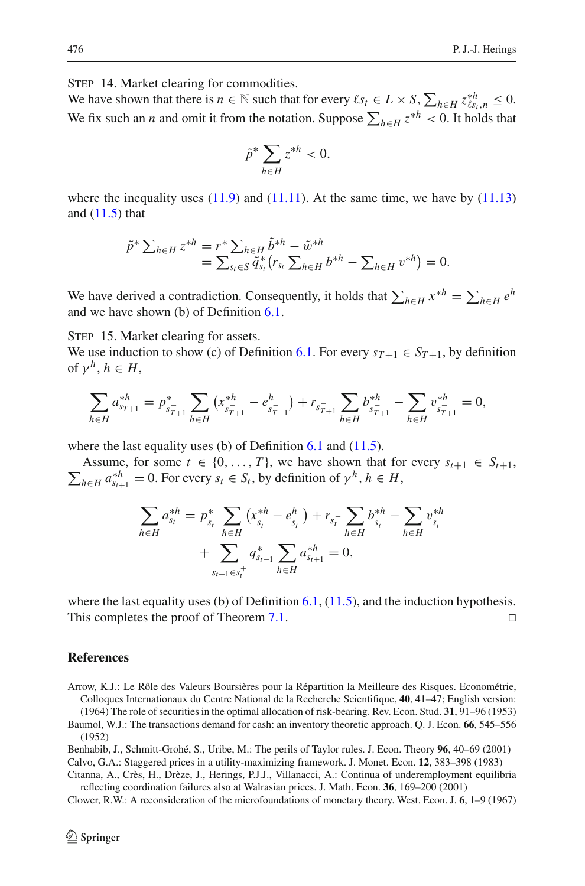STEP 14. Market clearing for commodities.

We have shown that there is  $n \in \mathbb{N}$  such that for every  $\ell s_t \in L \times S$ ,  $\sum_{h \in H} z_{\ell s_t,n}^{*h} \leq 0$ . We fix such an *n* and omit it from the notation. Suppose  $\sum_{h \in H} z^{*h} < 0$ . It holds that

$$
\tilde{p}^* \sum_{h \in H} z^{*h} < 0,
$$

where the inequality uses  $(11.9)$  and  $(11.11)$ . At the same time, we have by  $(11.13)$ and  $(11.5)$  that

$$
\tilde{p}^* \sum_{h \in H} z^{*h} = r^* \sum_{h \in H} \tilde{b}^{*h} - \tilde{w}^{*h}
$$
  
= 
$$
\sum_{s_t \in S} \tilde{q}^*_{s_t} (r_{s_t} \sum_{h \in H} b^{*h} - \sum_{h \in H} v^{*h}) = 0.
$$

We have derived a contradiction. Consequently, it holds that  $\sum_{h \in H} x^{*h} = \sum_{h \in H} e^h$ and we have shown (b) of Definition [6.1.](#page-19-0)

STEP 15. Market clearing for assets.

We use induction to show (c) of Definition [6.1.](#page-19-0) For every  $s_{T+1} \in S_{T+1}$ , by definition of  $\gamma^h$ ,  $h \in H$ ,

$$
\sum_{h \in H} a_{sT+1}^{*h} = p_{sT+1}^{*} \sum_{h \in H} \left( x_{sT+1}^{*h} - e_{sT+1}^{h} \right) + r_{sT+1} \sum_{h \in H} b_{sT+1}^{*h} - \sum_{h \in H} v_{sT+1}^{*h} = 0,
$$

where the last equality uses (b) of Definition [6.1](#page-19-0) and [\(11.5\)](#page-34-0).

 $\sum_{h \in H} a_{s_{t+1}}^{*h} = 0$ . For every  $s_t \in S_t$ , by definition of  $\gamma^h, h \in H$ , Assume, for some  $t \in \{0, \ldots, T\}$ , we have shown that for every  $s_{t+1} \in S_{t+1}$ ,

$$
\sum_{h \in H} a_{s_t}^{*h} = p_{s_t}^* \sum_{h \in H} \left( x_{s_t}^{*h} - e_{s_t}^h \right) + r_{s_t} \sum_{h \in H} b_{s_t}^{*h} - \sum_{h \in H} v_{s_t}^{*h}
$$

$$
+ \sum_{s_{t+1} \in s_t^+} q_{s_{t+1}}^* \sum_{h \in H} a_{s_{t+1}}^{*h} = 0,
$$

where the last equality uses (b) of Definition  $6.1$ ,  $(11.5)$ , and the induction hypothesis. This completes the proof of Theorem [7.1.](#page-21-1)

#### **References**

<span id="page-40-0"></span>Arrow, K.J.: Le Rôle des Valeurs Boursières pour la Répartition la Meilleure des Risques. Econométrie, Colloques Internationaux du Centre National de la Recherche Scientifique, **40**, 41–47; English version:

<span id="page-40-5"></span>(1964) The role of securities in the optimal allocation of risk-bearing. Rev. Econ. Stud. **31**, 91–96 (1953) Baumol, W.J.: The transactions demand for cash: an inventory theoretic approach. Q. J. Econ. **66**, 545–556 (1952)

<span id="page-40-4"></span>Benhabib, J., Schmitt-Grohé, S., Uribe, M.: The perils of Taylor rules. J. Econ. Theory **96**, 40–69 (2001)

<span id="page-40-2"></span>Calvo, G.A.: Staggered prices in a utility-maximizing framework. J. Monet. Econ. **12**, 383–398 (1983)

<span id="page-40-3"></span>Citanna, A., Crès, H., Drèze, J., Herings, P.J.J., Villanacci, A.: Continua of underemployment equilibria reflecting coordination failures also at Walrasian prices. J. Math. Econ. **36**, 169–200 (2001)

<span id="page-40-1"></span>Clower, R.W.: A reconsideration of the microfoundations of monetary theory. West. Econ. J. **6**, 1–9 (1967)